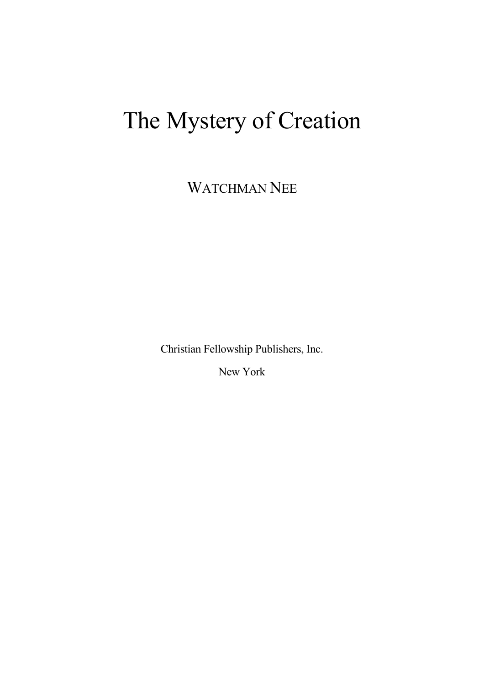# The Mystery of Creation

WATCHMAN NEE

Christian Fellowship Publishers, Inc.

New York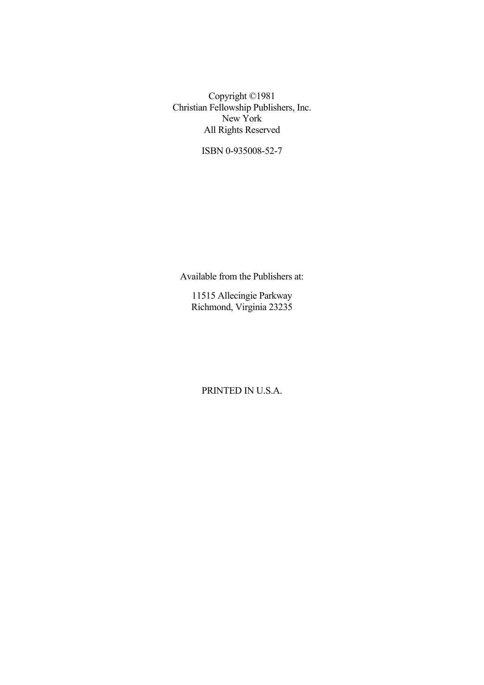Copyright ©1981 Christian Fellowship Publishers, Inc. New York All Rights Reserved

ISBN 0-935008-52-7

Available from the Publishers at:

11515 Allecingie Parkway Richmond, Virginia 23235

PRINTED IN U.S.A.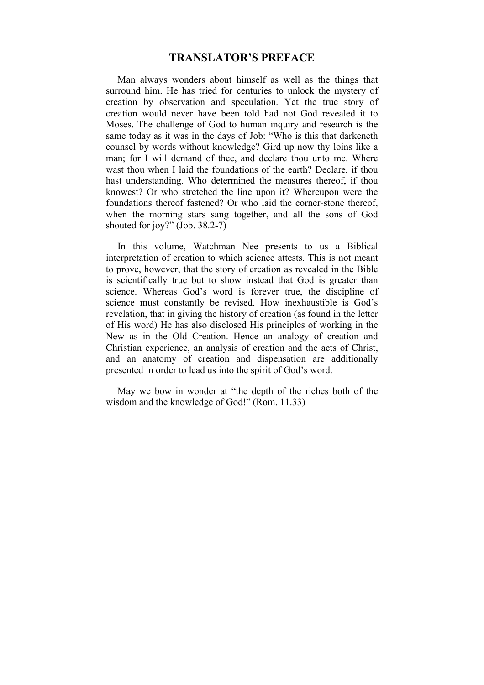# **TRANSLATOR'S PREFACE**

Man always wonders about himself as well as the things that surround him. He has tried for centuries to unlock the mystery of creation by observation and speculation. Yet the true story of creation would never have been told had not God revealed it to Moses. The challenge of God to human inquiry and research is the same today as it was in the days of Job: "Who is this that darkeneth counsel by words without knowledge? Gird up now thy loins like a man; for I will demand of thee, and declare thou unto me. Where wast thou when I laid the foundations of the earth? Declare, if thou hast understanding. Who determined the measures thereof, if thou knowest? Or who stretched the line upon it? Whereupon were the foundations thereof fastened? Or who laid the corner-stone thereof, when the morning stars sang together, and all the sons of God shouted for joy?" (Job. 38.2-7)

In this volume, Watchman Nee presents to us a Biblical interpretation of creation to which science attests. This is not meant to prove, however, that the story of creation as revealed in the Bible is scientifically true but to show instead that God is greater than science. Whereas God's word is forever true, the discipline of science must constantly be revised. How inexhaustible is God's revelation, that in giving the history of creation (as found in the letter of His word) He has also disclosed His principles of working in the New as in the Old Creation. Hence an analogy of creation and Christian experience, an analysis of creation and the acts of Christ, and an anatomy of creation and dispensation are additionally presented in order to lead us into the spirit of God's word.

May we bow in wonder at "the depth of the riches both of the wisdom and the knowledge of God!" (Rom. 11.33)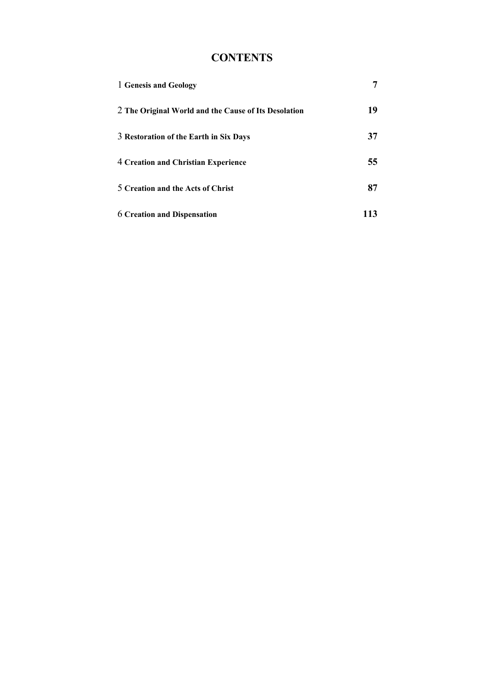# **CONTENTS**

| 1 Genesis and Geology                                                                          | 7        |
|------------------------------------------------------------------------------------------------|----------|
| 2 The Original World and the Cause of Its Desolation<br>3 Restoration of the Earth in Six Days | 19<br>37 |
|                                                                                                |          |
| 5 Creation and the Acts of Christ                                                              | 87       |
| <b>6 Creation and Dispensation</b>                                                             | 113      |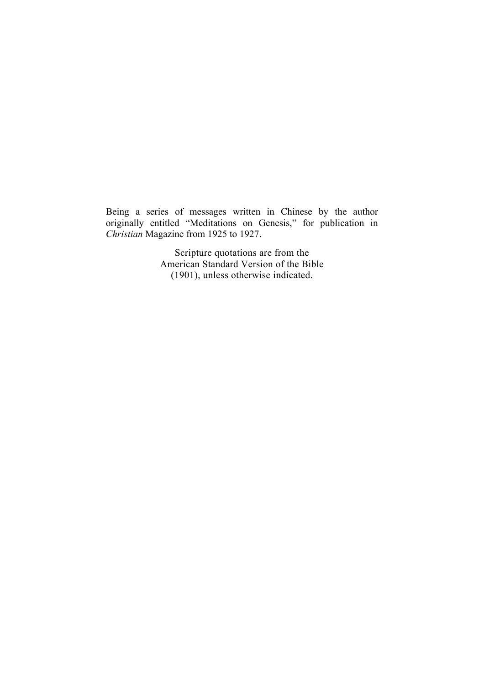Being a series of messages written in Chinese by the author originally entitled "Meditations on Genesis," for publication in *Christian* Magazine from 1925 to 1927.

> Scripture quotations are from the American Standard Version of the Bible (1901), unless otherwise indicated.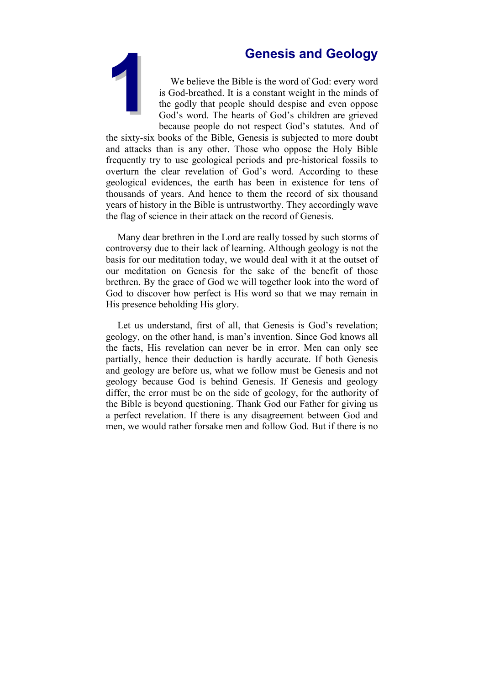

<span id="page-6-0"></span>**16 Secology**<br> **16 Secology**<br> **18 Sod-breathed** It is a constant weight in the minds of<br>
the godly that people should despise and even oppose<br>
God's word. The hearts of God's children are grieved<br>
because people do not res We believe the Bible is the word of God: every word is God-breathed. It is a constant weight in the minds of the godly that people should despise and even oppose God's word. The hearts of God's children are grieved because people do not respect God's statutes. And of

the sixty-six books of the Bible, Genesis is subjected to more doubt and attacks than is any other. Those who oppose the Holy Bible frequently try to use geological periods and pre-historical fossils to overturn the clear revelation of God's word. According to these geological evidences, the earth has been in existence for tens of thousands of years. And hence to them the record of six thousand years of history in the Bible is untrustworthy. They accordingly wave the flag of science in their attack on the record of Genesis.

Many dear brethren in the Lord are really tossed by such storms of controversy due to their lack of learning. Although geology is not the basis for our meditation today, we would deal with it at the outset of our meditation on Genesis for the sake of the benefit of those brethren. By the grace of God we will together look into the word of God to discover how perfect is His word so that we may remain in His presence beholding His glory.

Let us understand, first of all, that Genesis is God's revelation; geology, on the other hand, is man's invention. Since God knows all the facts, His revelation can never be in error. Men can only see partially, hence their deduction is hardly accurate. If both Genesis and geology are before us, what we follow must be Genesis and not geology because God is behind Genesis. If Genesis and geology differ, the error must be on the side of geology, for the authority of the Bible is beyond questioning. Thank God our Father for giving us a perfect revelation. If there is any disagreement between God and men, we would rather forsake men and follow God. But if there is no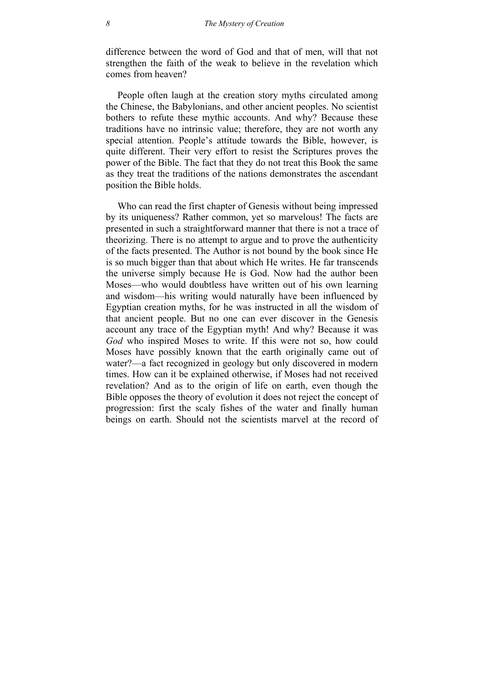difference between the word of God and that of men, will that not strengthen the faith of the weak to believe in the revelation which comes from heaven?

People often laugh at the creation story myths circulated among the Chinese, the Babylonians, and other ancient peoples. No scientist bothers to refute these mythic accounts. And why? Because these traditions have no intrinsic value; therefore, they are not worth any special attention. People's attitude towards the Bible, however, is quite different. Their very effort to resist the Scriptures proves the power of the Bible. The fact that they do not treat this Book the same as they treat the traditions of the nations demonstrates the ascendant position the Bible holds.

Who can read the first chapter of Genesis without being impressed by its uniqueness? Rather common, yet so marvelous! The facts are presented in such a straightforward manner that there is not a trace of theorizing. There is no attempt to argue and to prove the authenticity of the facts presented. The Author is not bound by the book since He is so much bigger than that about which He writes. He far transcends the universe simply because He is God. Now had the author been Moses—who would doubtless have written out of his own learning and wisdom—his writing would naturally have been influenced by Egyptian creation myths, for he was instructed in all the wisdom of that ancient people. But no one can ever discover in the Genesis account any trace of the Egyptian myth! And why? Because it was *God* who inspired Moses to write. If this were not so, how could Moses have possibly known that the earth originally came out of water?—a fact recognized in geology but only discovered in modern times. How can it be explained otherwise, if Moses had not received revelation? And as to the origin of life on earth, even though the Bible opposes the theory of evolution it does not reject the concept of progression: first the scaly fishes of the water and finally human beings on earth. Should not the scientists marvel at the record of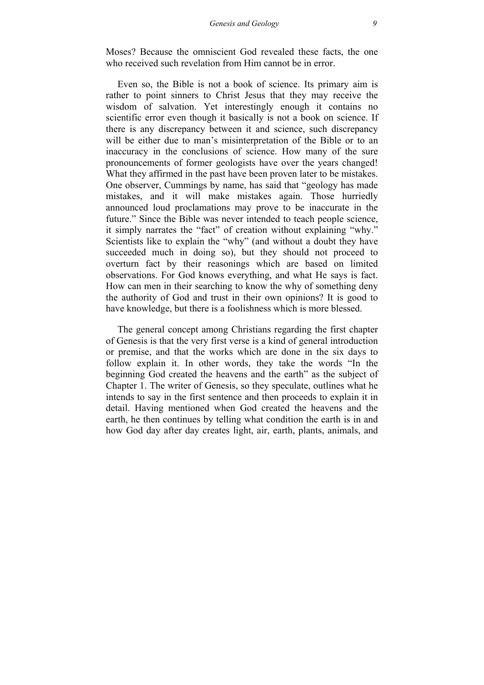Moses? Because the omniscient God revealed these facts, the one who received such revelation from Him cannot be in error.

Even so, the Bible is not a book of science. Its primary aim is rather to point sinners to Christ Jesus that they may receive the wisdom of salvation. Yet interestingly enough it contains no scientific error even though it basically is not a book on science. If there is any discrepancy between it and science, such discrepancy will be either due to man's misinterpretation of the Bible or to an inaccuracy in the conclusions of science. How many of the sure pronouncements of former geologists have over the years changed! What they affirmed in the past have been proven later to be mistakes. One observer, Cummings by name, has said that "geology has made mistakes, and it will make mistakes again. Those hurriedly announced loud proclamations may prove to be inaccurate in the future." Since the Bible was never intended to teach people science, it simply narrates the "fact" of creation without explaining "why." Scientists like to explain the "why" (and without a doubt they have succeeded much in doing so), but they should not proceed to overturn fact by their reasonings which are based on limited observations. For God knows everything, and what He says is fact. How can men in their searching to know the why of something deny the authority of God and trust in their own opinions? It is good to have knowledge, but there is a foolishness which is more blessed.

The general concept among Christians regarding the first chapter of Genesis is that the very first verse is a kind of general introduction or premise, and that the works which are done in the six days to follow explain it. In other words, they take the words "In the beginning God created the heavens and the earth" as the subject of Chapter 1. The writer of Genesis, so they speculate, outlines what he intends to say in the first sentence and then proceeds to explain it in detail. Having mentioned when God created the heavens and the earth, he then continues by telling what condition the earth is in and how God day after day creates light, air, earth, plants, animals, and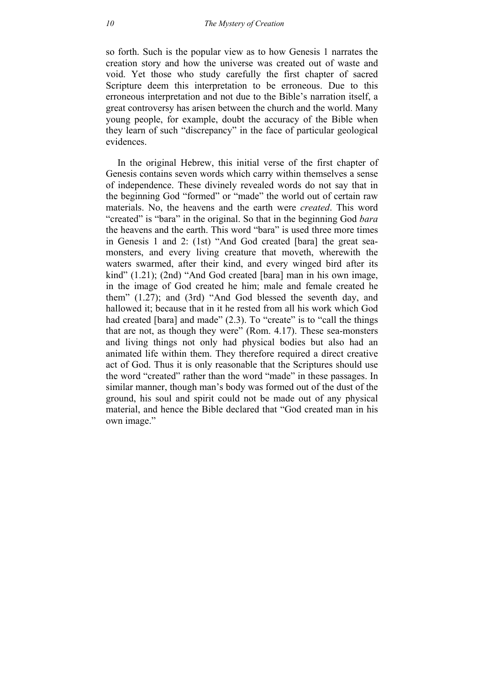so forth. Such is the popular view as to how Genesis 1 narrates the creation story and how the universe was created out of waste and void. Yet those who study carefully the first chapter of sacred Scripture deem this interpretation to be erroneous. Due to this erroneous interpretation and not due to the Bible's narration itself, a great controversy has arisen between the church and the world. Many young people, for example, doubt the accuracy of the Bible when they learn of such "discrepancy" in the face of particular geological evidences.

In the original Hebrew, this initial verse of the first chapter of Genesis contains seven words which carry within themselves a sense of independence. These divinely revealed words do not say that in the beginning God "formed" or "made" the world out of certain raw materials. No, the heavens and the earth were *created*. This word "created" is "bara" in the original. So that in the beginning God *bara* the heavens and the earth. This word "bara" is used three more times in Genesis 1 and 2: (1st) "And God created [bara] the great seamonsters, and every living creature that moveth, wherewith the waters swarmed, after their kind, and every winged bird after its kind" (1.21); (2nd) "And God created [bara] man in his own image, in the image of God created he him; male and female created he them" (1.27); and (3rd) "And God blessed the seventh day, and hallowed it; because that in it he rested from all his work which God had created [bara] and made" (2.3). To "create" is to "call the things that are not, as though they were" (Rom. 4.17). These sea-monsters and living things not only had physical bodies but also had an animated life within them. They therefore required a direct creative act of God. Thus it is only reasonable that the Scriptures should use the word "created" rather than the word "made" in these passages. In similar manner, though man's body was formed out of the dust of the ground, his soul and spirit could not be made out of any physical material, and hence the Bible declared that "God created man in his own image."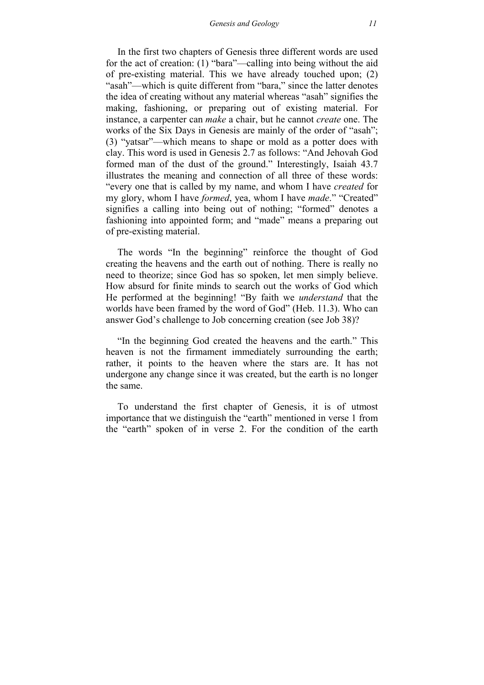In the first two chapters of Genesis three different words are used for the act of creation: (1) "bara"—calling into being without the aid of pre-existing material. This we have already touched upon; (2) "asah"—which is quite different from "bara," since the latter denotes the idea of creating without any material whereas "asah" signifies the making, fashioning, or preparing out of existing material. For instance, a carpenter can *make* a chair, but he cannot *create* one. The works of the Six Days in Genesis are mainly of the order of "asah"; (3) "yatsar"—which means to shape or mold as a potter does with clay. This word is used in Genesis 2.7 as follows: "And Jehovah God formed man of the dust of the ground." Interestingly, Isaiah 43.7 illustrates the meaning and connection of all three of these words: "every one that is called by my name, and whom I have *created* for my glory, whom I have *formed*, yea, whom I have *made*." "Created" signifies a calling into being out of nothing; "formed" denotes a fashioning into appointed form; and "made" means a preparing out of pre-existing material.

The words "In the beginning" reinforce the thought of God creating the heavens and the earth out of nothing. There is really no need to theorize; since God has so spoken, let men simply believe. How absurd for finite minds to search out the works of God which He performed at the beginning! "By faith we *understand* that the worlds have been framed by the word of God" (Heb. 11.3). Who can answer God's challenge to Job concerning creation (see Job 38)?

"In the beginning God created the heavens and the earth." This heaven is not the firmament immediately surrounding the earth; rather, it points to the heaven where the stars are. It has not undergone any change since it was created, but the earth is no longer the same.

To understand the first chapter of Genesis, it is of utmost importance that we distinguish the "earth" mentioned in verse 1 from the "earth" spoken of in verse 2. For the condition of the earth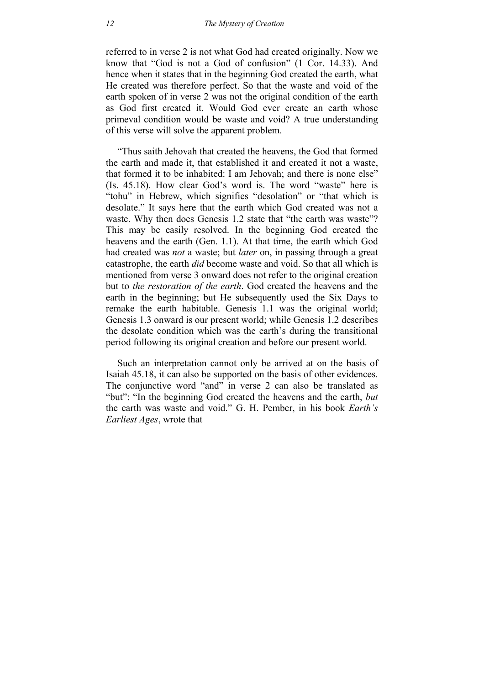referred to in verse 2 is not what God had created originally. Now we know that "God is not a God of confusion" (1 Cor. 14.33). And hence when it states that in the beginning God created the earth, what He created was therefore perfect. So that the waste and void of the earth spoken of in verse 2 was not the original condition of the earth as God first created it. Would God ever create an earth whose primeval condition would be waste and void? A true understanding of this verse will solve the apparent problem.

"Thus saith Jehovah that created the heavens, the God that formed the earth and made it, that established it and created it not a waste, that formed it to be inhabited: I am Jehovah; and there is none else" (Is. 45.18). How clear God's word is. The word "waste" here is "tohu" in Hebrew, which signifies "desolation" or "that which is desolate." It says here that the earth which God created was not a waste. Why then does Genesis 1.2 state that "the earth was waste"? This may be easily resolved. In the beginning God created the heavens and the earth (Gen. 1.1). At that time, the earth which God had created was *not* a waste; but *later* on, in passing through a great catastrophe, the earth *did* become waste and void. So that all which is mentioned from verse 3 onward does not refer to the original creation but to *the restoration of the earth*. God created the heavens and the earth in the beginning; but He subsequently used the Six Days to remake the earth habitable. Genesis 1.1 was the original world; Genesis 1.3 onward is our present world; while Genesis 1.2 describes the desolate condition which was the earth's during the transitional period following its original creation and before our present world.

Such an interpretation cannot only be arrived at on the basis of Isaiah 45.18, it can also be supported on the basis of other evidences. The conjunctive word "and" in verse 2 can also be translated as "but": "In the beginning God created the heavens and the earth, *but* the earth was waste and void." G. H. Pember, in his book *Earth's Earliest Ages*, wrote that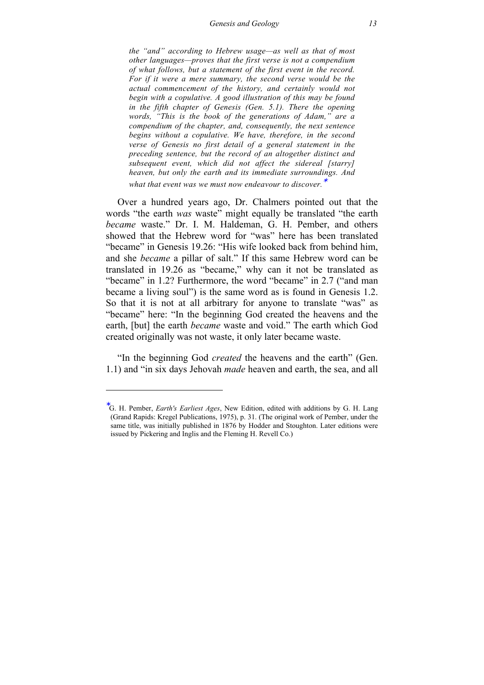*the "and" according to Hebrew usage—as well as that of most other languages—proves that the first verse is not a compendium of what follows, but a statement of the first event in the record. For if it were a mere summary, the second verse would be the actual commencement of the history, and certainly would not begin with a copulative. A good illustration of this may be found in the fifth chapter of Genesis (Gen. 5.1). There the opening words, "This is the book of the generations of Adam," are a compendium of the chapter, and, consequently, the next sentence begins without a copulative. We have, therefore, in the second verse of Genesis no first detail of a general statement in the preceding sentence, but the record of an altogether distinct and subsequent event, which did not affect the sidereal [starry] heaven, but only the earth and its immediate surroundings. And* 

*what that event was we must now endeavour to discover.*<sup>∗</sup>

Over a hundred years ago, Dr. Chalmers pointed out that the words "the earth *was* waste" might equally be translated "the earth *became* waste." Dr. I. M. Haldeman, G. H. Pember, and others showed that the Hebrew word for "was" here has been translated "became" in Genesis 19.26: "His wife looked back from behind him, and she *became* a pillar of salt." If this same Hebrew word can be translated in 19.26 as "became," why can it not be translated as "became" in 1.2? Furthermore, the word "became" in 2.7 ("and man became a living soul") is the same word as is found in Genesis 1.2. So that it is not at all arbitrary for anyone to translate "was" as "became" here: "In the beginning God created the heavens and the earth, [but] the earth *became* waste and void." The earth which God created originally was not waste, it only later became waste.

"In the beginning God *created* the heavens and the earth" (Gen. 1.1) and "in six days Jehovah *made* heaven and earth, the sea, and all

-

<sup>∗</sup> G. H. Pember, *Earth's Earliest Ages*, New Edition, edited with additions by G. H. Lang (Grand Rapids: Kregel Publications, 1975), p. 31. (The original work of Pember, under the same title, was initially published in 1876 by Hodder and Stoughton. Later editions were issued by Pickering and Inglis and the Fleming H. Revell Co.)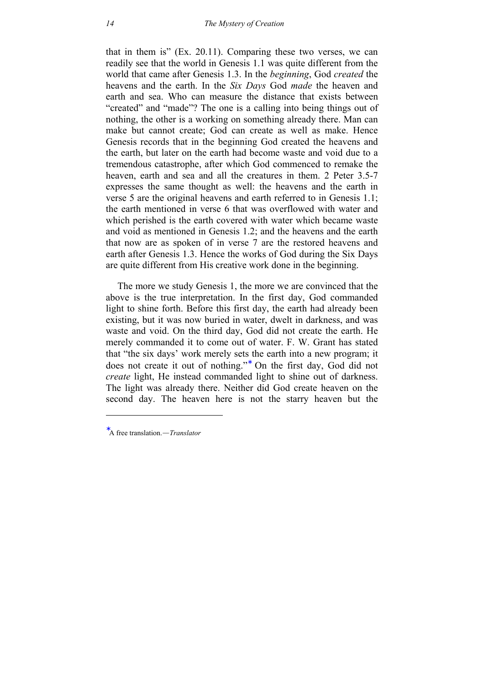that in them is" (Ex. 20.11). Comparing these two verses, we can readily see that the world in Genesis 1.1 was quite different from the world that came after Genesis 1.3. In the *beginning*, God *created* the heavens and the earth. In the *Six Days* God *made* the heaven and earth and sea. Who can measure the distance that exists between "created" and "made"? The one is a calling into being things out of nothing, the other is a working on something already there. Man can make but cannot create; God can create as well as make. Hence Genesis records that in the beginning God created the heavens and the earth, but later on the earth had become waste and void due to a tremendous catastrophe, after which God commenced to remake the heaven, earth and sea and all the creatures in them. 2 Peter 3.5-7 expresses the same thought as well: the heavens and the earth in verse 5 are the original heavens and earth referred to in Genesis 1.1; the earth mentioned in verse 6 that was overflowed with water and which perished is the earth covered with water which became waste and void as mentioned in Genesis 1.2; and the heavens and the earth that now are as spoken of in verse 7 are the restored heavens and earth after Genesis 1.3. Hence the works of God during the Six Days are quite different from His creative work done in the beginning.

The more we study Genesis 1, the more we are convinced that the above is the true interpretation. In the first day, God commanded light to shine forth. Before this first day, the earth had already been existing, but it was now buried in water, dwelt in darkness, and was waste and void. On the third day, God did not create the earth. He merely commanded it to come out of water. F. W. Grant has stated that "the six days' work merely sets the earth into a new program; it does not create it out of nothing."<sup>∗</sup> On the first day, God did not *create* light, He instead commanded light to shine out of darkness. The light was already there. Neither did God create heaven on the second day. The heaven here is not the starry heaven but the

-

<sup>∗</sup> A free translation.—*Translator*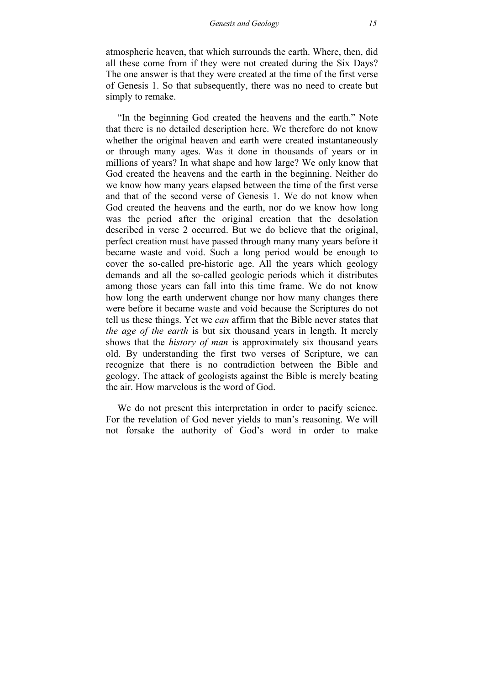atmospheric heaven, that which surrounds the earth. Where, then, did all these come from if they were not created during the Six Days? The one answer is that they were created at the time of the first verse of Genesis 1. So that subsequently, there was no need to create but simply to remake.

"In the beginning God created the heavens and the earth." Note that there is no detailed description here. We therefore do not know whether the original heaven and earth were created instantaneously or through many ages. Was it done in thousands of years or in millions of years? In what shape and how large? We only know that God created the heavens and the earth in the beginning. Neither do we know how many years elapsed between the time of the first verse and that of the second verse of Genesis 1. We do not know when God created the heavens and the earth, nor do we know how long was the period after the original creation that the desolation described in verse 2 occurred. But we do believe that the original, perfect creation must have passed through many many years before it became waste and void. Such a long period would be enough to cover the so-called pre-historic age. All the years which geology demands and all the so-called geologic periods which it distributes among those years can fall into this time frame. We do not know how long the earth underwent change nor how many changes there were before it became waste and void because the Scriptures do not tell us these things. Yet we *can* affirm that the Bible never states that *the age of the earth* is but six thousand years in length. It merely shows that the *history of man* is approximately six thousand years old. By understanding the first two verses of Scripture, we can recognize that there is no contradiction between the Bible and geology. The attack of geologists against the Bible is merely beating the air. How marvelous is the word of God.

We do not present this interpretation in order to pacify science. For the revelation of God never yields to man's reasoning. We will not forsake the authority of God's word in order to make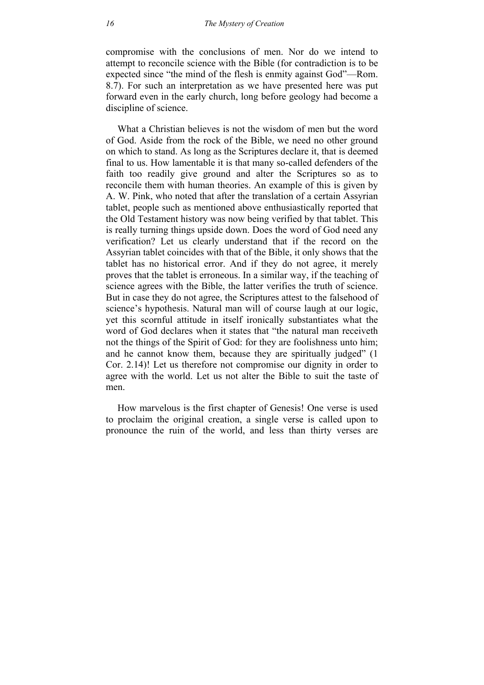compromise with the conclusions of men. Nor do we intend to attempt to reconcile science with the Bible (for contradiction is to be expected since "the mind of the flesh is enmity against God"—Rom. 8.7). For such an interpretation as we have presented here was put forward even in the early church, long before geology had become a discipline of science.

What a Christian believes is not the wisdom of men but the word of God. Aside from the rock of the Bible, we need no other ground on which to stand. As long as the Scriptures declare it, that is deemed final to us. How lamentable it is that many so-called defenders of the faith too readily give ground and alter the Scriptures so as to reconcile them with human theories. An example of this is given by A. W. Pink, who noted that after the translation of a certain Assyrian tablet, people such as mentioned above enthusiastically reported that the Old Testament history was now being verified by that tablet. This is really turning things upside down. Does the word of God need any verification? Let us clearly understand that if the record on the Assyrian tablet coincides with that of the Bible, it only shows that the tablet has no historical error. And if they do not agree, it merely proves that the tablet is erroneous. In a similar way, if the teaching of science agrees with the Bible, the latter verifies the truth of science. But in case they do not agree, the Scriptures attest to the falsehood of science's hypothesis. Natural man will of course laugh at our logic, yet this scornful attitude in itself ironically substantiates what the word of God declares when it states that "the natural man receiveth not the things of the Spirit of God: for they are foolishness unto him; and he cannot know them, because they are spiritually judged" (1 Cor. 2.14)! Let us therefore not compromise our dignity in order to agree with the world. Let us not alter the Bible to suit the taste of men.

How marvelous is the first chapter of Genesis! One verse is used to proclaim the original creation, a single verse is called upon to pronounce the ruin of the world, and less than thirty verses are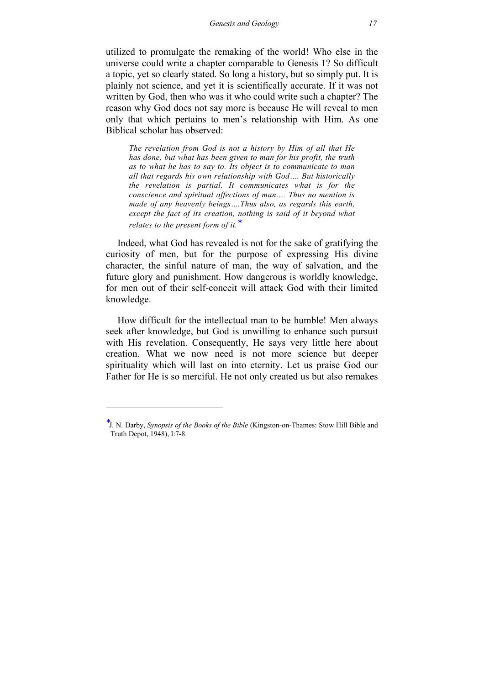utilized to promulgate the remaking of the world! Who else in the universe could write a chapter comparable to Genesis 1? So difficult a topic, yet so clearly stated. So long a history, but so simply put. It is plainly not science, and yet it is scientifically accurate. If it was not written by God, then who was it who could write such a chapter? The reason why God does not say more is because He will reveal to men only that which pertains to men's relationship with Him. As one Biblical scholar has observed:

*The revelation from God is not a history by Him of all that He has done, but what has been given to man for his profit, the truth as to what he has to say to. Its object is to communicate to man all that regards his own relationship with God…. But historically the revelation is partial. It communicates what is for the conscience and spiritual affections of man…. Thus no mention is made of any heavenly beings….Thus also, as regards this earth, except the fact of its creation, nothing is said of it beyond what relates to the present form of it.* 

Indeed, what God has revealed is not for the sake of gratifying the curiosity of men, but for the purpose of expressing His divine character, the sinful nature of man, the way of salvation, and the future glory and punishment. How dangerous is worldly knowledge, for men out of their self-conceit will attack God with their limited knowledge.

How difficult for the intellectual man to be humble! Men always seek after knowledge, but God is unwilling to enhance such pursuit with His revelation. Consequently, He says very little here about creation. What we now need is not more science but deeper spirituality which will last on into eternity. Let us praise God our Father for He is so merciful. He not only created us but also remakes

1

<sup>∗</sup> J. N. Darby, *Synopsis of the Books of the Bible* (Kingston-on-Thames: Stow Hill Bible and Truth Depot, 1948), I:7-8.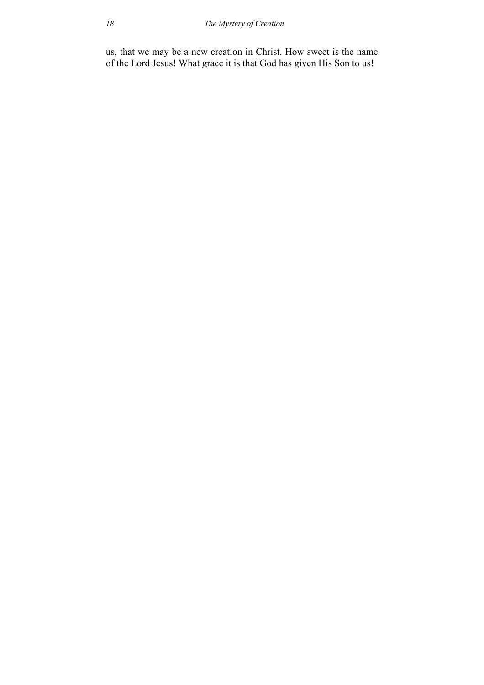us, that we may be a new creation in Christ. How sweet is the name of the Lord Jesus! What grace it is that God has given His Son to us!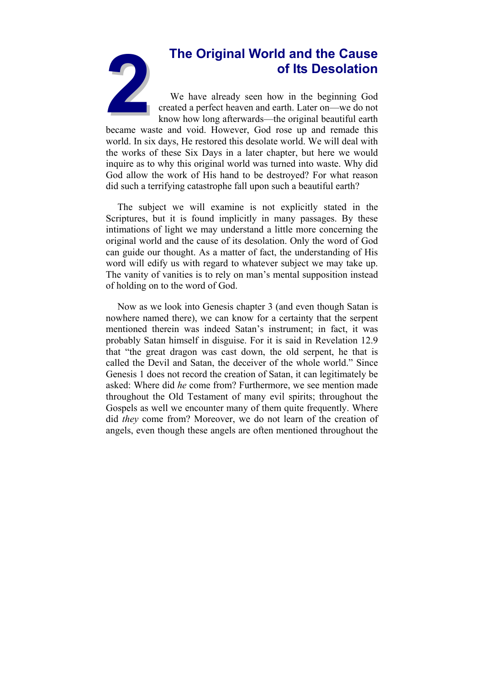# **2The Original World and the Cause of Its Desolation**

We have already seen how in the beginning God created a perfect heaven and earth. Later on—we do not know how long afterwards—the original beautiful earth

<span id="page-18-0"></span>became waste and void. However, God rose up and remade this world. In six days, He restored this desolate world. We will deal with the works of these Six Days in a later chapter, but here we would inquire as to why this original world was turned into waste. Why did God allow the work of His hand to be destroyed? For what reason did such a terrifying catastrophe fall upon such a beautiful earth?

The subject we will examine is not explicitly stated in the Scriptures, but it is found implicitly in many passages. By these intimations of light we may understand a little more concerning the original world and the cause of its desolation. Only the word of God can guide our thought. As a matter of fact, the understanding of His word will edify us with regard to whatever subject we may take up. The vanity of vanities is to rely on man's mental supposition instead of holding on to the word of God.

Now as we look into Genesis chapter 3 (and even though Satan is nowhere named there), we can know for a certainty that the serpent mentioned therein was indeed Satan's instrument; in fact, it was probably Satan himself in disguise. For it is said in Revelation 12.9 that "the great dragon was cast down, the old serpent, he that is called the Devil and Satan, the deceiver of the whole world." Since Genesis 1 does not record the creation of Satan, it can legitimately be asked: Where did *he* come from? Furthermore, we see mention made throughout the Old Testament of many evil spirits; throughout the Gospels as well we encounter many of them quite frequently. Where did *they* come from? Moreover, we do not learn of the creation of angels, even though these angels are often mentioned throughout the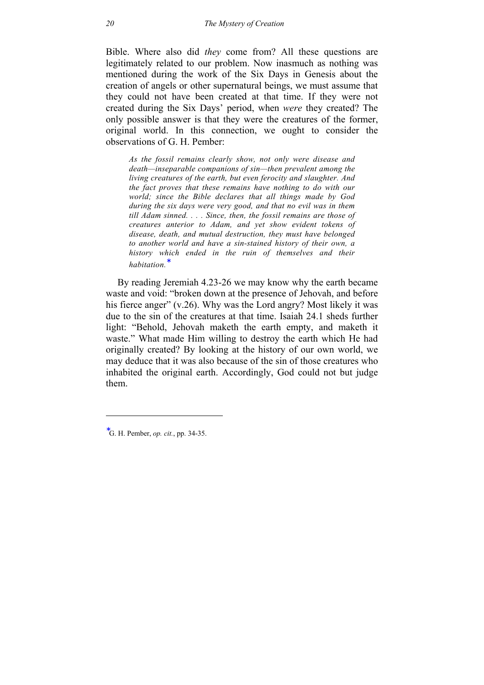Bible. Where also did *they* come from? All these questions are legitimately related to our problem. Now inasmuch as nothing was mentioned during the work of the Six Days in Genesis about the creation of angels or other supernatural beings, we must assume that they could not have been created at that time. If they were not created during the Six Days' period, when *were* they created? The only possible answer is that they were the creatures of the former, original world. In this connection, we ought to consider the observations of G. H. Pember:

*As the fossil remains clearly show, not only were disease and death—inseparable companions of sin—then prevalent among the living creatures of the earth, but even ferocity and slaughter. And the fact proves that these remains have nothing to do with our world; since the Bible declares that all things made by God during the six days were very good, and that no evil was in them till Adam sinned. . . . Since, then, the fossil remains are those of creatures anterior to Adam, and yet show evident tokens of disease, death, and mutual destruction, they must have belonged to another world and have a sin-stained history of their own, a history which ended in the ruin of themselves and their habitation.*<sup>∗</sup>

By reading Jeremiah 4.23-26 we may know why the earth became waste and void: "broken down at the presence of Jehovah, and before his fierce anger" (v.26). Why was the Lord angry? Most likely it was due to the sin of the creatures at that time. Isaiah 24.1 sheds further light: "Behold, Jehovah maketh the earth empty, and maketh it waste." What made Him willing to destroy the earth which He had originally created? By looking at the history of our own world, we may deduce that it was also because of the sin of those creatures who inhabited the original earth. Accordingly, God could not but judge them.

-

<sup>∗</sup> G. H. Pember, *op. cit.*, pp. 34-35.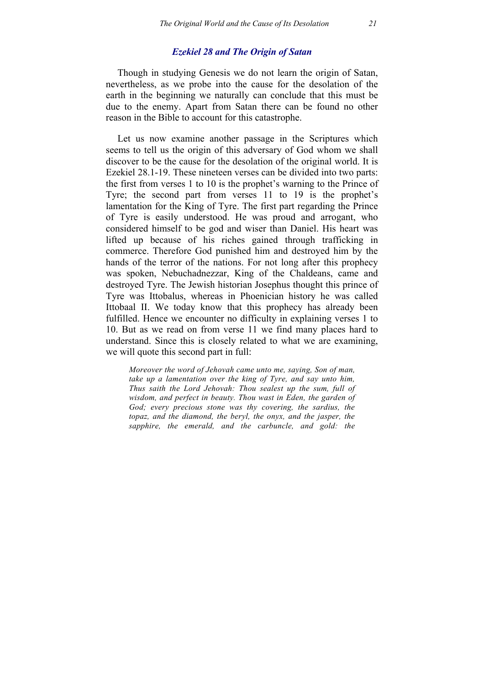## *Ezekiel 28 and The Origin of Satan*

Though in studying Genesis we do not learn the origin of Satan, nevertheless, as we probe into the cause for the desolation of the earth in the beginning we naturally can conclude that this must be due to the enemy. Apart from Satan there can be found no other reason in the Bible to account for this catastrophe.

Let us now examine another passage in the Scriptures which seems to tell us the origin of this adversary of God whom we shall discover to be the cause for the desolation of the original world. It is Ezekiel 28.1-19. These nineteen verses can be divided into two parts: the first from verses 1 to 10 is the prophet's warning to the Prince of Tyre; the second part from verses 11 to 19 is the prophet's lamentation for the King of Tyre. The first part regarding the Prince of Tyre is easily understood. He was proud and arrogant, who considered himself to be god and wiser than Daniel. His heart was lifted up because of his riches gained through trafficking in commerce. Therefore God punished him and destroyed him by the hands of the terror of the nations. For not long after this prophecy was spoken, Nebuchadnezzar, King of the Chaldeans, came and destroyed Tyre. The Jewish historian Josephus thought this prince of Tyre was Ittobalus, whereas in Phoenician history he was called Ittobaal II. We today know that this prophecy has already been fulfilled. Hence we encounter no difficulty in explaining verses 1 to 10. But as we read on from verse 11 we find many places hard to understand. Since this is closely related to what we are examining, we will quote this second part in full:

*Moreover the word of Jehovah came unto me, saying, Son of man, take up a lamentation over the king of Tyre, and say unto him, Thus saith the Lord Jehovah: Thou sealest up the sum, full of wisdom, and perfect in beauty. Thou wast in Eden, the garden of God; every precious stone was thy covering, the sardius, the topaz, and the diamond, the beryl, the onyx, and the jasper, the sapphire, the emerald, and the carbuncle, and gold: the*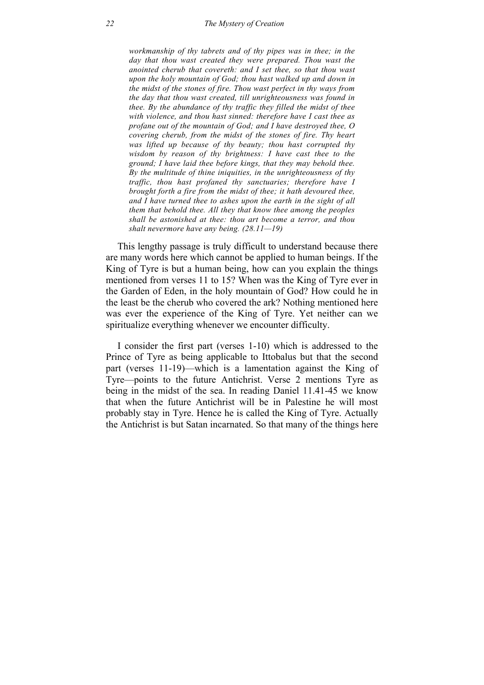*workmanship of thy tabrets and of thy pipes was in thee; in the day that thou wast created they were prepared. Thou wast the anointed cherub that covereth: and I set thee, so that thou wast upon the holy mountain of God; thou hast walked up and down in the midst of the stones of fire. Thou wast perfect in thy ways from the day that thou wast created, till unrighteousness was found in thee. By the abundance of thy traffic they filled the midst of thee with violence, and thou hast sinned: therefore have I cast thee as profane out of the mountain of God; and I have destroyed thee, O covering cherub, from the midst of the stones of fire. Thy heart was lifted up because of thy beauty; thou hast corrupted thy wisdom by reason of thy brightness: I have cast thee to the ground; I have laid thee before kings, that they may behold thee. By the multitude of thine iniquities, in the unrighteousness of thy traffic, thou hast profaned thy sanctuaries; therefore have I brought forth a fire from the midst of thee; it hath devoured thee, and I have turned thee to ashes upon the earth in the sight of all them that behold thee. All they that know thee among the peoples shall be astonished at thee: thou art become a terror, and thou shalt nevermore have any being. (28.11—19)* 

This lengthy passage is truly difficult to understand because there are many words here which cannot be applied to human beings. If the King of Tyre is but a human being, how can you explain the things mentioned from verses 11 to 15? When was the King of Tyre ever in the Garden of Eden, in the holy mountain of God? How could he in the least be the cherub who covered the ark? Nothing mentioned here was ever the experience of the King of Tyre. Yet neither can we spiritualize everything whenever we encounter difficulty.

I consider the first part (verses 1-10) which is addressed to the Prince of Tyre as being applicable to Ittobalus but that the second part (verses 11-19)—which is a lamentation against the King of Tyre—points to the future Antichrist. Verse 2 mentions Tyre as being in the midst of the sea. In reading Daniel 11.41-45 we know that when the future Antichrist will be in Palestine he will most probably stay in Tyre. Hence he is called the King of Tyre. Actually the Antichrist is but Satan incarnated. So that many of the things here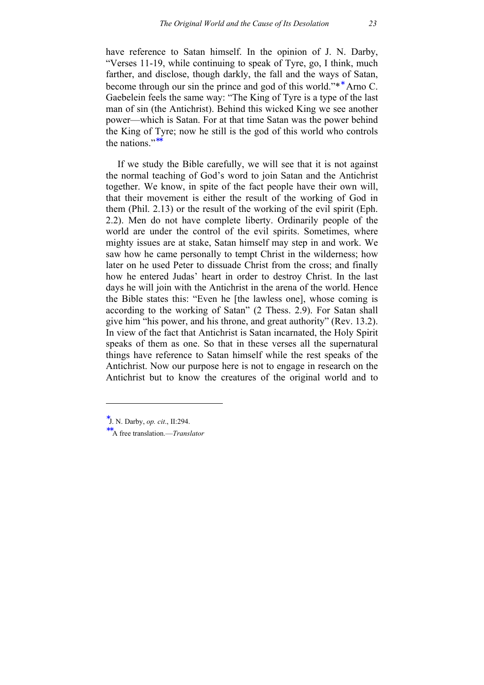have reference to Satan himself. In the opinion of J. N. Darby, "Verses 11-19, while continuing to speak of Tyre, go, I think, much farther, and disclose, though darkly, the fall and the ways of Satan, become through our sin the prince and god of this world."<sup>\*\*</sup> Arno C. Gaebelein feels the same way: "The King of Tyre is a type of the last man of sin (the Antichrist). Behind this wicked King we see another power—which is Satan. For at that time Satan was the power behind the King of Tyre; now he still is the god of this world who controls the nations<sup>"</sup>

If we study the Bible carefully, we will see that it is not against the normal teaching of God's word to join Satan and the Antichrist together. We know, in spite of the fact people have their own will, that their movement is either the result of the working of God in them (Phil. 2.13) or the result of the working of the evil spirit (Eph. 2.2). Men do not have complete liberty. Ordinarily people of the world are under the control of the evil spirits. Sometimes, where mighty issues are at stake, Satan himself may step in and work. We saw how he came personally to tempt Christ in the wilderness; how later on he used Peter to dissuade Christ from the cross; and finally how he entered Judas' heart in order to destroy Christ. In the last days he will join with the Antichrist in the arena of the world. Hence the Bible states this: "Even he [the lawless one], whose coming is according to the working of Satan" (2 Thess. 2.9). For Satan shall give him "his power, and his throne, and great authority" (Rev. 13.2). In view of the fact that Antichrist is Satan incarnated, the Holy Spirit speaks of them as one. So that in these verses all the supernatural things have reference to Satan himself while the rest speaks of the Antichrist. Now our purpose here is not to engage in research on the Antichrist but to know the creatures of the original world and to

-

<sup>∗</sup> J. N. Darby, *op. cit*., II:294.

<sup>∗∗</sup>A free translation.—*Translator*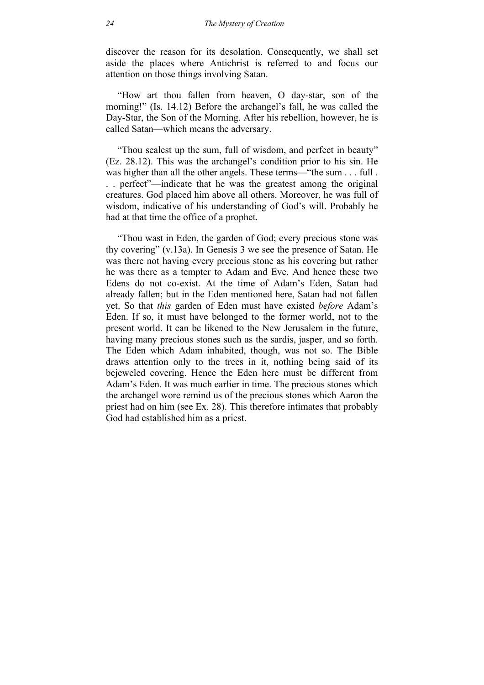discover the reason for its desolation. Consequently, we shall set aside the places where Antichrist is referred to and focus our attention on those things involving Satan.

"How art thou fallen from heaven, O day-star, son of the morning!" (Is. 14.12) Before the archangel's fall, he was called the Day-Star, the Son of the Morning. After his rebellion, however, he is called Satan—which means the adversary.

"Thou sealest up the sum, full of wisdom, and perfect in beauty" (Ez. 28.12). This was the archangel's condition prior to his sin. He was higher than all the other angels. These terms—"the sum . . . full . . . perfect"—indicate that he was the greatest among the original creatures. God placed him above all others. Moreover, he was full of wisdom, indicative of his understanding of God's will. Probably he had at that time the office of a prophet.

"Thou wast in Eden, the garden of God; every precious stone was thy covering" (v.13a). In Genesis 3 we see the presence of Satan. He was there not having every precious stone as his covering but rather he was there as a tempter to Adam and Eve. And hence these two Edens do not co-exist. At the time of Adam's Eden, Satan had already fallen; but in the Eden mentioned here, Satan had not fallen yet. So that *this* garden of Eden must have existed *before* Adam's Eden. If so, it must have belonged to the former world, not to the present world. It can be likened to the New Jerusalem in the future, having many precious stones such as the sardis, jasper, and so forth. The Eden which Adam inhabited, though, was not so. The Bible draws attention only to the trees in it, nothing being said of its bejeweled covering. Hence the Eden here must be different from Adam's Eden. It was much earlier in time. The precious stones which the archangel wore remind us of the precious stones which Aaron the priest had on him (see Ex. 28). This therefore intimates that probably God had established him as a priest.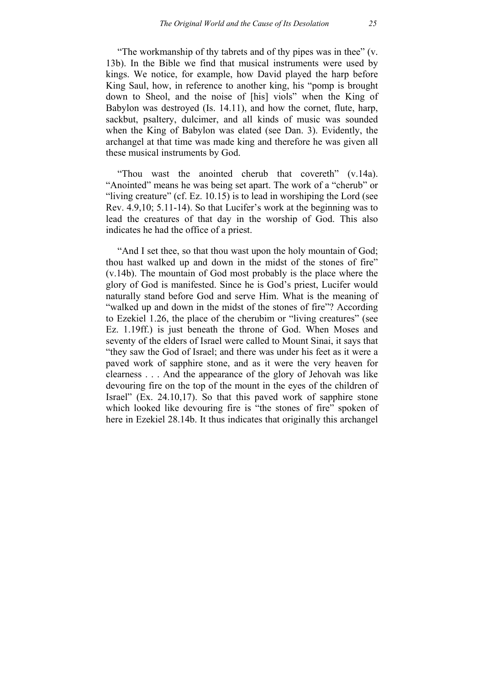"The workmanship of thy tabrets and of thy pipes was in thee" (v. 13b). In the Bible we find that musical instruments were used by kings. We notice, for example, how David played the harp before King Saul, how, in reference to another king, his "pomp is brought down to Sheol, and the noise of [his] viols" when the King of Babylon was destroyed (Is. 14.11), and how the cornet, flute, harp, sackbut, psaltery, dulcimer, and all kinds of music was sounded when the King of Babylon was elated (see Dan. 3). Evidently, the archangel at that time was made king and therefore he was given all these musical instruments by God.

"Thou wast the anointed cherub that covereth" (v.14a). "Anointed" means he was being set apart. The work of a "cherub" or "living creature" (cf. Ez. 10.15) is to lead in worshiping the Lord (see Rev. 4.9,10; 5.11-14). So that Lucifer's work at the beginning was to lead the creatures of that day in the worship of God. This also indicates he had the office of a priest.

"And I set thee, so that thou wast upon the holy mountain of God; thou hast walked up and down in the midst of the stones of fire" (v.14b). The mountain of God most probably is the place where the glory of God is manifested. Since he is God's priest, Lucifer would naturally stand before God and serve Him. What is the meaning of "walked up and down in the midst of the stones of fire"? According to Ezekiel 1.26, the place of the cherubim or "living creatures" (see Ez. 1.19ff.) is just beneath the throne of God. When Moses and seventy of the elders of Israel were called to Mount Sinai, it says that "they saw the God of Israel; and there was under his feet as it were a paved work of sapphire stone, and as it were the very heaven for clearness . . . And the appearance of the glory of Jehovah was like devouring fire on the top of the mount in the eyes of the children of Israel" (Ex. 24.10,17). So that this paved work of sapphire stone which looked like devouring fire is "the stones of fire" spoken of here in Ezekiel 28.14b. It thus indicates that originally this archangel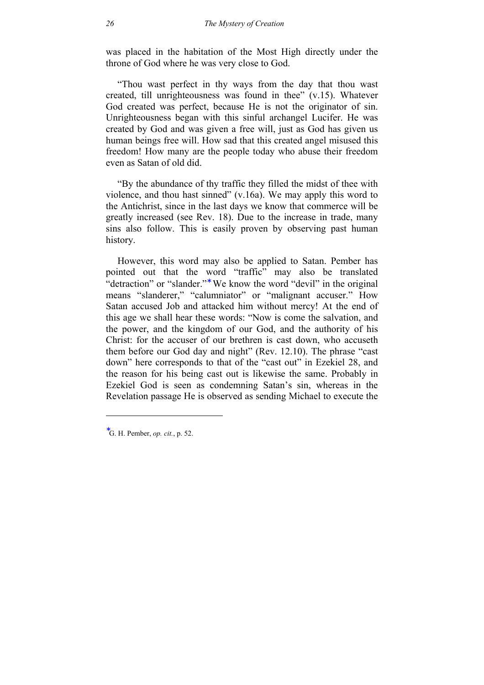was placed in the habitation of the Most High directly under the throne of God where he was very close to God.

"Thou wast perfect in thy ways from the day that thou wast created, till unrighteousness was found in thee" (v.15). Whatever God created was perfect, because He is not the originator of sin. Unrighteousness began with this sinful archangel Lucifer. He was created by God and was given a free will, just as God has given us human beings free will. How sad that this created angel misused this freedom! How many are the people today who abuse their freedom even as Satan of old did.

"By the abundance of thy traffic they filled the midst of thee with violence, and thou hast sinned" (v.16a). We may apply this word to the Antichrist, since in the last days we know that commerce will be greatly increased (see Rev. 18). Due to the increase in trade, many sins also follow. This is easily proven by observing past human history.

However, this word may also be applied to Satan. Pember has pointed out that the word "traffic" may also be translated "detraction" or "slander."<sup>∗</sup> We know the word "devil" in the original means "slanderer," "calumniator" or "malignant accuser." How Satan accused Job and attacked him without mercy! At the end of this age we shall hear these words: "Now is come the salvation, and the power, and the kingdom of our God, and the authority of his Christ: for the accuser of our brethren is cast down, who accuseth them before our God day and night" (Rev. 12.10). The phrase "cast down" here corresponds to that of the "cast out" in Ezekiel 28, and the reason for his being cast out is likewise the same. Probably in Ezekiel God is seen as condemning Satan's sin, whereas in the Revelation passage He is observed as sending Michael to execute the

-

<sup>∗</sup> G. H. Pember, *op. cit.*, p. 52.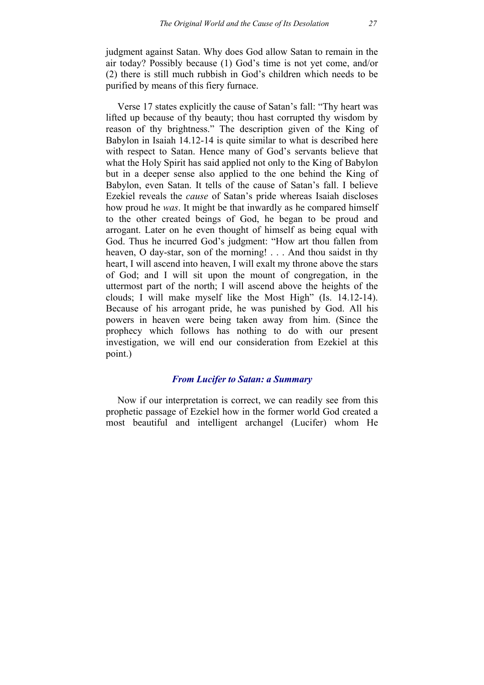judgment against Satan. Why does God allow Satan to remain in the air today? Possibly because (1) God's time is not yet come, and/or (2) there is still much rubbish in God's children which needs to be purified by means of this fiery furnace.

Verse 17 states explicitly the cause of Satan's fall: "Thy heart was lifted up because of thy beauty; thou hast corrupted thy wisdom by reason of thy brightness." The description given of the King of Babylon in Isaiah 14.12-14 is quite similar to what is described here with respect to Satan. Hence many of God's servants believe that what the Holy Spirit has said applied not only to the King of Babylon but in a deeper sense also applied to the one behind the King of Babylon, even Satan. It tells of the cause of Satan's fall. I believe Ezekiel reveals the *cause* of Satan's pride whereas Isaiah discloses how proud he *was*. It might be that inwardly as he compared himself to the other created beings of God, he began to be proud and arrogant. Later on he even thought of himself as being equal with God. Thus he incurred God's judgment: "How art thou fallen from heaven, O day-star, son of the morning! . . . And thou saidst in thy heart, I will ascend into heaven, I will exalt my throne above the stars of God; and I will sit upon the mount of congregation, in the uttermost part of the north; I will ascend above the heights of the clouds; I will make myself like the Most High" (Is. 14.12-14). Because of his arrogant pride, he was punished by God. All his powers in heaven were being taken away from him. (Since the prophecy which follows has nothing to do with our present investigation, we will end our consideration from Ezekiel at this point.)

# *From Lucifer to Satan: a Summary*

Now if our interpretation is correct, we can readily see from this prophetic passage of Ezekiel how in the former world God created a most beautiful and intelligent archangel (Lucifer) whom He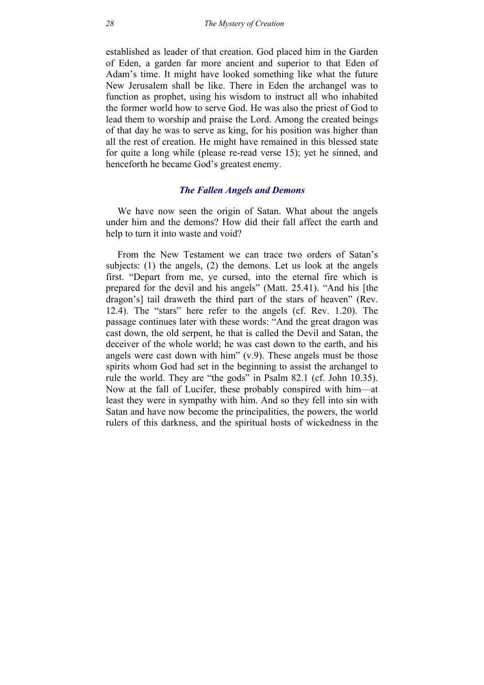established as leader of that creation. God placed him in the Garden of Eden, a garden far more ancient and superior to that Eden of Adam's time. It might have looked something like what the future New Jerusalem shall be like. There in Eden the archangel was to function as prophet, using his wisdom to instruct all who inhabited the former world how to serve God. He was also the priest of God to lead them to worship and praise the Lord. Among the created beings of that day he was to serve as king, for his position was higher than all the rest of creation. He might have remained in this blessed state for quite a long while (please re-read verse 15); yet he sinned, and henceforth he became God's greatest enemy.

# *The Fallen Angels and Demons*

We have now seen the origin of Satan. What about the angels under him and the demons? How did their fall affect the earth and help to turn it into waste and void?

From the New Testament we can trace two orders of Satan's subjects: (1) the angels, (2) the demons. Let us look at the angels first. "Depart from me, ye cursed, into the eternal fire which is prepared for the devil and his angels" (Matt. 25.41). "And his [the dragon's] tail draweth the third part of the stars of heaven" (Rev. 12.4). The "stars" here refer to the angels (cf. Rev. 1.20). The passage continues later with these words: "And the great dragon was cast down, the old serpent, he that is called the Devil and Satan, the deceiver of the whole world; he was cast down to the earth, and his angels were cast down with him"  $(v.9)$ . These angels must be those spirits whom God had set in the beginning to assist the archangel to rule the world. They are "the gods" in Psalm 82.1 (cf. John 10.35). Now at the fall of Lucifer, these probably conspired with him—at least they were in sympathy with him. And so they fell into sin with Satan and have now become the principalities, the powers, the world rulers of this darkness, and the spiritual hosts of wickedness in the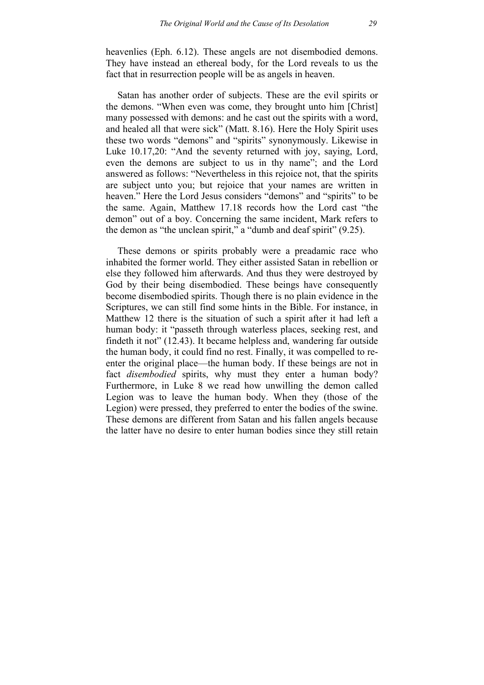heavenlies (Eph. 6.12). These angels are not disembodied demons. They have instead an ethereal body, for the Lord reveals to us the fact that in resurrection people will be as angels in heaven.

Satan has another order of subjects. These are the evil spirits or the demons. "When even was come, they brought unto him [Christ] many possessed with demons: and he cast out the spirits with a word, and healed all that were sick" (Matt. 8.16). Here the Holy Spirit uses these two words "demons" and "spirits" synonymously. Likewise in Luke 10.17,20: "And the seventy returned with joy, saying, Lord, even the demons are subject to us in thy name"; and the Lord answered as follows: "Nevertheless in this rejoice not, that the spirits are subject unto you; but rejoice that your names are written in heaven." Here the Lord Jesus considers "demons" and "spirits" to be the same. Again, Matthew 17.18 records how the Lord cast "the demon" out of a boy. Concerning the same incident, Mark refers to the demon as "the unclean spirit," a "dumb and deaf spirit" (9.25).

These demons or spirits probably were a preadamic race who inhabited the former world. They either assisted Satan in rebellion or else they followed him afterwards. And thus they were destroyed by God by their being disembodied. These beings have consequently become disembodied spirits. Though there is no plain evidence in the Scriptures, we can still find some hints in the Bible. For instance, in Matthew 12 there is the situation of such a spirit after it had left a human body: it "passeth through waterless places, seeking rest, and findeth it not" (12.43). It became helpless and, wandering far outside the human body, it could find no rest. Finally, it was compelled to reenter the original place—the human body. If these beings are not in fact *disembodied* spirits, why must they enter a human body? Furthermore, in Luke 8 we read how unwilling the demon called Legion was to leave the human body. When they (those of the Legion) were pressed, they preferred to enter the bodies of the swine. These demons are different from Satan and his fallen angels because the latter have no desire to enter human bodies since they still retain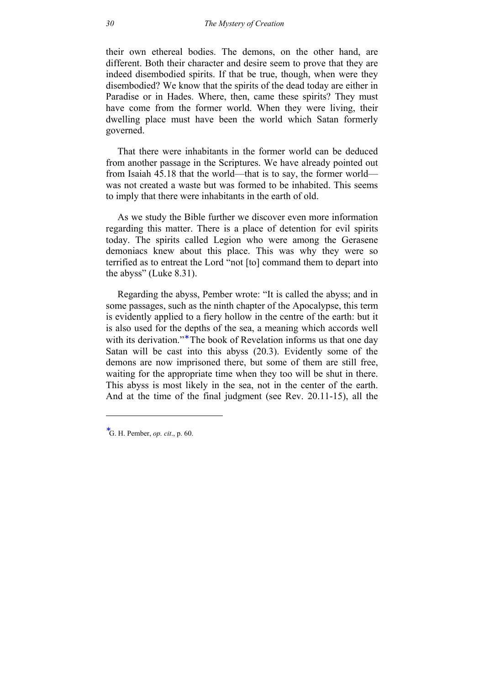their own ethereal bodies. The demons, on the other hand, are different. Both their character and desire seem to prove that they are indeed disembodied spirits. If that be true, though, when were they disembodied? We know that the spirits of the dead today are either in Paradise or in Hades. Where, then, came these spirits? They must have come from the former world. When they were living, their dwelling place must have been the world which Satan formerly governed.

That there were inhabitants in the former world can be deduced from another passage in the Scriptures. We have already pointed out from Isaiah 45.18 that the world—that is to say, the former world was not created a waste but was formed to be inhabited. This seems to imply that there were inhabitants in the earth of old.

As we study the Bible further we discover even more information regarding this matter. There is a place of detention for evil spirits today. The spirits called Legion who were among the Gerasene demoniacs knew about this place. This was why they were so terrified as to entreat the Lord "not [to] command them to depart into the abyss" (Luke 8.31).

Regarding the abyss, Pember wrote: "It is called the abyss; and in some passages, such as the ninth chapter of the Apocalypse, this term is evidently applied to a fiery hollow in the centre of the earth: but it is also used for the depths of the sea, a meaning which accords well with its derivation."<sup>\*</sup> The book of Revelation informs us that one day Satan will be cast into this abyss (20.3). Evidently some of the demons are now imprisoned there, but some of them are still free, waiting for the appropriate time when they too will be shut in there. This abyss is most likely in the sea, not in the center of the earth. And at the time of the final judgment (see Rev. 20.11-15), all the

-

<sup>∗</sup> G. H. Pember, *op. cit*., p. 60.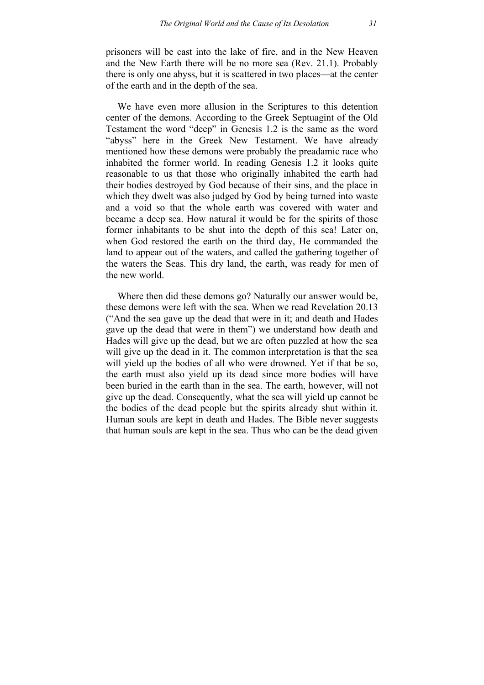prisoners will be cast into the lake of fire, and in the New Heaven and the New Earth there will be no more sea (Rev. 21.1). Probably there is only one abyss, but it is scattered in two places—at the center of the earth and in the depth of the sea.

We have even more allusion in the Scriptures to this detention center of the demons. According to the Greek Septuagint of the Old Testament the word "deep" in Genesis 1.2 is the same as the word "abyss" here in the Greek New Testament. We have already mentioned how these demons were probably the preadamic race who inhabited the former world. In reading Genesis 1.2 it looks quite reasonable to us that those who originally inhabited the earth had their bodies destroyed by God because of their sins, and the place in which they dwelt was also judged by God by being turned into waste and a void so that the whole earth was covered with water and became a deep sea. How natural it would be for the spirits of those former inhabitants to be shut into the depth of this sea! Later on, when God restored the earth on the third day, He commanded the land to appear out of the waters, and called the gathering together of the waters the Seas. This dry land, the earth, was ready for men of the new world.

Where then did these demons go? Naturally our answer would be, these demons were left with the sea. When we read Revelation 20.13 ("And the sea gave up the dead that were in it; and death and Hades gave up the dead that were in them") we understand how death and Hades will give up the dead, but we are often puzzled at how the sea will give up the dead in it. The common interpretation is that the sea will yield up the bodies of all who were drowned. Yet if that be so, the earth must also yield up its dead since more bodies will have been buried in the earth than in the sea. The earth, however, will not give up the dead. Consequently, what the sea will yield up cannot be the bodies of the dead people but the spirits already shut within it. Human souls are kept in death and Hades. The Bible never suggests that human souls are kept in the sea. Thus who can be the dead given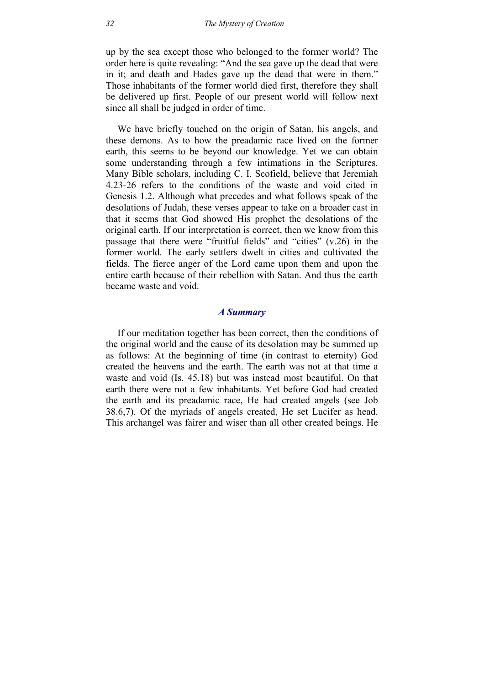up by the sea except those who belonged to the former world? The order here is quite revealing: "And the sea gave up the dead that were in it; and death and Hades gave up the dead that were in them." Those inhabitants of the former world died first, therefore they shall be delivered up first. People of our present world will follow next since all shall be judged in order of time.

We have briefly touched on the origin of Satan, his angels, and these demons. As to how the preadamic race lived on the former earth, this seems to be beyond our knowledge. Yet we can obtain some understanding through a few intimations in the Scriptures. Many Bible scholars, including C. I. Scofield, believe that Jeremiah 4.23-26 refers to the conditions of the waste and void cited in Genesis 1.2. Although what precedes and what follows speak of the desolations of Judah, these verses appear to take on a broader cast in that it seems that God showed His prophet the desolations of the original earth. If our interpretation is correct, then we know from this passage that there were "fruitful fields" and "cities" (v.26) in the former world. The early settlers dwelt in cities and cultivated the fields. The fierce anger of the Lord came upon them and upon the entire earth because of their rebellion with Satan. And thus the earth became waste and void.

### *A Summary*

If our meditation together has been correct, then the conditions of the original world and the cause of its desolation may be summed up as follows: At the beginning of time (in contrast to eternity) God created the heavens and the earth. The earth was not at that time a waste and void (Is. 45.18) but was instead most beautiful. On that earth there were not a few inhabitants. Yet before God had created the earth and its preadamic race, He had created angels (see Job 38.6,7). Of the myriads of angels created, He set Lucifer as head. This archangel was fairer and wiser than all other created beings. He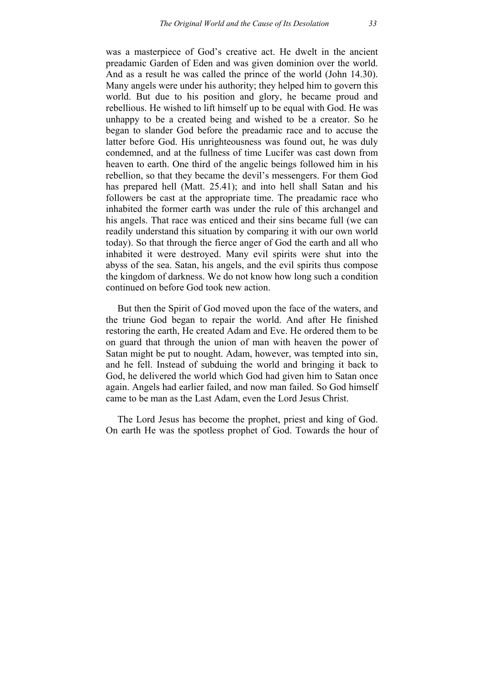was a masterpiece of God's creative act. He dwelt in the ancient preadamic Garden of Eden and was given dominion over the world. And as a result he was called the prince of the world (John 14.30). Many angels were under his authority; they helped him to govern this world. But due to his position and glory, he became proud and rebellious. He wished to lift himself up to be equal with God. He was unhappy to be a created being and wished to be a creator. So he began to slander God before the preadamic race and to accuse the latter before God. His unrighteousness was found out, he was duly condemned, and at the fullness of time Lucifer was cast down from heaven to earth. One third of the angelic beings followed him in his rebellion, so that they became the devil's messengers. For them God has prepared hell (Matt. 25.41); and into hell shall Satan and his followers be cast at the appropriate time. The preadamic race who inhabited the former earth was under the rule of this archangel and his angels. That race was enticed and their sins became full (we can readily understand this situation by comparing it with our own world today). So that through the fierce anger of God the earth and all who inhabited it were destroyed. Many evil spirits were shut into the abyss of the sea. Satan, his angels, and the evil spirits thus compose the kingdom of darkness. We do not know how long such a condition continued on before God took new action.

But then the Spirit of God moved upon the face of the waters, and the triune God began to repair the world. And after He finished restoring the earth, He created Adam and Eve. He ordered them to be on guard that through the union of man with heaven the power of Satan might be put to nought. Adam, however, was tempted into sin, and he fell. Instead of subduing the world and bringing it back to God, he delivered the world which God had given him to Satan once again. Angels had earlier failed, and now man failed. So God himself came to be man as the Last Adam, even the Lord Jesus Christ.

The Lord Jesus has become the prophet, priest and king of God. On earth He was the spotless prophet of God. Towards the hour of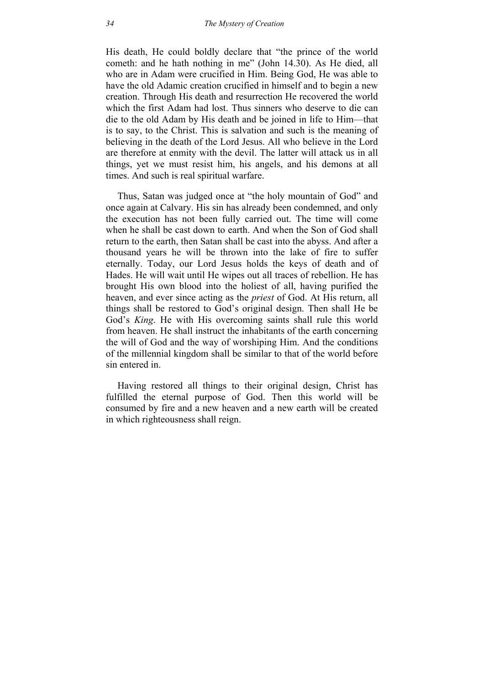His death, He could boldly declare that "the prince of the world cometh: and he hath nothing in me" (John 14.30). As He died, all who are in Adam were crucified in Him. Being God, He was able to have the old Adamic creation crucified in himself and to begin a new creation. Through His death and resurrection He recovered the world which the first Adam had lost. Thus sinners who deserve to die can die to the old Adam by His death and be joined in life to Him—that is to say, to the Christ. This is salvation and such is the meaning of believing in the death of the Lord Jesus. All who believe in the Lord are therefore at enmity with the devil. The latter will attack us in all things, yet we must resist him, his angels, and his demons at all times. And such is real spiritual warfare.

Thus, Satan was judged once at "the holy mountain of God" and once again at Calvary. His sin has already been condemned, and only the execution has not been fully carried out. The time will come when he shall be cast down to earth. And when the Son of God shall return to the earth, then Satan shall be cast into the abyss. And after a thousand years he will be thrown into the lake of fire to suffer eternally. Today, our Lord Jesus holds the keys of death and of Hades. He will wait until He wipes out all traces of rebellion. He has brought His own blood into the holiest of all, having purified the heaven, and ever since acting as the *priest* of God. At His return, all things shall be restored to God's original design. Then shall He be God's *King*. He with His overcoming saints shall rule this world from heaven. He shall instruct the inhabitants of the earth concerning the will of God and the way of worshiping Him. And the conditions of the millennial kingdom shall be similar to that of the world before sin entered in.

Having restored all things to their original design, Christ has fulfilled the eternal purpose of God. Then this world will be consumed by fire and a new heaven and a new earth will be created in which righteousness shall reign.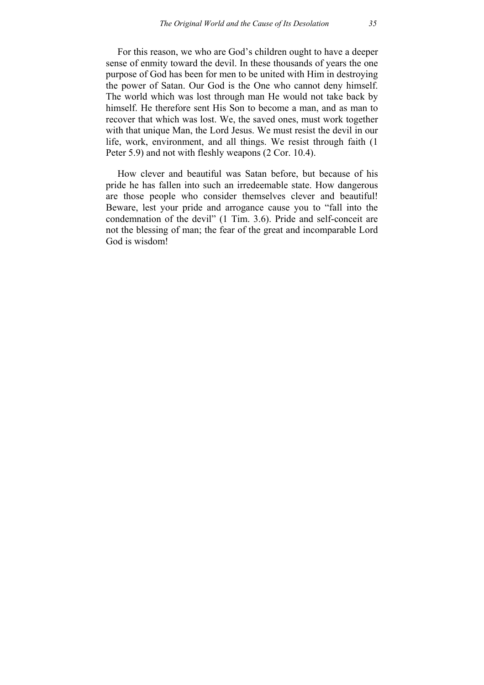For this reason, we who are God's children ought to have a deeper sense of enmity toward the devil. In these thousands of years the one purpose of God has been for men to be united with Him in destroying the power of Satan. Our God is the One who cannot deny himself. The world which was lost through man He would not take back by himself. He therefore sent His Son to become a man, and as man to recover that which was lost. We, the saved ones, must work together with that unique Man, the Lord Jesus. We must resist the devil in our life, work, environment, and all things. We resist through faith (1 Peter 5.9) and not with fleshly weapons (2 Cor. 10.4).

How clever and beautiful was Satan before, but because of his pride he has fallen into such an irredeemable state. How dangerous are those people who consider themselves clever and beautiful! Beware, lest your pride and arrogance cause you to "fall into the condemnation of the devil" (1 Tim. 3.6). Pride and self-conceit are not the blessing of man; the fear of the great and incomparable Lord God is wisdom!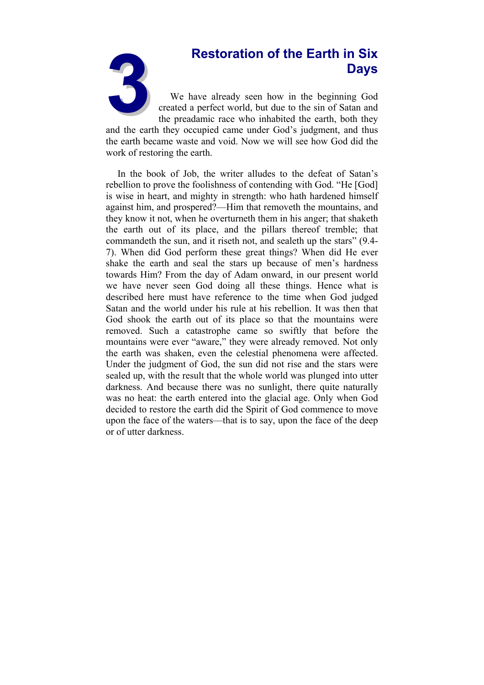# **Days**

**3Restoration of the Earth in Six Days**<br>
We have already seen how in the beginning God created a perfect world, but due to the sin of Satan and the preadamic race who inhabited the earth, both they We have already seen how in the beginning God created a perfect world, but due to the sin of Satan and the preadamic race who inhabited the earth, both they

and the earth they occupied came under God's judgment, and thus the earth became waste and void. Now we will see how God did the work of restoring the earth.

In the book of Job, the writer alludes to the defeat of Satan's rebellion to prove the foolishness of contending with God. "He [God] is wise in heart, and mighty in strength: who hath hardened himself against him, and prospered?—Him that removeth the mountains, and they know it not, when he overturneth them in his anger; that shaketh the earth out of its place, and the pillars thereof tremble; that commandeth the sun, and it riseth not, and sealeth up the stars" (9.4- 7). When did God perform these great things? When did He ever shake the earth and seal the stars up because of men's hardness towards Him? From the day of Adam onward, in our present world we have never seen God doing all these things. Hence what is described here must have reference to the time when God judged Satan and the world under his rule at his rebellion. It was then that God shook the earth out of its place so that the mountains were removed. Such a catastrophe came so swiftly that before the mountains were ever "aware," they were already removed. Not only the earth was shaken, even the celestial phenomena were affected. Under the judgment of God, the sun did not rise and the stars were sealed up, with the result that the whole world was plunged into utter darkness. And because there was no sunlight, there quite naturally was no heat: the earth entered into the glacial age. Only when God decided to restore the earth did the Spirit of God commence to move upon the face of the waters—that is to say, upon the face of the deep or of utter darkness.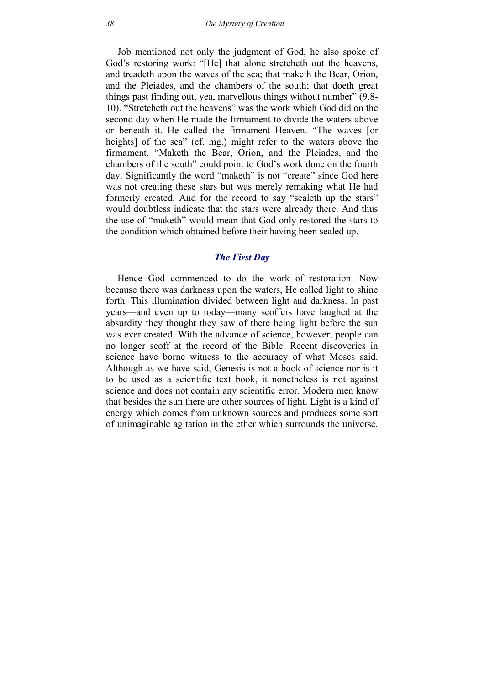Job mentioned not only the judgment of God, he also spoke of God's restoring work: "[He] that alone stretcheth out the heavens, and treadeth upon the waves of the sea; that maketh the Bear, Orion, and the Pleiades, and the chambers of the south; that doeth great things past finding out, yea, marvellous things without number" (9.8- 10). "Stretcheth out the heavens" was the work which God did on the second day when He made the firmament to divide the waters above or beneath it. He called the firmament Heaven. "The waves [or heights] of the sea" (cf. mg.) might refer to the waters above the firmament. "Maketh the Bear, Orion, and the Pleiades, and the chambers of the south" could point to God's work done on the fourth day. Significantly the word "maketh" is not "create" since God here was not creating these stars but was merely remaking what He had formerly created. And for the record to say "sealeth up the stars" would doubtless indicate that the stars were already there. And thus the use of "maketh" would mean that God only restored the stars to the condition which obtained before their having been sealed up.

### *The First Day*

Hence God commenced to do the work of restoration. Now because there was darkness upon the waters, He called light to shine forth. This illumination divided between light and darkness. In past years—and even up to today—many scoffers have laughed at the absurdity they thought they saw of there being light before the sun was ever created. With the advance of science, however, people can no longer scoff at the record of the Bible. Recent discoveries in science have borne witness to the accuracy of what Moses said. Although as we have said, Genesis is not a book of science nor is it to be used as a scientific text book, it nonetheless is not against science and does not contain any scientific error. Modern men know that besides the sun there are other sources of light. Light is a kind of energy which comes from unknown sources and produces some sort of unimaginable agitation in the ether which surrounds the universe.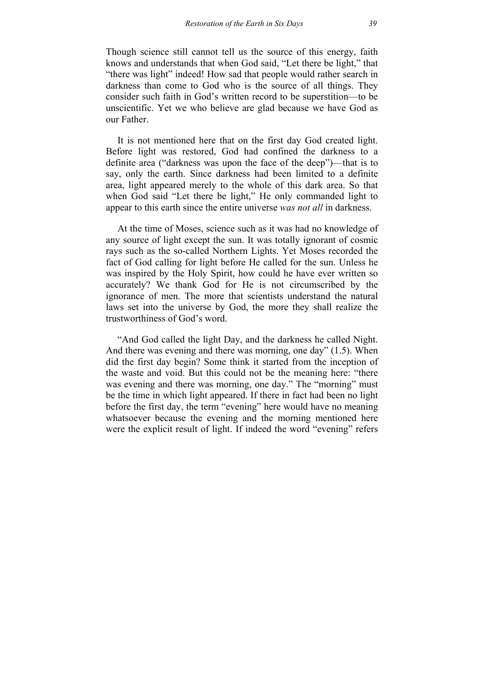Though science still cannot tell us the source of this energy, faith knows and understands that when God said, "Let there be light," that "there was light" indeed! How sad that people would rather search in darkness than come to God who is the source of all things. They consider such faith in God's written record to be superstition—to be unscientific. Yet we who believe are glad because we have God as our Father.

It is not mentioned here that on the first day God created light. Before light was restored, God had confined the darkness to a definite area ("darkness was upon the face of the deep")—that is to say, only the earth. Since darkness had been limited to a definite area, light appeared merely to the whole of this dark area. So that when God said "Let there be light," He only commanded light to appear to this earth since the entire universe *was not all* in darkness.

At the time of Moses, science such as it was had no knowledge of any source of light except the sun. It was totally ignorant of cosmic rays such as the so-called Northern Lights. Yet Moses recorded the fact of God calling for light before He called for the sun. Unless he was inspired by the Holy Spirit, how could he have ever written so accurately? We thank God for He is not circumscribed by the ignorance of men. The more that scientists understand the natural laws set into the universe by God, the more they shall realize the trustworthiness of God's word.

"And God called the light Day, and the darkness he called Night. And there was evening and there was morning, one day" (1.5). When did the first day begin? Some think it started from the inception of the waste and void. But this could not be the meaning here: "there was evening and there was morning, one day." The "morning" must be the time in which light appeared. If there in fact had been no light before the first day, the term "evening" here would have no meaning whatsoever because the evening and the morning mentioned here were the explicit result of light. If indeed the word "evening" refers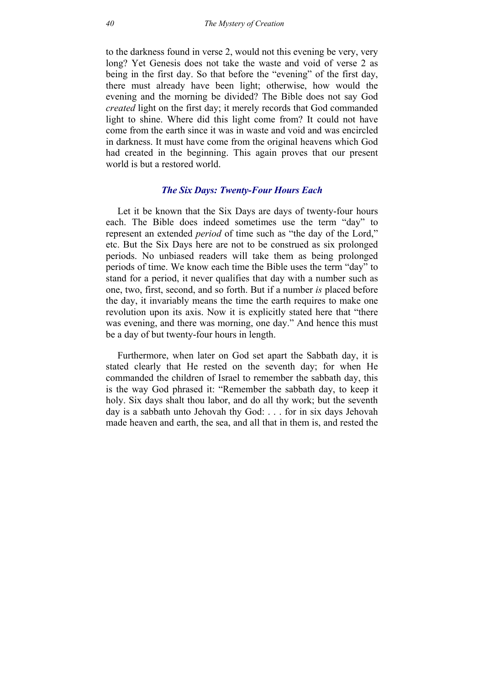to the darkness found in verse 2, would not this evening be very, very long? Yet Genesis does not take the waste and void of verse 2 as being in the first day. So that before the "evening" of the first day, there must already have been light; otherwise, how would the evening and the morning be divided? The Bible does not say God *created* light on the first day; it merely records that God commanded light to shine. Where did this light come from? It could not have come from the earth since it was in waste and void and was encircled in darkness. It must have come from the original heavens which God had created in the beginning. This again proves that our present world is but a restored world.

# *The Six Days: Twenty-Four Hours Each*

Let it be known that the Six Days are days of twenty-four hours each. The Bible does indeed sometimes use the term "day" to represent an extended *period* of time such as "the day of the Lord," etc. But the Six Days here are not to be construed as six prolonged periods. No unbiased readers will take them as being prolonged periods of time. We know each time the Bible uses the term "day" to stand for a period, it never qualifies that day with a number such as one, two, first, second, and so forth. But if a number *is* placed before the day, it invariably means the time the earth requires to make one revolution upon its axis. Now it is explicitly stated here that "there was evening, and there was morning, one day." And hence this must be a day of but twenty-four hours in length.

Furthermore, when later on God set apart the Sabbath day, it is stated clearly that He rested on the seventh day; for when He commanded the children of Israel to remember the sabbath day, this is the way God phrased it: "Remember the sabbath day, to keep it holy. Six days shalt thou labor, and do all thy work; but the seventh day is a sabbath unto Jehovah thy God: . . . for in six days Jehovah made heaven and earth, the sea, and all that in them is, and rested the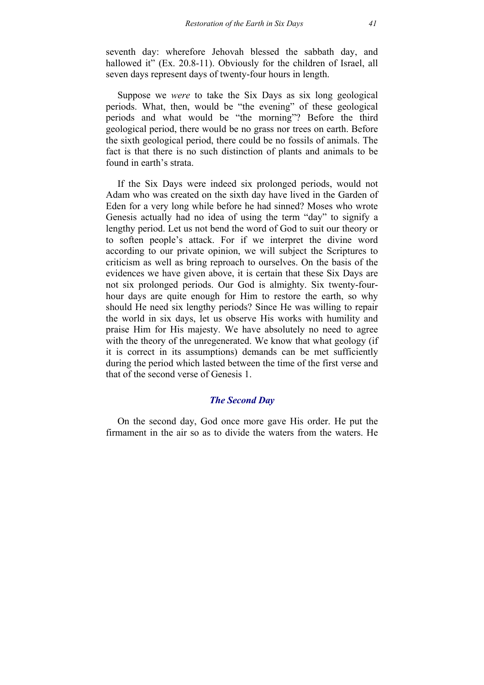seventh day: wherefore Jehovah blessed the sabbath day, and hallowed it" (Ex. 20.8-11). Obviously for the children of Israel, all seven days represent days of twenty-four hours in length.

Suppose we *were* to take the Six Days as six long geological periods. What, then, would be "the evening" of these geological periods and what would be "the morning"? Before the third geological period, there would be no grass nor trees on earth. Before the sixth geological period, there could be no fossils of animals. The fact is that there is no such distinction of plants and animals to be found in earth's strata.

If the Six Days were indeed six prolonged periods, would not Adam who was created on the sixth day have lived in the Garden of Eden for a very long while before he had sinned? Moses who wrote Genesis actually had no idea of using the term "day" to signify a lengthy period. Let us not bend the word of God to suit our theory or to soften people's attack. For if we interpret the divine word according to our private opinion, we will subject the Scriptures to criticism as well as bring reproach to ourselves. On the basis of the evidences we have given above, it is certain that these Six Days are not six prolonged periods. Our God is almighty. Six twenty-fourhour days are quite enough for Him to restore the earth, so why should He need six lengthy periods? Since He was willing to repair the world in six days, let us observe His works with humility and praise Him for His majesty. We have absolutely no need to agree with the theory of the unregenerated. We know that what geology (if it is correct in its assumptions) demands can be met sufficiently during the period which lasted between the time of the first verse and that of the second verse of Genesis 1.

# *The Second Day*

On the second day, God once more gave His order. He put the firmament in the air so as to divide the waters from the waters. He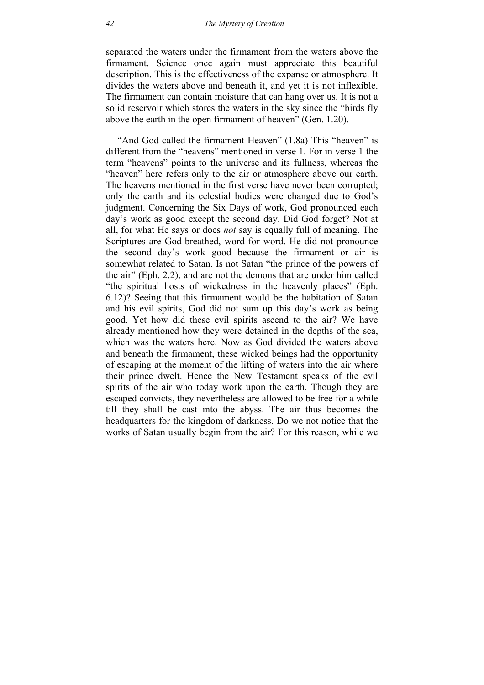separated the waters under the firmament from the waters above the firmament. Science once again must appreciate this beautiful description. This is the effectiveness of the expanse or atmosphere. It divides the waters above and beneath it, and yet it is not inflexible. The firmament can contain moisture that can hang over us. It is not a solid reservoir which stores the waters in the sky since the "birds fly above the earth in the open firmament of heaven" (Gen. 1.20).

"And God called the firmament Heaven" (1.8a) This "heaven" is different from the "heavens" mentioned in verse 1. For in verse 1 the term "heavens" points to the universe and its fullness, whereas the "heaven" here refers only to the air or atmosphere above our earth. The heavens mentioned in the first verse have never been corrupted; only the earth and its celestial bodies were changed due to God's judgment. Concerning the Six Days of work, God pronounced each day's work as good except the second day. Did God forget? Not at all, for what He says or does *not* say is equally full of meaning. The Scriptures are God-breathed, word for word. He did not pronounce the second day's work good because the firmament or air is somewhat related to Satan. Is not Satan "the prince of the powers of the air" (Eph. 2.2), and are not the demons that are under him called "the spiritual hosts of wickedness in the heavenly places" (Eph. 6.12)? Seeing that this firmament would be the habitation of Satan and his evil spirits, God did not sum up this day's work as being good. Yet how did these evil spirits ascend to the air? We have already mentioned how they were detained in the depths of the sea, which was the waters here. Now as God divided the waters above and beneath the firmament, these wicked beings had the opportunity of escaping at the moment of the lifting of waters into the air where their prince dwelt. Hence the New Testament speaks of the evil spirits of the air who today work upon the earth. Though they are escaped convicts, they nevertheless are allowed to be free for a while till they shall be cast into the abyss. The air thus becomes the headquarters for the kingdom of darkness. Do we not notice that the works of Satan usually begin from the air? For this reason, while we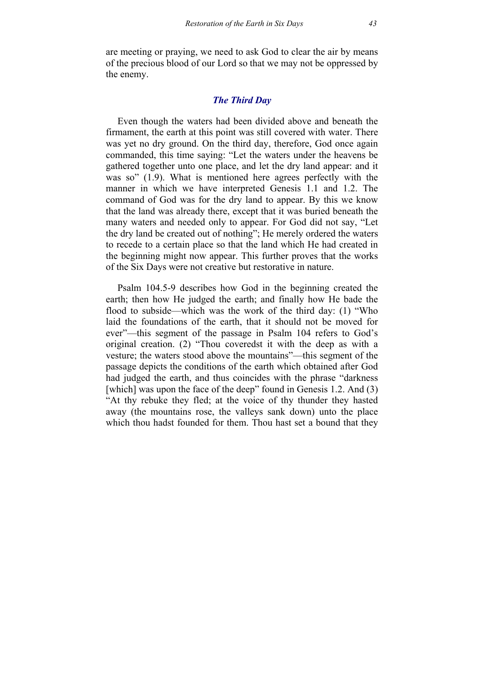are meeting or praying, we need to ask God to clear the air by means of the precious blood of our Lord so that we may not be oppressed by the enemy.

# *The Third Day*

Even though the waters had been divided above and beneath the firmament, the earth at this point was still covered with water. There was yet no dry ground. On the third day, therefore, God once again commanded, this time saying: "Let the waters under the heavens be gathered together unto one place, and let the dry land appear: and it was so" (1.9). What is mentioned here agrees perfectly with the manner in which we have interpreted Genesis 1.1 and 1.2. The command of God was for the dry land to appear. By this we know that the land was already there, except that it was buried beneath the many waters and needed only to appear. For God did not say, "Let the dry land be created out of nothing"; He merely ordered the waters to recede to a certain place so that the land which He had created in the beginning might now appear. This further proves that the works of the Six Days were not creative but restorative in nature.

Psalm 104.5-9 describes how God in the beginning created the earth; then how He judged the earth; and finally how He bade the flood to subside—which was the work of the third day: (1) "Who laid the foundations of the earth, that it should not be moved for ever"—this segment of the passage in Psalm 104 refers to God's original creation. (2) "Thou coveredst it with the deep as with a vesture; the waters stood above the mountains"—this segment of the passage depicts the conditions of the earth which obtained after God had judged the earth, and thus coincides with the phrase "darkness [which] was upon the face of the deep" found in Genesis 1.2. And (3) "At thy rebuke they fled; at the voice of thy thunder they hasted away (the mountains rose, the valleys sank down) unto the place which thou hadst founded for them. Thou hast set a bound that they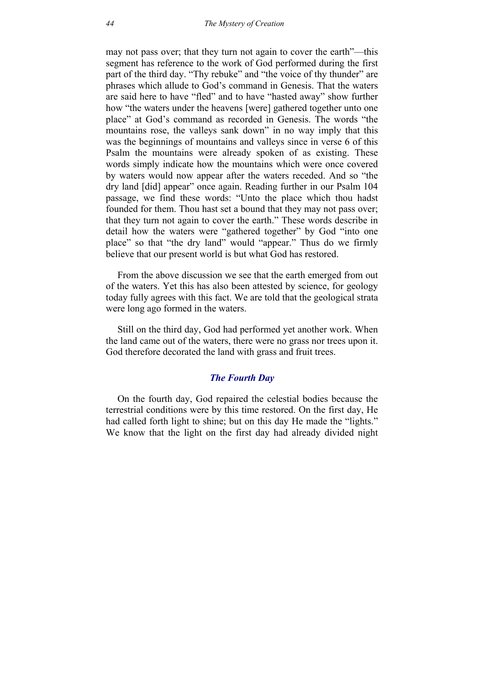may not pass over; that they turn not again to cover the earth"—this segment has reference to the work of God performed during the first part of the third day. "Thy rebuke" and "the voice of thy thunder" are phrases which allude to God's command in Genesis. That the waters are said here to have "fled" and to have "hasted away" show further how "the waters under the heavens [were] gathered together unto one place" at God's command as recorded in Genesis. The words "the mountains rose, the valleys sank down" in no way imply that this was the beginnings of mountains and valleys since in verse 6 of this Psalm the mountains were already spoken of as existing. These words simply indicate how the mountains which were once covered by waters would now appear after the waters receded. And so "the dry land [did] appear" once again. Reading further in our Psalm 104 passage, we find these words: "Unto the place which thou hadst founded for them. Thou hast set a bound that they may not pass over; that they turn not again to cover the earth." These words describe in detail how the waters were "gathered together" by God "into one place" so that "the dry land" would "appear." Thus do we firmly believe that our present world is but what God has restored.

From the above discussion we see that the earth emerged from out of the waters. Yet this has also been attested by science, for geology today fully agrees with this fact. We are told that the geological strata were long ago formed in the waters.

Still on the third day, God had performed yet another work. When the land came out of the waters, there were no grass nor trees upon it. God therefore decorated the land with grass and fruit trees.

# *The Fourth Day*

On the fourth day, God repaired the celestial bodies because the terrestrial conditions were by this time restored. On the first day, He had called forth light to shine; but on this day He made the "lights." We know that the light on the first day had already divided night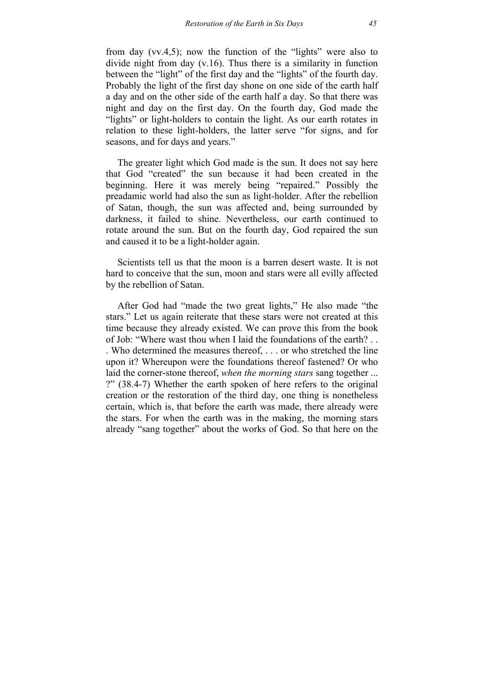from day (vv.4,5); now the function of the "lights" were also to divide night from day (v.16). Thus there is a similarity in function between the "light" of the first day and the "lights" of the fourth day. Probably the light of the first day shone on one side of the earth half a day and on the other side of the earth half a day. So that there was night and day on the first day. On the fourth day, God made the "lights" or light-holders to contain the light. As our earth rotates in relation to these light-holders, the latter serve "for signs, and for seasons, and for days and years."

The greater light which God made is the sun. It does not say here that God "created" the sun because it had been created in the beginning. Here it was merely being "repaired." Possibly the preadamic world had also the sun as light-holder. After the rebellion of Satan, though, the sun was affected and, being surrounded by darkness, it failed to shine. Nevertheless, our earth continued to rotate around the sun. But on the fourth day, God repaired the sun and caused it to be a light-holder again.

Scientists tell us that the moon is a barren desert waste. It is not hard to conceive that the sun, moon and stars were all evilly affected by the rebellion of Satan.

After God had "made the two great lights," He also made "the stars." Let us again reiterate that these stars were not created at this time because they already existed. We can prove this from the book of Job: "Where wast thou when I laid the foundations of the earth? . . . Who determined the measures thereof, . . . or who stretched the line upon it? Whereupon were the foundations thereof fastened? Or who laid the corner-stone thereof, *when the morning stars* sang together ... ?" (38.4-7) Whether the earth spoken of here refers to the original creation or the restoration of the third day, one thing is nonetheless certain, which is, that before the earth was made, there already were the stars. For when the earth was in the making, the morning stars already "sang together" about the works of God. So that here on the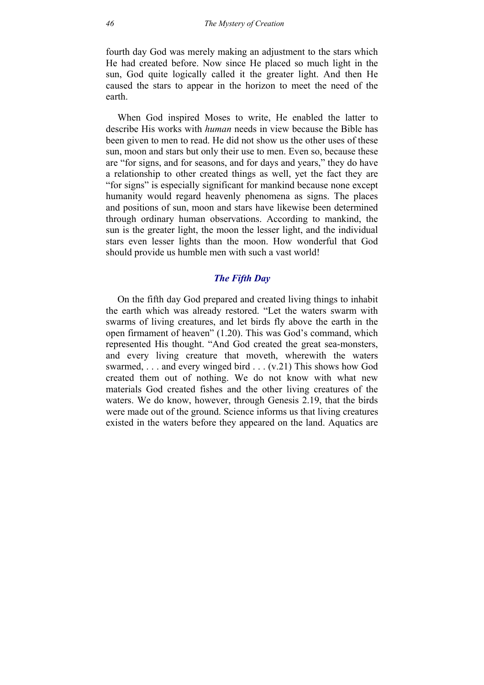fourth day God was merely making an adjustment to the stars which He had created before. Now since He placed so much light in the sun, God quite logically called it the greater light. And then He caused the stars to appear in the horizon to meet the need of the earth.

When God inspired Moses to write, He enabled the latter to describe His works with *human* needs in view because the Bible has been given to men to read. He did not show us the other uses of these sun, moon and stars but only their use to men. Even so, because these are "for signs, and for seasons, and for days and years," they do have a relationship to other created things as well, yet the fact they are "for signs" is especially significant for mankind because none except humanity would regard heavenly phenomena as signs. The places and positions of sun, moon and stars have likewise been determined through ordinary human observations. According to mankind, the sun is the greater light, the moon the lesser light, and the individual stars even lesser lights than the moon. How wonderful that God should provide us humble men with such a vast world!

# *The Fifth Day*

On the fifth day God prepared and created living things to inhabit the earth which was already restored. "Let the waters swarm with swarms of living creatures, and let birds fly above the earth in the open firmament of heaven" (1.20). This was God's command, which represented His thought. "And God created the great sea-monsters, and every living creature that moveth, wherewith the waters swarmed, . . . and every winged bird . . . (v.21) This shows how God created them out of nothing. We do not know with what new materials God created fishes and the other living creatures of the waters. We do know, however, through Genesis 2.19, that the birds were made out of the ground. Science informs us that living creatures existed in the waters before they appeared on the land. Aquatics are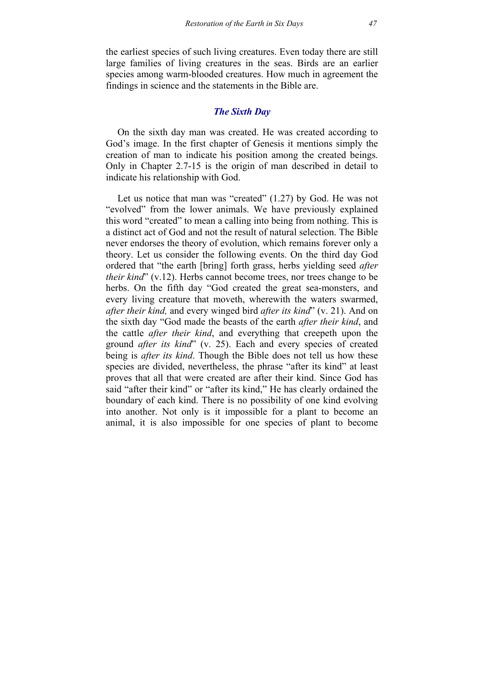the earliest species of such living creatures. Even today there are still large families of living creatures in the seas. Birds are an earlier species among warm-blooded creatures. How much in agreement the findings in science and the statements in the Bible are.

# *The Sixth Day*

On the sixth day man was created. He was created according to God's image. In the first chapter of Genesis it mentions simply the creation of man to indicate his position among the created beings. Only in Chapter 2.7-15 is the origin of man described in detail to indicate his relationship with God.

Let us notice that man was "created" (1.27) by God. He was not "evolved" from the lower animals. We have previously explained this word "created" to mean a calling into being from nothing. This is a distinct act of God and not the result of natural selection. The Bible never endorses the theory of evolution, which remains forever only a theory. Let us consider the following events. On the third day God ordered that "the earth [bring] forth grass, herbs yielding seed *after their kind*" (v.12). Herbs cannot become trees, nor trees change to be herbs. On the fifth day "God created the great sea-monsters, and every living creature that moveth, wherewith the waters swarmed, *after their kind,* and every winged bird *after its kind*" (v. 21). And on the sixth day "God made the beasts of the earth *after their kind*, and the cattle *after their kind*, and everything that creepeth upon the ground *after its kind*" (v. 25). Each and every species of created being is *after its kind*. Though the Bible does not tell us how these species are divided, nevertheless, the phrase "after its kind" at least proves that all that were created are after their kind. Since God has said "after their kind" or "after its kind," He has clearly ordained the boundary of each kind. There is no possibility of one kind evolving into another. Not only is it impossible for a plant to become an animal, it is also impossible for one species of plant to become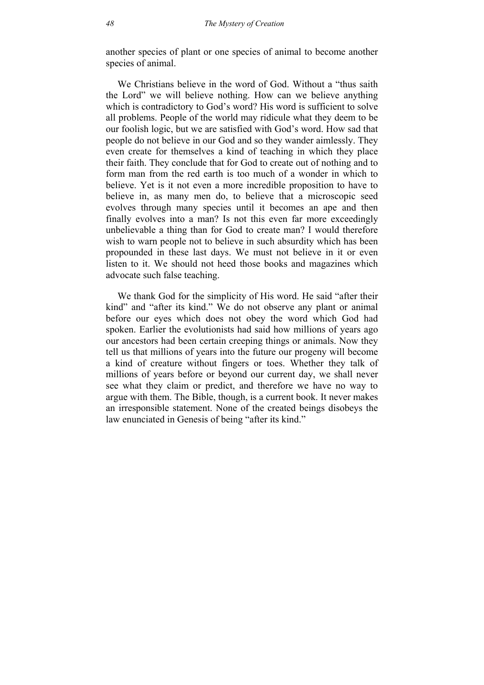another species of plant or one species of animal to become another species of animal.

We Christians believe in the word of God. Without a "thus saith" the Lord" we will believe nothing. How can we believe anything which is contradictory to God's word? His word is sufficient to solve all problems. People of the world may ridicule what they deem to be our foolish logic, but we are satisfied with God's word. How sad that people do not believe in our God and so they wander aimlessly. They even create for themselves a kind of teaching in which they place their faith. They conclude that for God to create out of nothing and to form man from the red earth is too much of a wonder in which to believe. Yet is it not even a more incredible proposition to have to believe in, as many men do, to believe that a microscopic seed evolves through many species until it becomes an ape and then finally evolves into a man? Is not this even far more exceedingly unbelievable a thing than for God to create man? I would therefore wish to warn people not to believe in such absurdity which has been propounded in these last days. We must not believe in it or even listen to it. We should not heed those books and magazines which advocate such false teaching.

We thank God for the simplicity of His word. He said "after their kind" and "after its kind." We do not observe any plant or animal before our eyes which does not obey the word which God had spoken. Earlier the evolutionists had said how millions of years ago our ancestors had been certain creeping things or animals. Now they tell us that millions of years into the future our progeny will become a kind of creature without fingers or toes. Whether they talk of millions of years before or beyond our current day, we shall never see what they claim or predict, and therefore we have no way to argue with them. The Bible, though, is a current book. It never makes an irresponsible statement. None of the created beings disobeys the law enunciated in Genesis of being "after its kind."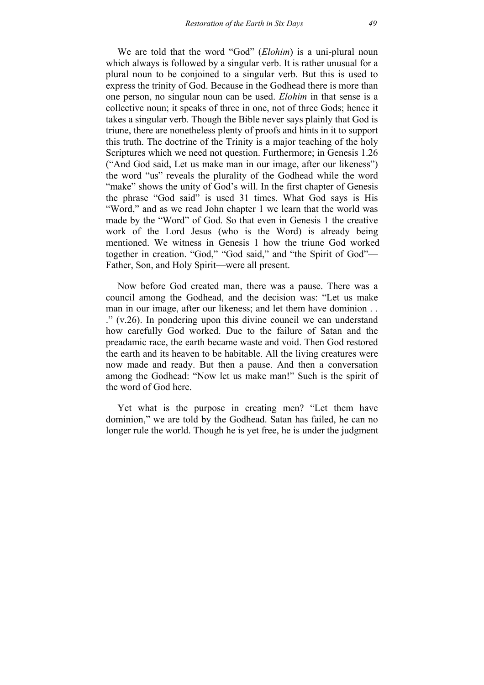We are told that the word "God" (*Elohim*) is a uni-plural noun which always is followed by a singular verb. It is rather unusual for a plural noun to be conjoined to a singular verb. But this is used to express the trinity of God. Because in the Godhead there is more than one person, no singular noun can be used. *Elohim* in that sense is a collective noun; it speaks of three in one, not of three Gods; hence it takes a singular verb. Though the Bible never says plainly that God is triune, there are nonetheless plenty of proofs and hints in it to support this truth. The doctrine of the Trinity is a major teaching of the holy Scriptures which we need not question. Furthermore; in Genesis 1.26 ("And God said, Let us make man in our image, after our likeness") the word "us" reveals the plurality of the Godhead while the word "make" shows the unity of God's will. In the first chapter of Genesis the phrase "God said" is used 31 times. What God says is His "Word," and as we read John chapter 1 we learn that the world was made by the "Word" of God. So that even in Genesis 1 the creative work of the Lord Jesus (who is the Word) is already being mentioned. We witness in Genesis 1 how the triune God worked together in creation. "God," "God said," and "the Spirit of God"— Father, Son, and Holy Spirit—were all present.

Now before God created man, there was a pause. There was a council among the Godhead, and the decision was: "Let us make man in our image, after our likeness; and let them have dominion . . ." (v.26). In pondering upon this divine council we can understand how carefully God worked. Due to the failure of Satan and the preadamic race, the earth became waste and void. Then God restored the earth and its heaven to be habitable. All the living creatures were now made and ready. But then a pause. And then a conversation among the Godhead: "Now let us make man!" Such is the spirit of the word of God here.

Yet what is the purpose in creating men? "Let them have dominion," we are told by the Godhead. Satan has failed, he can no longer rule the world. Though he is yet free, he is under the judgment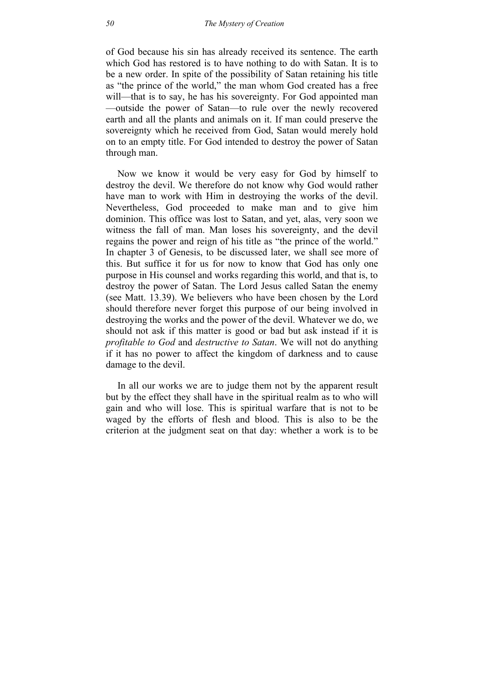of God because his sin has already received its sentence. The earth which God has restored is to have nothing to do with Satan. It is to be a new order. In spite of the possibility of Satan retaining his title as "the prince of the world," the man whom God created has a free will—that is to say, he has his sovereignty. For God appointed man —outside the power of Satan—to rule over the newly recovered earth and all the plants and animals on it. If man could preserve the sovereignty which he received from God, Satan would merely hold on to an empty title. For God intended to destroy the power of Satan through man.

Now we know it would be very easy for God by himself to destroy the devil. We therefore do not know why God would rather have man to work with Him in destroying the works of the devil. Nevertheless, God proceeded to make man and to give him dominion. This office was lost to Satan, and yet, alas, very soon we witness the fall of man. Man loses his sovereignty, and the devil regains the power and reign of his title as "the prince of the world." In chapter 3 of Genesis, to be discussed later, we shall see more of this. But suffice it for us for now to know that God has only one purpose in His counsel and works regarding this world, and that is, to destroy the power of Satan. The Lord Jesus called Satan the enemy (see Matt. 13.39). We believers who have been chosen by the Lord should therefore never forget this purpose of our being involved in destroying the works and the power of the devil. Whatever we do, we should not ask if this matter is good or bad but ask instead if it is *profitable to God* and *destructive to Satan*. We will not do anything if it has no power to affect the kingdom of darkness and to cause damage to the devil.

In all our works we are to judge them not by the apparent result but by the effect they shall have in the spiritual realm as to who will gain and who will lose. This is spiritual warfare that is not to be waged by the efforts of flesh and blood. This is also to be the criterion at the judgment seat on that day: whether a work is to be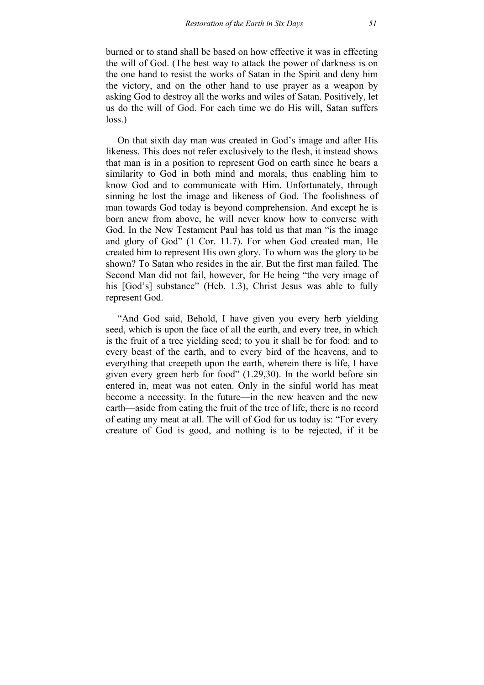burned or to stand shall be based on how effective it was in effecting the will of God. (The best way to attack the power of darkness is on the one hand to resist the works of Satan in the Spirit and deny him the victory, and on the other hand to use prayer as a weapon by asking God to destroy all the works and wiles of Satan. Positively, let us do the will of God. For each time we do His will, Satan suffers loss.)

On that sixth day man was created in God's image and after His likeness. This does not refer exclusively to the flesh, it instead shows that man is in a position to represent God on earth since he bears a similarity to God in both mind and morals, thus enabling him to know God and to communicate with Him. Unfortunately, through sinning he lost the image and likeness of God. The foolishness of man towards God today is beyond comprehension. And except he is born anew from above, he will never know how to converse with God. In the New Testament Paul has told us that man "is the image and glory of God" (1 Cor. 11.7). For when God created man, He created him to represent His own glory. To whom was the glory to be shown? To Satan who resides in the air. But the first man failed. The Second Man did not fail, however, for He being "the very image of his [God's] substance" (Heb. 1.3), Christ Jesus was able to fully represent God.

"And God said, Behold, I have given you every herb yielding seed, which is upon the face of all the earth, and every tree, in which is the fruit of a tree yielding seed; to you it shall be for food: and to every beast of the earth, and to every bird of the heavens, and to everything that creepeth upon the earth, wherein there is life, I have given every green herb for food" (1.29,30). In the world before sin entered in, meat was not eaten. Only in the sinful world has meat become a necessity. In the future—in the new heaven and the new earth—aside from eating the fruit of the tree of life, there is no record of eating any meat at all. The will of God for us today is: "For every creature of God is good, and nothing is to be rejected, if it be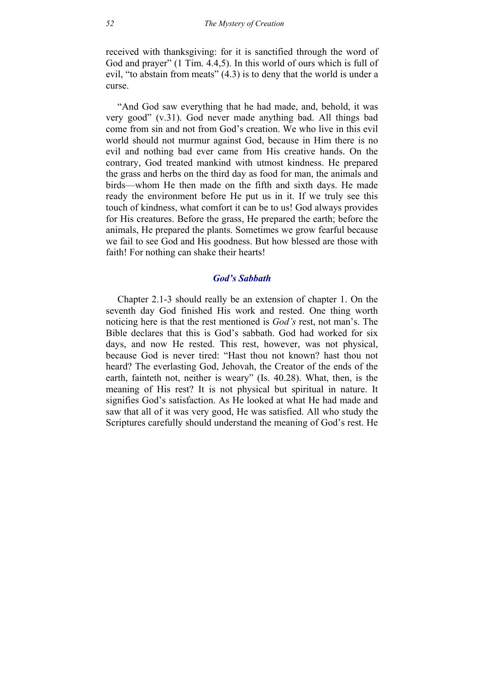received with thanksgiving: for it is sanctified through the word of God and prayer" (1 Tim. 4.4,5). In this world of ours which is full of evil, "to abstain from meats" (4.3) is to deny that the world is under a curse.

"And God saw everything that he had made, and, behold, it was very good" (v.31). God never made anything bad. All things bad come from sin and not from God's creation. We who live in this evil world should not murmur against God, because in Him there is no evil and nothing bad ever came from His creative hands. On the contrary, God treated mankind with utmost kindness. He prepared the grass and herbs on the third day as food for man, the animals and birds—whom He then made on the fifth and sixth days. He made ready the environment before He put us in it. If we truly see this touch of kindness, what comfort it can be to us! God always provides for His creatures. Before the grass, He prepared the earth; before the animals, He prepared the plants. Sometimes we grow fearful because we fail to see God and His goodness. But how blessed are those with faith! For nothing can shake their hearts!

#### *God's Sabbath*

Chapter 2.1-3 should really be an extension of chapter 1. On the seventh day God finished His work and rested. One thing worth noticing here is that the rest mentioned is *God's* rest, not man's. The Bible declares that this is God's sabbath. God had worked for six days, and now He rested. This rest, however, was not physical, because God is never tired: "Hast thou not known? hast thou not heard? The everlasting God, Jehovah, the Creator of the ends of the earth, fainteth not, neither is weary" (Is. 40.28). What, then, is the meaning of His rest? It is not physical but spiritual in nature. It signifies God's satisfaction. As He looked at what He had made and saw that all of it was very good, He was satisfied. All who study the Scriptures carefully should understand the meaning of God's rest. He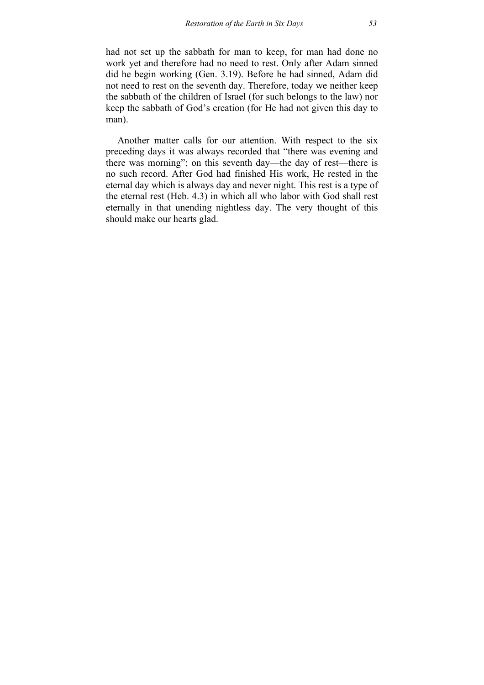had not set up the sabbath for man to keep, for man had done no work yet and therefore had no need to rest. Only after Adam sinned did he begin working (Gen. 3.19). Before he had sinned, Adam did not need to rest on the seventh day. Therefore, today we neither keep the sabbath of the children of Israel (for such belongs to the law) nor keep the sabbath of God's creation (for He had not given this day to man).

Another matter calls for our attention. With respect to the six preceding days it was always recorded that "there was evening and there was morning"; on this seventh day—the day of rest—there is no such record. After God had finished His work, He rested in the eternal day which is always day and never night. This rest is a type of the eternal rest (Heb. 4.3) in which all who labor with God shall rest eternally in that unending nightless day. The very thought of this should make our hearts glad.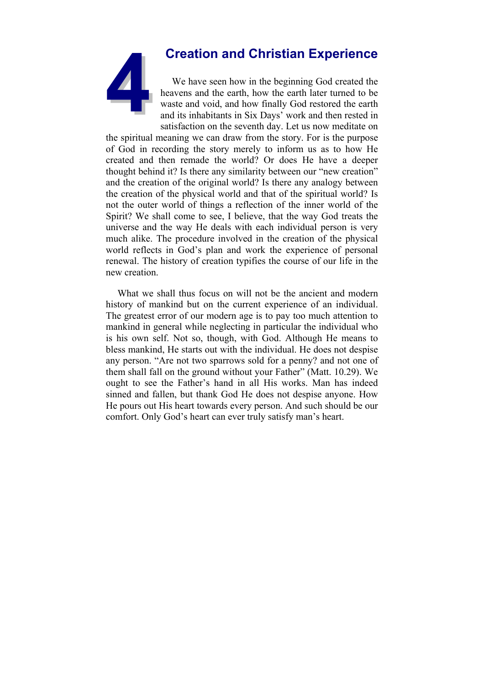# **4Creation and Christian Experience**

We have seen how in the beginning God created the heavens and the earth, how the earth later turned to be waste and void, and how finally God restored the earth and its inhabitants in Six Days' work and then rested in satisfaction on the seventh day. Let us now meditate on

the spiritual meaning we can draw from the story. For is the purpose of God in recording the story merely to inform us as to how He created and then remade the world? Or does He have a deeper thought behind it? Is there any similarity between our "new creation" and the creation of the original world? Is there any analogy between the creation of the physical world and that of the spiritual world? Is not the outer world of things a reflection of the inner world of the Spirit? We shall come to see, I believe, that the way God treats the universe and the way He deals with each individual person is very much alike. The procedure involved in the creation of the physical world reflects in God's plan and work the experience of personal renewal. The history of creation typifies the course of our life in the new creation.

What we shall thus focus on will not be the ancient and modern history of mankind but on the current experience of an individual. The greatest error of our modern age is to pay too much attention to mankind in general while neglecting in particular the individual who is his own self. Not so, though, with God. Although He means to bless mankind, He starts out with the individual. He does not despise any person. "Are not two sparrows sold for a penny? and not one of them shall fall on the ground without your Father" (Matt. 10.29). We ought to see the Father's hand in all His works. Man has indeed sinned and fallen, but thank God He does not despise anyone. How He pours out His heart towards every person. And such should be our comfort. Only God's heart can ever truly satisfy man's heart.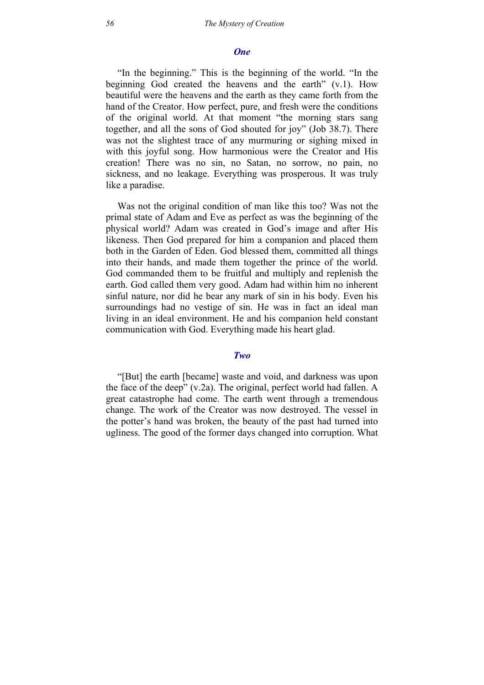#### *One*

"In the beginning." This is the beginning of the world. "In the beginning God created the heavens and the earth" (v.1). How beautiful were the heavens and the earth as they came forth from the hand of the Creator. How perfect, pure, and fresh were the conditions of the original world. At that moment "the morning stars sang together, and all the sons of God shouted for joy" (Job 38.7). There was not the slightest trace of any murmuring or sighing mixed in with this joyful song. How harmonious were the Creator and His creation! There was no sin, no Satan, no sorrow, no pain, no sickness, and no leakage. Everything was prosperous. It was truly like a paradise.

Was not the original condition of man like this too? Was not the primal state of Adam and Eve as perfect as was the beginning of the physical world? Adam was created in God's image and after His likeness. Then God prepared for him a companion and placed them both in the Garden of Eden. God blessed them, committed all things into their hands, and made them together the prince of the world. God commanded them to be fruitful and multiply and replenish the earth. God called them very good. Adam had within him no inherent sinful nature, nor did he bear any mark of sin in his body. Even his surroundings had no vestige of sin. He was in fact an ideal man living in an ideal environment. He and his companion held constant communication with God. Everything made his heart glad.

#### *Two*

"[But] the earth [became] waste and void, and darkness was upon the face of the deep" (v.2a). The original, perfect world had fallen. A great catastrophe had come. The earth went through a tremendous change. The work of the Creator was now destroyed. The vessel in the potter's hand was broken, the beauty of the past had turned into ugliness. The good of the former days changed into corruption. What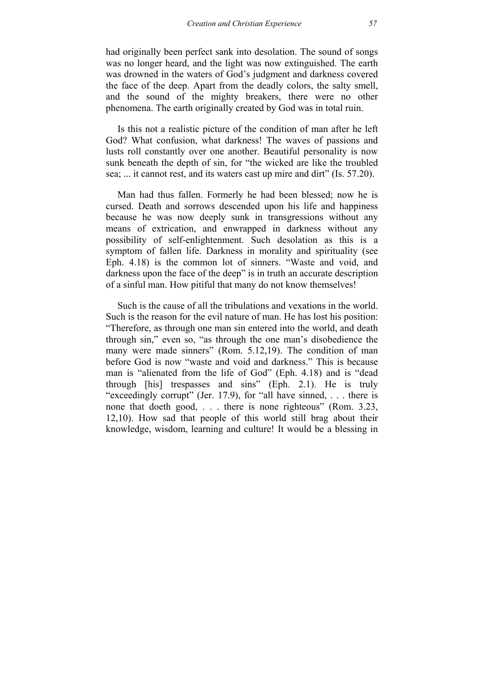had originally been perfect sank into desolation. The sound of songs was no longer heard, and the light was now extinguished. The earth was drowned in the waters of God's judgment and darkness covered the face of the deep. Apart from the deadly colors, the salty smell, and the sound of the mighty breakers, there were no other phenomena. The earth originally created by God was in total ruin.

Is this not a realistic picture of the condition of man after he left God? What confusion, what darkness! The waves of passions and lusts roll constantly over one another. Beautiful personality is now sunk beneath the depth of sin, for "the wicked are like the troubled sea; ... it cannot rest, and its waters cast up mire and dirt" (Is. 57.20).

Man had thus fallen. Formerly he had been blessed; now he is cursed. Death and sorrows descended upon his life and happiness because he was now deeply sunk in transgressions without any means of extrication, and enwrapped in darkness without any possibility of self-enlightenment. Such desolation as this is a symptom of fallen life. Darkness in morality and spirituality (see Eph. 4.18) is the common lot of sinners. "Waste and void, and darkness upon the face of the deep" is in truth an accurate description of a sinful man. How pitiful that many do not know themselves!

Such is the cause of all the tribulations and vexations in the world. Such is the reason for the evil nature of man. He has lost his position: "Therefore, as through one man sin entered into the world, and death through sin," even so, "as through the one man's disobedience the many were made sinners" (Rom. 5.12,19). The condition of man before God is now "waste and void and darkness." This is because man is "alienated from the life of God" (Eph. 4.18) and is "dead through [his] trespasses and sins" (Eph. 2.1). He is truly "exceedingly corrupt" (Jer. 17.9), for "all have sinned, . . . there is none that doeth good, . . . there is none righteous" (Rom. 3.23, 12,10). How sad that people of this world still brag about their knowledge, wisdom, learning and culture! It would be a blessing in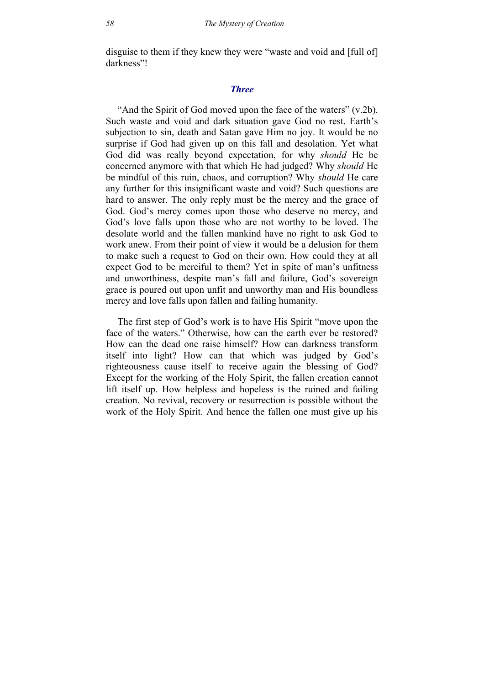disguise to them if they knew they were "waste and void and [full of] darkness"!

#### *Three*

"And the Spirit of God moved upon the face of the waters" (v.2b). Such waste and void and dark situation gave God no rest. Earth's subjection to sin, death and Satan gave Him no joy. It would be no surprise if God had given up on this fall and desolation. Yet what God did was really beyond expectation, for why *should* He be concerned anymore with that which He had judged? Why *should* He be mindful of this ruin, chaos, and corruption? Why *should* He care any further for this insignificant waste and void? Such questions are hard to answer. The only reply must be the mercy and the grace of God. God's mercy comes upon those who deserve no mercy, and God's love falls upon those who are not worthy to be loved. The desolate world and the fallen mankind have no right to ask God to work anew. From their point of view it would be a delusion for them to make such a request to God on their own. How could they at all expect God to be merciful to them? Yet in spite of man's unfitness and unworthiness, despite man's fall and failure, God's sovereign grace is poured out upon unfit and unworthy man and His boundless mercy and love falls upon fallen and failing humanity.

The first step of God's work is to have His Spirit "move upon the face of the waters." Otherwise, how can the earth ever be restored? How can the dead one raise himself? How can darkness transform itself into light? How can that which was judged by God's righteousness cause itself to receive again the blessing of God? Except for the working of the Holy Spirit, the fallen creation cannot lift itself up. How helpless and hopeless is the ruined and failing creation. No revival, recovery or resurrection is possible without the work of the Holy Spirit. And hence the fallen one must give up his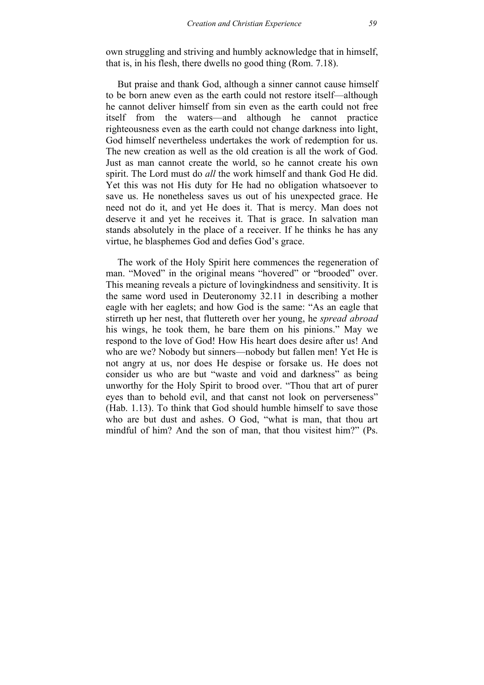own struggling and striving and humbly acknowledge that in himself, that is, in his flesh, there dwells no good thing (Rom. 7.18).

But praise and thank God, although a sinner cannot cause himself to be born anew even as the earth could not restore itself—although he cannot deliver himself from sin even as the earth could not free itself from the waters—and although he cannot practice righteousness even as the earth could not change darkness into light, God himself nevertheless undertakes the work of redemption for us. The new creation as well as the old creation is all the work of God. Just as man cannot create the world, so he cannot create his own spirit. The Lord must do *all* the work himself and thank God He did. Yet this was not His duty for He had no obligation whatsoever to save us. He nonetheless saves us out of his unexpected grace. He need not do it, and yet He does it. That is mercy. Man does not deserve it and yet he receives it. That is grace. In salvation man stands absolutely in the place of a receiver. If he thinks he has any virtue, he blasphemes God and defies God's grace.

The work of the Holy Spirit here commences the regeneration of man. "Moved" in the original means "hovered" or "brooded" over. This meaning reveals a picture of lovingkindness and sensitivity. It is the same word used in Deuteronomy 32.11 in describing a mother eagle with her eaglets; and how God is the same: "As an eagle that stirreth up her nest, that fluttereth over her young, he *spread abroad* his wings, he took them, he bare them on his pinions." May we respond to the love of God! How His heart does desire after us! And who are we? Nobody but sinners—nobody but fallen men! Yet He is not angry at us, nor does He despise or forsake us. He does not consider us who are but "waste and void and darkness" as being unworthy for the Holy Spirit to brood over. "Thou that art of purer eyes than to behold evil, and that canst not look on perverseness" (Hab. 1.13). To think that God should humble himself to save those who are but dust and ashes. O God, "what is man, that thou art mindful of him? And the son of man, that thou visitest him?" (Ps.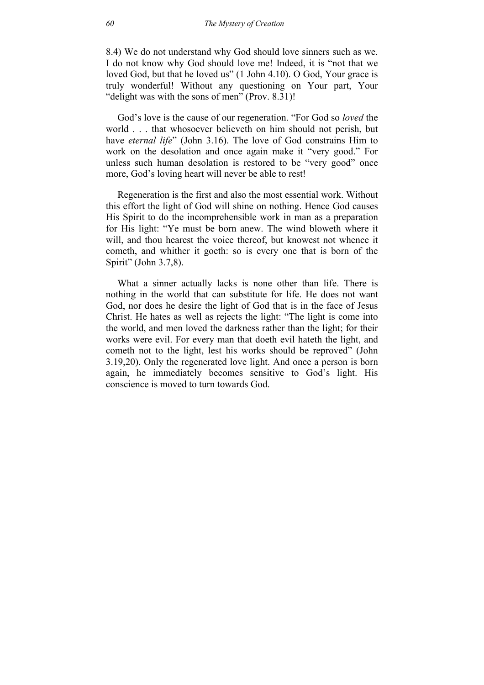8.4) We do not understand why God should love sinners such as we. I do not know why God should love me! Indeed, it is "not that we loved God, but that he loved us" (1 John 4.10). O God, Your grace is truly wonderful! Without any questioning on Your part, Your "delight was with the sons of men" (Prov. 8.31)!

God's love is the cause of our regeneration. "For God so *loved* the world . . . that whosoever believeth on him should not perish, but have *eternal life*" (John 3.16). The love of God constrains Him to work on the desolation and once again make it "very good." For unless such human desolation is restored to be "very good" once more, God's loving heart will never be able to rest!

Regeneration is the first and also the most essential work. Without this effort the light of God will shine on nothing. Hence God causes His Spirit to do the incomprehensible work in man as a preparation for His light: "Ye must be born anew. The wind bloweth where it will, and thou hearest the voice thereof, but knowest not whence it cometh, and whither it goeth: so is every one that is born of the Spirit" (John 3.7,8).

What a sinner actually lacks is none other than life. There is nothing in the world that can substitute for life. He does not want God, nor does he desire the light of God that is in the face of Jesus Christ. He hates as well as rejects the light: "The light is come into the world, and men loved the darkness rather than the light; for their works were evil. For every man that doeth evil hateth the light, and cometh not to the light, lest his works should be reproved" (John 3.19,20). Only the regenerated love light. And once a person is born again, he immediately becomes sensitive to God's light. His conscience is moved to turn towards God.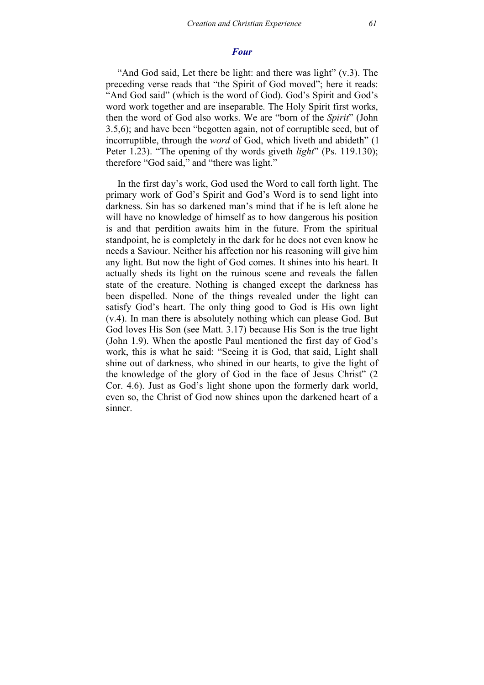## *Four*

"And God said, Let there be light: and there was light" (v.3). The preceding verse reads that "the Spirit of God moved"; here it reads: "And God said" (which is the word of God). God's Spirit and God's word work together and are inseparable. The Holy Spirit first works, then the word of God also works. We are "born of the *Spirit*" (John 3.5,6); and have been "begotten again, not of corruptible seed, but of incorruptible, through the *word* of God, which liveth and abideth" (1 Peter 1.23). "The opening of thy words giveth *light*" (Ps. 119.130); therefore "God said," and "there was light."

In the first day's work, God used the Word to call forth light. The primary work of God's Spirit and God's Word is to send light into darkness. Sin has so darkened man's mind that if he is left alone he will have no knowledge of himself as to how dangerous his position is and that perdition awaits him in the future. From the spiritual standpoint, he is completely in the dark for he does not even know he needs a Saviour. Neither his affection nor his reasoning will give him any light. But now the light of God comes. It shines into his heart. It actually sheds its light on the ruinous scene and reveals the fallen state of the creature. Nothing is changed except the darkness has been dispelled. None of the things revealed under the light can satisfy God's heart. The only thing good to God is His own light (v.4). In man there is absolutely nothing which can please God. But God loves His Son (see Matt. 3.17) because His Son is the true light (John 1.9). When the apostle Paul mentioned the first day of God's work, this is what he said: "Seeing it is God, that said, Light shall shine out of darkness, who shined in our hearts, to give the light of the knowledge of the glory of God in the face of Jesus Christ" (2 Cor. 4.6). Just as God's light shone upon the formerly dark world, even so, the Christ of God now shines upon the darkened heart of a sinner.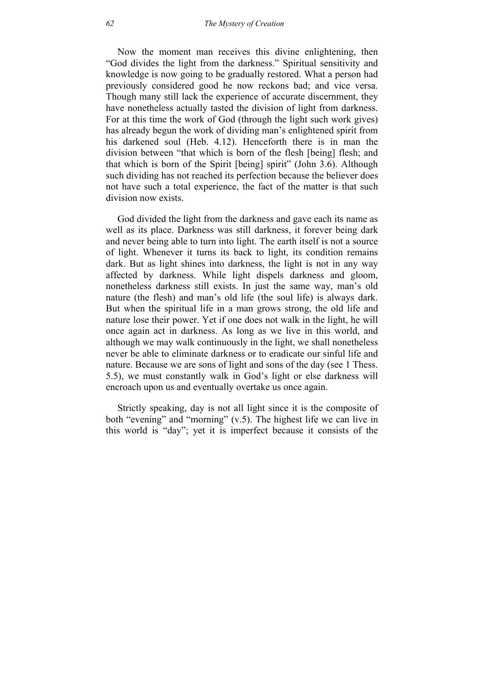Now the moment man receives this divine enlightening, then "God divides the light from the darkness." Spiritual sensitivity and knowledge is now going to be gradually restored. What a person had previously considered good he now reckons bad; and vice versa. Though many still lack the experience of accurate discernment, they have nonetheless actually tasted the division of light from darkness. For at this time the work of God (through the light such work gives) has already begun the work of dividing man's enlightened spirit from his darkened soul (Heb. 4.12). Henceforth there is in man the division between "that which is born of the flesh [being] flesh; and that which is born of the Spirit [being] spirit" (John 3.6). Although such dividing has not reached its perfection because the believer does not have such a total experience, the fact of the matter is that such division now exists.

God divided the light from the darkness and gave each its name as well as its place. Darkness was still darkness, it forever being dark and never being able to turn into light. The earth itself is not a source of light. Whenever it turns its back to light, its condition remains dark. But as light shines into darkness, the light is not in any way affected by darkness. While light dispels darkness and gloom, nonetheless darkness still exists. In just the same way, man's old nature (the flesh) and man's old life (the soul life) is always dark. But when the spiritual life in a man grows strong, the old life and nature lose their power. Yet if one does not walk in the light, he will once again act in darkness. As long as we live in this world, and although we may walk continuously in the light, we shall nonetheless never be able to eliminate darkness or to eradicate our sinful life and nature. Because we are sons of light and sons of the day (see 1 Thess. 5.5), we must constantly walk in God's light or else darkness will encroach upon us and eventually overtake us once again.

Strictly speaking, day is not all light since it is the composite of both "evening" and "morning" (v.5). The highest life we can live in this world is "day"; yet it is imperfect because it consists of the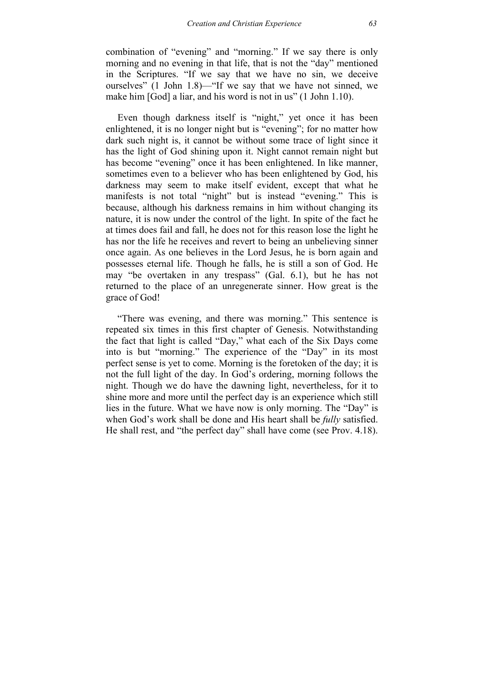combination of "evening" and "morning." If we say there is only morning and no evening in that life, that is not the "day" mentioned in the Scriptures. "If we say that we have no sin, we deceive ourselves" (1 John 1.8)—"If we say that we have not sinned, we make him [God] a liar, and his word is not in us" (1 John 1.10).

Even though darkness itself is "night," yet once it has been enlightened, it is no longer night but is "evening"; for no matter how dark such night is, it cannot be without some trace of light since it has the light of God shining upon it. Night cannot remain night but has become "evening" once it has been enlightened. In like manner, sometimes even to a believer who has been enlightened by God, his darkness may seem to make itself evident, except that what he manifests is not total "night" but is instead "evening." This is because, although his darkness remains in him without changing its nature, it is now under the control of the light. In spite of the fact he at times does fail and fall, he does not for this reason lose the light he has nor the life he receives and revert to being an unbelieving sinner once again. As one believes in the Lord Jesus, he is born again and possesses eternal life. Though he falls, he is still a son of God. He may "be overtaken in any trespass" (Gal. 6.1), but he has not returned to the place of an unregenerate sinner. How great is the grace of God!

"There was evening, and there was morning." This sentence is repeated six times in this first chapter of Genesis. Notwithstanding the fact that light is called "Day," what each of the Six Days come into is but "morning." The experience of the "Day" in its most perfect sense is yet to come. Morning is the foretoken of the day; it is not the full light of the day. In God's ordering, morning follows the night. Though we do have the dawning light, nevertheless, for it to shine more and more until the perfect day is an experience which still lies in the future. What we have now is only morning. The "Day" is when God's work shall be done and His heart shall be *fully* satisfied. He shall rest, and "the perfect day" shall have come (see Prov. 4.18).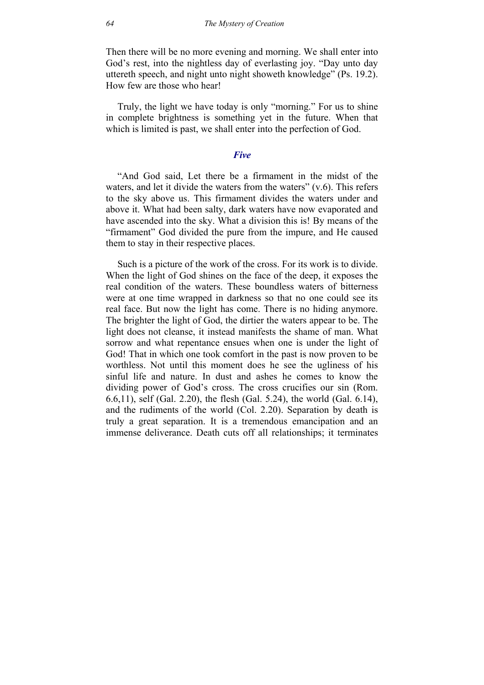Then there will be no more evening and morning. We shall enter into God's rest, into the nightless day of everlasting joy. "Day unto day uttereth speech, and night unto night showeth knowledge" (Ps. 19.2). How few are those who hear!

Truly, the light we have today is only "morning." For us to shine in complete brightness is something yet in the future. When that which is limited is past, we shall enter into the perfection of God.

#### *Five*

"And God said, Let there be a firmament in the midst of the waters, and let it divide the waters from the waters"  $(v.6)$ . This refers to the sky above us. This firmament divides the waters under and above it. What had been salty, dark waters have now evaporated and have ascended into the sky. What a division this is! By means of the "firmament" God divided the pure from the impure, and He caused them to stay in their respective places.

Such is a picture of the work of the cross. For its work is to divide. When the light of God shines on the face of the deep, it exposes the real condition of the waters. These boundless waters of bitterness were at one time wrapped in darkness so that no one could see its real face. But now the light has come. There is no hiding anymore. The brighter the light of God, the dirtier the waters appear to be. The light does not cleanse, it instead manifests the shame of man. What sorrow and what repentance ensues when one is under the light of God! That in which one took comfort in the past is now proven to be worthless. Not until this moment does he see the ugliness of his sinful life and nature. In dust and ashes he comes to know the dividing power of God's cross. The cross crucifies our sin (Rom. 6.6,11), self (Gal. 2.20), the flesh (Gal. 5.24), the world (Gal. 6.14), and the rudiments of the world (Col. 2.20). Separation by death is truly a great separation. It is a tremendous emancipation and an immense deliverance. Death cuts off all relationships; it terminates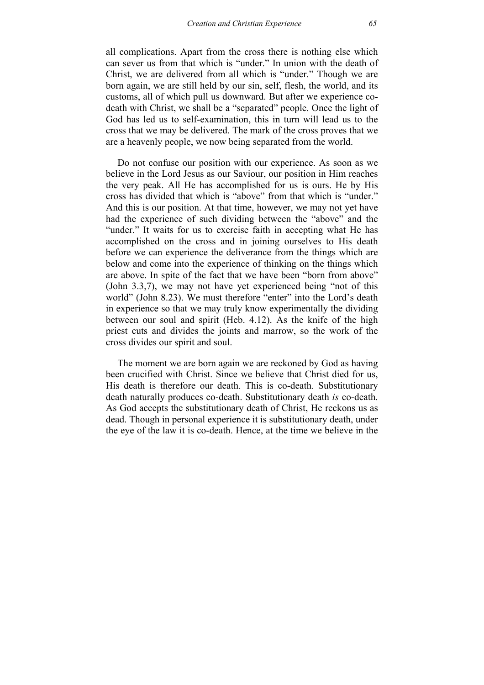all complications. Apart from the cross there is nothing else which can sever us from that which is "under." In union with the death of Christ, we are delivered from all which is "under." Though we are born again, we are still held by our sin, self, flesh, the world, and its customs, all of which pull us downward. But after we experience codeath with Christ, we shall be a "separated" people. Once the light of God has led us to self-examination, this in turn will lead us to the cross that we may be delivered. The mark of the cross proves that we are a heavenly people, we now being separated from the world.

Do not confuse our position with our experience. As soon as we believe in the Lord Jesus as our Saviour, our position in Him reaches the very peak. All He has accomplished for us is ours. He by His cross has divided that which is "above" from that which is "under." And this is our position. At that time, however, we may not yet have had the experience of such dividing between the "above" and the "under." It waits for us to exercise faith in accepting what He has accomplished on the cross and in joining ourselves to His death before we can experience the deliverance from the things which are below and come into the experience of thinking on the things which are above. In spite of the fact that we have been "born from above" (John 3.3,7), we may not have yet experienced being "not of this world" (John 8.23). We must therefore "enter" into the Lord's death in experience so that we may truly know experimentally the dividing between our soul and spirit (Heb. 4.12). As the knife of the high priest cuts and divides the joints and marrow, so the work of the cross divides our spirit and soul.

The moment we are born again we are reckoned by God as having been crucified with Christ. Since we believe that Christ died for us, His death is therefore our death. This is co-death. Substitutionary death naturally produces co-death. Substitutionary death *is* co-death. As God accepts the substitutionary death of Christ, He reckons us as dead. Though in personal experience it is substitutionary death, under the eye of the law it is co-death. Hence, at the time we believe in the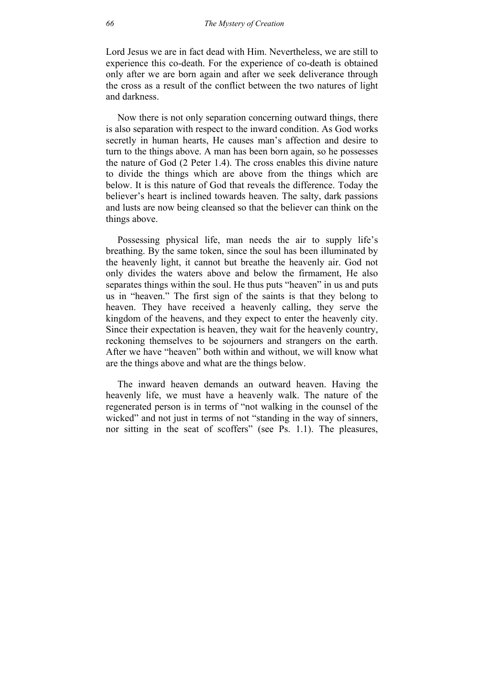Lord Jesus we are in fact dead with Him. Nevertheless, we are still to experience this co-death. For the experience of co-death is obtained only after we are born again and after we seek deliverance through the cross as a result of the conflict between the two natures of light and darkness.

Now there is not only separation concerning outward things, there is also separation with respect to the inward condition. As God works secretly in human hearts, He causes man's affection and desire to turn to the things above. A man has been born again, so he possesses the nature of God (2 Peter 1.4). The cross enables this divine nature to divide the things which are above from the things which are below. It is this nature of God that reveals the difference. Today the believer's heart is inclined towards heaven. The salty, dark passions and lusts are now being cleansed so that the believer can think on the things above.

Possessing physical life, man needs the air to supply life's breathing. By the same token, since the soul has been illuminated by the heavenly light, it cannot but breathe the heavenly air. God not only divides the waters above and below the firmament, He also separates things within the soul. He thus puts "heaven" in us and puts us in "heaven." The first sign of the saints is that they belong to heaven. They have received a heavenly calling, they serve the kingdom of the heavens, and they expect to enter the heavenly city. Since their expectation is heaven, they wait for the heavenly country, reckoning themselves to be sojourners and strangers on the earth. After we have "heaven" both within and without, we will know what are the things above and what are the things below.

The inward heaven demands an outward heaven. Having the heavenly life, we must have a heavenly walk. The nature of the regenerated person is in terms of "not walking in the counsel of the wicked" and not just in terms of not "standing in the way of sinners, nor sitting in the seat of scoffers" (see Ps. 1.1). The pleasures,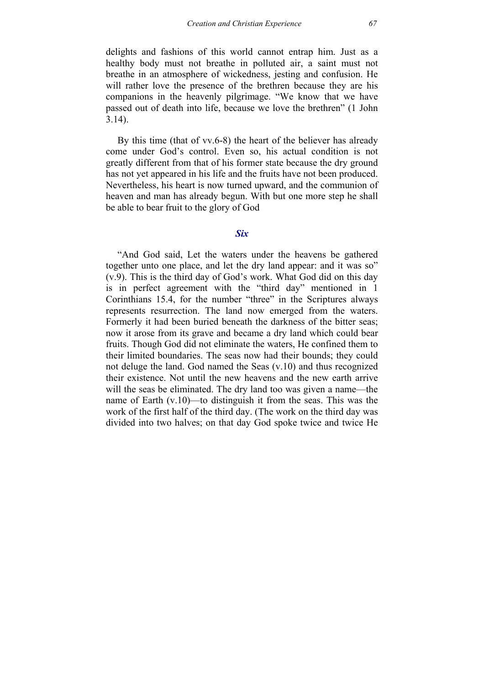delights and fashions of this world cannot entrap him. Just as a healthy body must not breathe in polluted air, a saint must not breathe in an atmosphere of wickedness, jesting and confusion. He will rather love the presence of the brethren because they are his companions in the heavenly pilgrimage. "We know that we have passed out of death into life, because we love the brethren" (1 John 3.14).

By this time (that of vv.6-8) the heart of the believer has already come under God's control. Even so, his actual condition is not greatly different from that of his former state because the dry ground has not yet appeared in his life and the fruits have not been produced. Nevertheless, his heart is now turned upward, and the communion of heaven and man has already begun. With but one more step he shall be able to bear fruit to the glory of God

#### *Six*

"And God said, Let the waters under the heavens be gathered together unto one place, and let the dry land appear: and it was so" (v.9). This is the third day of God's work. What God did on this day is in perfect agreement with the "third day" mentioned in 1 Corinthians 15.4, for the number "three" in the Scriptures always represents resurrection. The land now emerged from the waters. Formerly it had been buried beneath the darkness of the bitter seas; now it arose from its grave and became a dry land which could bear fruits. Though God did not eliminate the waters, He confined them to their limited boundaries. The seas now had their bounds; they could not deluge the land. God named the Seas (v.10) and thus recognized their existence. Not until the new heavens and the new earth arrive will the seas be eliminated. The dry land too was given a name—the name of Earth (v.10)—to distinguish it from the seas. This was the work of the first half of the third day. (The work on the third day was divided into two halves; on that day God spoke twice and twice He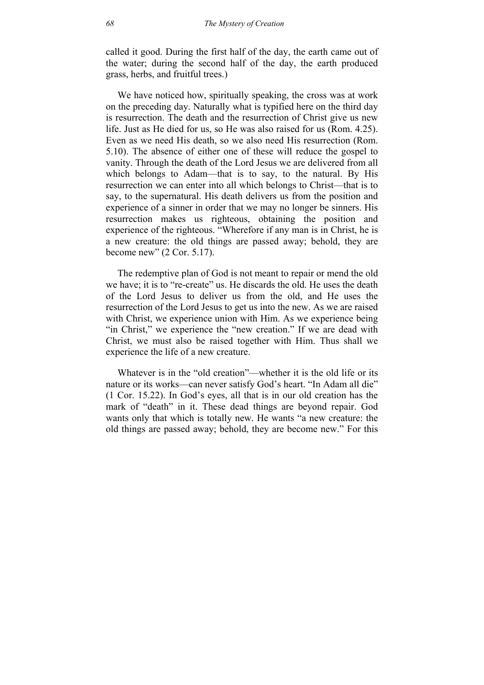called it good. During the first half of the day, the earth came out of the water; during the second half of the day, the earth produced grass, herbs, and fruitful trees.)

We have noticed how, spiritually speaking, the cross was at work on the preceding day. Naturally what is typified here on the third day is resurrection. The death and the resurrection of Christ give us new life. Just as He died for us, so He was also raised for us (Rom. 4.25). Even as we need His death, so we also need His resurrection (Rom. 5.10). The absence of either one of these will reduce the gospel to vanity. Through the death of the Lord Jesus we are delivered from all which belongs to Adam—that is to say, to the natural. By His resurrection we can enter into all which belongs to Christ—that is to say, to the supernatural. His death delivers us from the position and experience of a sinner in order that we may no longer be sinners. His resurrection makes us righteous, obtaining the position and experience of the righteous. "Wherefore if any man is in Christ, he is a new creature: the old things are passed away; behold, they are become new" (2 Cor. 5.17).

The redemptive plan of God is not meant to repair or mend the old we have; it is to "re-create" us. He discards the old. He uses the death of the Lord Jesus to deliver us from the old, and He uses the resurrection of the Lord Jesus to get us into the new. As we are raised with Christ, we experience union with Him. As we experience being "in Christ," we experience the "new creation." If we are dead with Christ, we must also be raised together with Him. Thus shall we experience the life of a new creature.

Whatever is in the "old creation"—whether it is the old life or its nature or its works—can never satisfy God's heart. "In Adam all die" (1 Cor. 15.22). In God's eyes, all that is in our old creation has the mark of "death" in it. These dead things are beyond repair. God wants only that which is totally new. He wants "a new creature: the old things are passed away; behold, they are become new." For this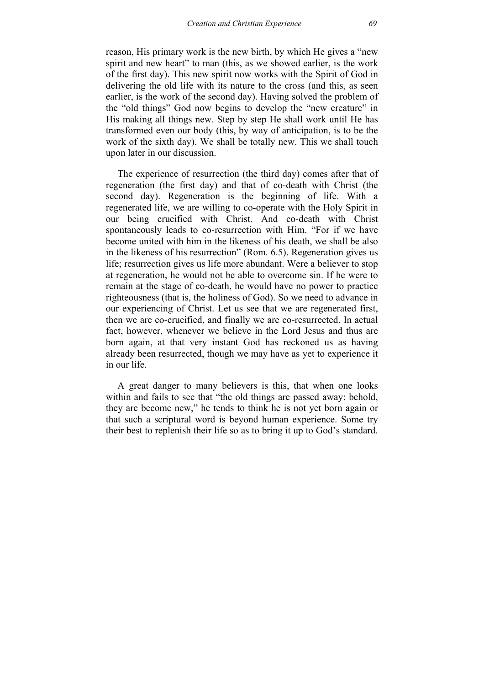reason, His primary work is the new birth, by which He gives a "new spirit and new heart" to man (this, as we showed earlier, is the work of the first day). This new spirit now works with the Spirit of God in delivering the old life with its nature to the cross (and this, as seen earlier, is the work of the second day). Having solved the problem of the "old things" God now begins to develop the "new creature" in His making all things new. Step by step He shall work until He has transformed even our body (this, by way of anticipation, is to be the work of the sixth day). We shall be totally new. This we shall touch upon later in our discussion.

The experience of resurrection (the third day) comes after that of regeneration (the first day) and that of co-death with Christ (the second day). Regeneration is the beginning of life. With a regenerated life, we are willing to co-operate with the Holy Spirit in our being crucified with Christ. And co-death with Christ spontaneously leads to co-resurrection with Him. "For if we have become united with him in the likeness of his death, we shall be also in the likeness of his resurrection" (Rom. 6.5). Regeneration gives us life; resurrection gives us life more abundant. Were a believer to stop at regeneration, he would not be able to overcome sin. If he were to remain at the stage of co-death, he would have no power to practice righteousness (that is, the holiness of God). So we need to advance in our experiencing of Christ. Let us see that we are regenerated first, then we are co-crucified, and finally we are co-resurrected. In actual fact, however, whenever we believe in the Lord Jesus and thus are born again, at that very instant God has reckoned us as having already been resurrected, though we may have as yet to experience it in our life.

A great danger to many believers is this, that when one looks within and fails to see that "the old things are passed away: behold, they are become new," he tends to think he is not yet born again or that such a scriptural word is beyond human experience. Some try their best to replenish their life so as to bring it up to God's standard.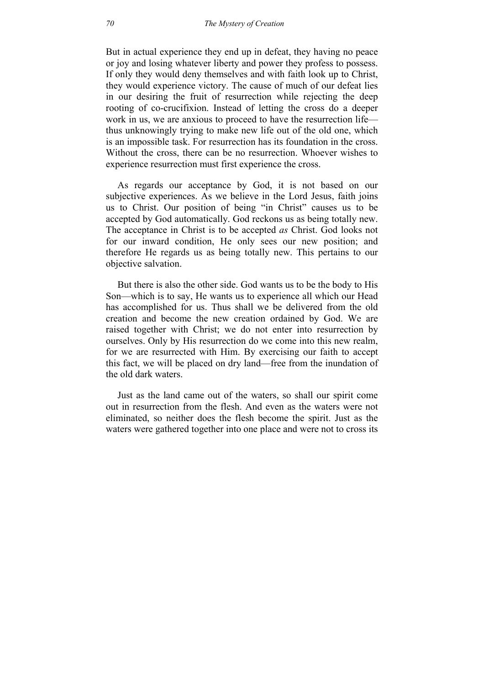But in actual experience they end up in defeat, they having no peace or joy and losing whatever liberty and power they profess to possess. If only they would deny themselves and with faith look up to Christ, they would experience victory. The cause of much of our defeat lies in our desiring the fruit of resurrection while rejecting the deep rooting of co-crucifixion. Instead of letting the cross do a deeper work in us, we are anxious to proceed to have the resurrection life thus unknowingly trying to make new life out of the old one, which is an impossible task. For resurrection has its foundation in the cross. Without the cross, there can be no resurrection. Whoever wishes to experience resurrection must first experience the cross.

As regards our acceptance by God, it is not based on our subjective experiences. As we believe in the Lord Jesus, faith joins us to Christ. Our position of being "in Christ" causes us to be accepted by God automatically. God reckons us as being totally new. The acceptance in Christ is to be accepted *as* Christ. God looks not for our inward condition, He only sees our new position; and therefore He regards us as being totally new. This pertains to our objective salvation.

But there is also the other side. God wants us to be the body to His Son—which is to say, He wants us to experience all which our Head has accomplished for us. Thus shall we be delivered from the old creation and become the new creation ordained by God. We are raised together with Christ; we do not enter into resurrection by ourselves. Only by His resurrection do we come into this new realm, for we are resurrected with Him. By exercising our faith to accept this fact, we will be placed on dry land—free from the inundation of the old dark waters.

Just as the land came out of the waters, so shall our spirit come out in resurrection from the flesh. And even as the waters were not eliminated, so neither does the flesh become the spirit. Just as the waters were gathered together into one place and were not to cross its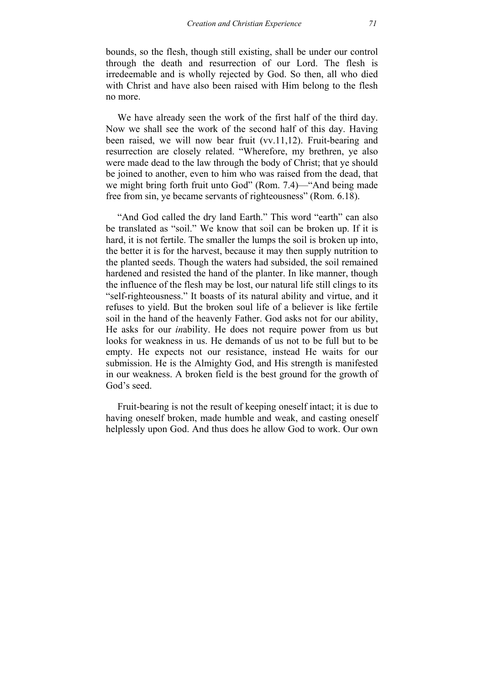bounds, so the flesh, though still existing, shall be under our control through the death and resurrection of our Lord. The flesh is irredeemable and is wholly rejected by God. So then, all who died with Christ and have also been raised with Him belong to the flesh no more.

We have already seen the work of the first half of the third day. Now we shall see the work of the second half of this day. Having been raised, we will now bear fruit (vv.11,12). Fruit-bearing and resurrection are closely related. "Wherefore, my brethren, ye also were made dead to the law through the body of Christ; that ye should be joined to another, even to him who was raised from the dead, that we might bring forth fruit unto God" (Rom. 7.4)—"And being made free from sin, ye became servants of righteousness" (Rom. 6.18).

"And God called the dry land Earth." This word "earth" can also be translated as "soil." We know that soil can be broken up. If it is hard, it is not fertile. The smaller the lumps the soil is broken up into, the better it is for the harvest, because it may then supply nutrition to the planted seeds. Though the waters had subsided, the soil remained hardened and resisted the hand of the planter. In like manner, though the influence of the flesh may be lost, our natural life still clings to its "self-righteousness." It boasts of its natural ability and virtue, and it refuses to yield. But the broken soul life of a believer is like fertile soil in the hand of the heavenly Father. God asks not for our ability, He asks for our *in*ability. He does not require power from us but looks for weakness in us. He demands of us not to be full but to be empty. He expects not our resistance, instead He waits for our submission. He is the Almighty God, and His strength is manifested in our weakness. A broken field is the best ground for the growth of God's seed.

Fruit-bearing is not the result of keeping oneself intact; it is due to having oneself broken, made humble and weak, and casting oneself helplessly upon God. And thus does he allow God to work. Our own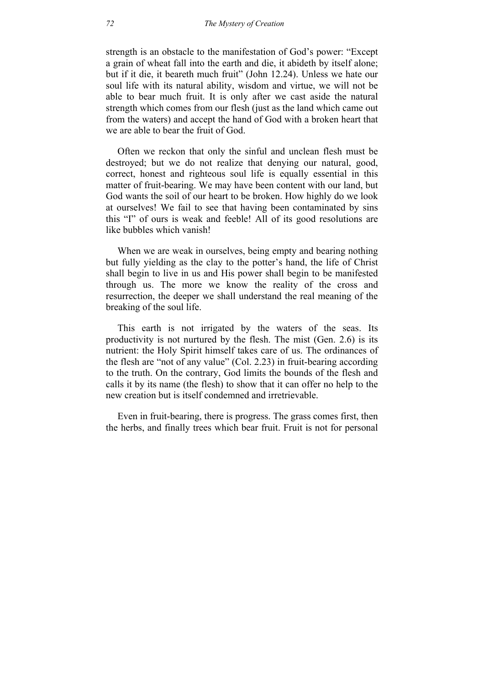strength is an obstacle to the manifestation of God's power: "Except a grain of wheat fall into the earth and die, it abideth by itself alone; but if it die, it beareth much fruit" (John 12.24). Unless we hate our soul life with its natural ability, wisdom and virtue, we will not be able to bear much fruit. It is only after we cast aside the natural strength which comes from our flesh (just as the land which came out from the waters) and accept the hand of God with a broken heart that we are able to bear the fruit of God.

Often we reckon that only the sinful and unclean flesh must be destroyed; but we do not realize that denying our natural, good, correct, honest and righteous soul life is equally essential in this matter of fruit-bearing. We may have been content with our land, but God wants the soil of our heart to be broken. How highly do we look at ourselves! We fail to see that having been contaminated by sins this "I" of ours is weak and feeble! All of its good resolutions are like bubbles which vanish!

When we are weak in ourselves, being empty and bearing nothing but fully yielding as the clay to the potter's hand, the life of Christ shall begin to live in us and His power shall begin to be manifested through us. The more we know the reality of the cross and resurrection, the deeper we shall understand the real meaning of the breaking of the soul life.

This earth is not irrigated by the waters of the seas. Its productivity is not nurtured by the flesh. The mist (Gen. 2.6) is its nutrient: the Holy Spirit himself takes care of us. The ordinances of the flesh are "not of any value" (Col. 2.23) in fruit-bearing according to the truth. On the contrary, God limits the bounds of the flesh and calls it by its name (the flesh) to show that it can offer no help to the new creation but is itself condemned and irretrievable.

Even in fruit-bearing, there is progress. The grass comes first, then the herbs, and finally trees which bear fruit. Fruit is not for personal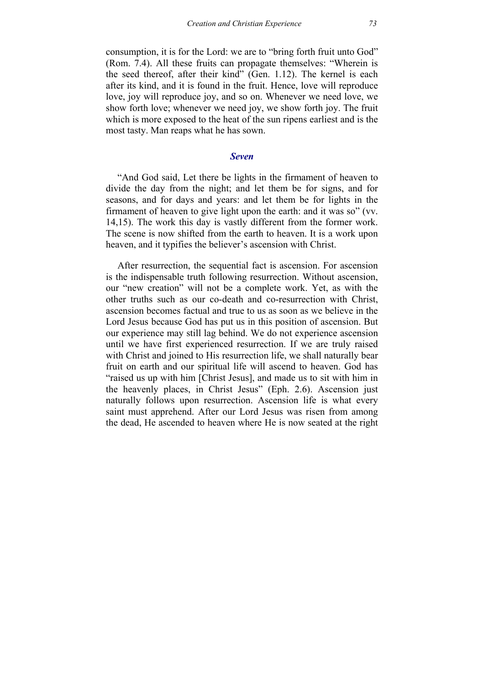consumption, it is for the Lord: we are to "bring forth fruit unto God" (Rom. 7.4). All these fruits can propagate themselves: "Wherein is the seed thereof, after their kind" (Gen. 1.12). The kernel is each after its kind, and it is found in the fruit. Hence, love will reproduce love, joy will reproduce joy, and so on. Whenever we need love, we show forth love; whenever we need joy, we show forth joy. The fruit which is more exposed to the heat of the sun ripens earliest and is the most tasty. Man reaps what he has sown.

#### *Seven*

"And God said, Let there be lights in the firmament of heaven to divide the day from the night; and let them be for signs, and for seasons, and for days and years: and let them be for lights in the firmament of heaven to give light upon the earth: and it was so" (vv. 14,15). The work this day is vastly different from the former work. The scene is now shifted from the earth to heaven. It is a work upon heaven, and it typifies the believer's ascension with Christ.

After resurrection, the sequential fact is ascension. For ascension is the indispensable truth following resurrection. Without ascension, our "new creation" will not be a complete work. Yet, as with the other truths such as our co-death and co-resurrection with Christ, ascension becomes factual and true to us as soon as we believe in the Lord Jesus because God has put us in this position of ascension. But our experience may still lag behind. We do not experience ascension until we have first experienced resurrection. If we are truly raised with Christ and joined to His resurrection life, we shall naturally bear fruit on earth and our spiritual life will ascend to heaven. God has "raised us up with him [Christ Jesus], and made us to sit with him in the heavenly places, in Christ Jesus" (Eph. 2.6). Ascension just naturally follows upon resurrection. Ascension life is what every saint must apprehend. After our Lord Jesus was risen from among the dead, He ascended to heaven where He is now seated at the right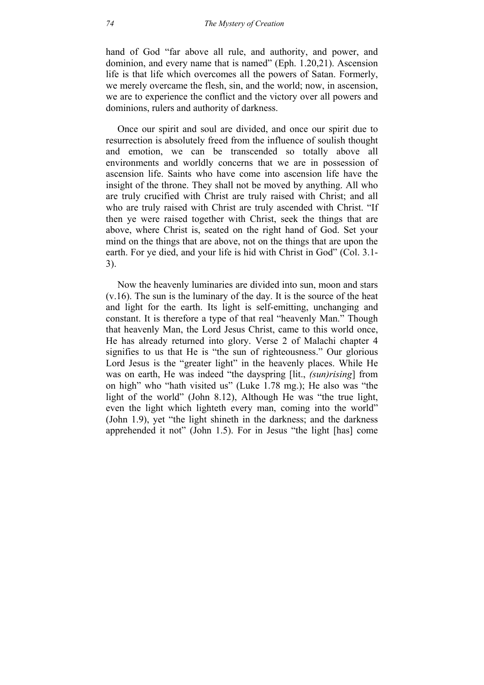hand of God "far above all rule, and authority, and power, and dominion, and every name that is named" (Eph. 1.20,21). Ascension life is that life which overcomes all the powers of Satan. Formerly, we merely overcame the flesh, sin, and the world; now, in ascension, we are to experience the conflict and the victory over all powers and dominions, rulers and authority of darkness.

Once our spirit and soul are divided, and once our spirit due to resurrection is absolutely freed from the influence of soulish thought and emotion, we can be transcended so totally above all environments and worldly concerns that we are in possession of ascension life. Saints who have come into ascension life have the insight of the throne. They shall not be moved by anything. All who are truly crucified with Christ are truly raised with Christ; and all who are truly raised with Christ are truly ascended with Christ. "If then ye were raised together with Christ, seek the things that are above, where Christ is, seated on the right hand of God. Set your mind on the things that are above, not on the things that are upon the earth. For ye died, and your life is hid with Christ in God" (Col. 3.1- 3).

Now the heavenly luminaries are divided into sun, moon and stars (v.16). The sun is the luminary of the day. It is the source of the heat and light for the earth. Its light is self-emitting, unchanging and constant. It is therefore a type of that real "heavenly Man." Though that heavenly Man, the Lord Jesus Christ, came to this world once, He has already returned into glory. Verse 2 of Malachi chapter 4 signifies to us that He is "the sun of righteousness." Our glorious Lord Jesus is the "greater light" in the heavenly places. While He was on earth, He was indeed "the dayspring [lit., *(sun)rising*] from on high" who "hath visited us" (Luke 1.78 mg.); He also was "the light of the world" (John 8.12), Although He was "the true light, even the light which lighteth every man, coming into the world" (John 1.9), yet "the light shineth in the darkness; and the darkness apprehended it not" (John 1.5). For in Jesus "the light [has] come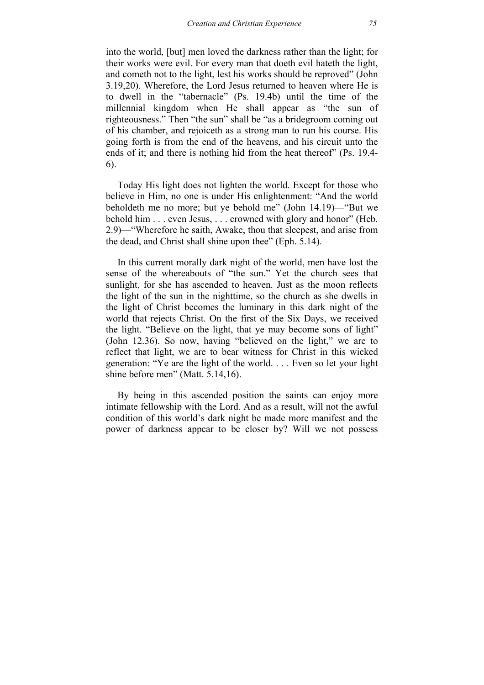into the world, [but] men loved the darkness rather than the light; for their works were evil. For every man that doeth evil hateth the light, and cometh not to the light, lest his works should be reproved" (John 3.19,20). Wherefore, the Lord Jesus returned to heaven where He is to dwell in the "tabernacle" (Ps. 19.4b) until the time of the millennial kingdom when He shall appear as "the sun of righteousness." Then "the sun" shall be "as a bridegroom coming out of his chamber, and rejoiceth as a strong man to run his course. His going forth is from the end of the heavens, and his circuit unto the ends of it; and there is nothing hid from the heat thereof" (Ps. 19.4- 6).

Today His light does not lighten the world. Except for those who believe in Him, no one is under His enlightenment: "And the world beholdeth me no more; but ye behold me" (John 14.19)—"But we behold him . . . even Jesus, . . . crowned with glory and honor" (Heb. 2.9)—"Wherefore he saith, Awake, thou that sleepest, and arise from the dead, and Christ shall shine upon thee" (Eph. 5.14).

In this current morally dark night of the world, men have lost the sense of the whereabouts of "the sun." Yet the church sees that sunlight, for she has ascended to heaven. Just as the moon reflects the light of the sun in the nighttime, so the church as she dwells in the light of Christ becomes the luminary in this dark night of the world that rejects Christ. On the first of the Six Days, we received the light. "Believe on the light, that ye may become sons of light" (John 12.36). So now, having "believed on the light," we are to reflect that light, we are to bear witness for Christ in this wicked generation: "Ye are the light of the world. . . . Even so let your light shine before men" (Matt. 5.14,16).

By being in this ascended position the saints can enjoy more intimate fellowship with the Lord. And as a result, will not the awful condition of this world's dark night be made more manifest and the power of darkness appear to be closer by? Will we not possess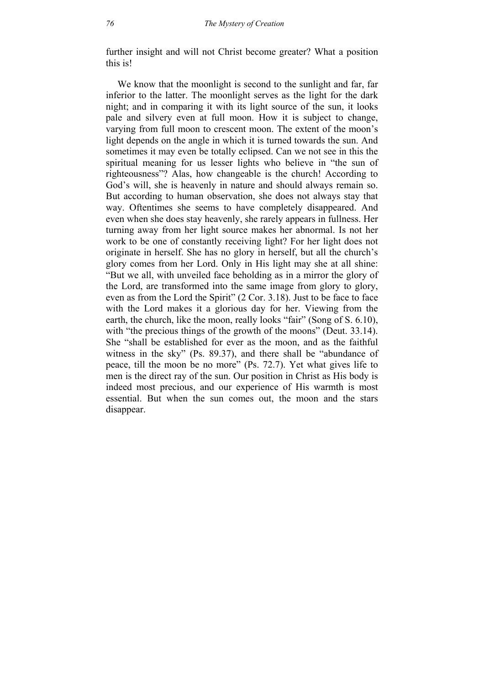further insight and will not Christ become greater? What a position this is!

We know that the moonlight is second to the sunlight and far, far inferior to the latter. The moonlight serves as the light for the dark night; and in comparing it with its light source of the sun, it looks pale and silvery even at full moon. How it is subject to change, varying from full moon to crescent moon. The extent of the moon's light depends on the angle in which it is turned towards the sun. And sometimes it may even be totally eclipsed. Can we not see in this the spiritual meaning for us lesser lights who believe in "the sun of righteousness"? Alas, how changeable is the church! According to God's will, she is heavenly in nature and should always remain so. But according to human observation, she does not always stay that way. Oftentimes she seems to have completely disappeared. And even when she does stay heavenly, she rarely appears in fullness. Her turning away from her light source makes her abnormal. Is not her work to be one of constantly receiving light? For her light does not originate in herself. She has no glory in herself, but all the church's glory comes from her Lord. Only in His light may she at all shine: "But we all, with unveiled face beholding as in a mirror the glory of the Lord, are transformed into the same image from glory to glory, even as from the Lord the Spirit" (2 Cor. 3.18). Just to be face to face with the Lord makes it a glorious day for her. Viewing from the earth, the church, like the moon, really looks "fair" (Song of S. 6.10), with "the precious things of the growth of the moons" (Deut. 33.14). She "shall be established for ever as the moon, and as the faithful witness in the sky" (Ps. 89.37), and there shall be "abundance of peace, till the moon be no more" (Ps. 72.7). Yet what gives life to men is the direct ray of the sun. Our position in Christ as His body is indeed most precious, and our experience of His warmth is most essential. But when the sun comes out, the moon and the stars disappear.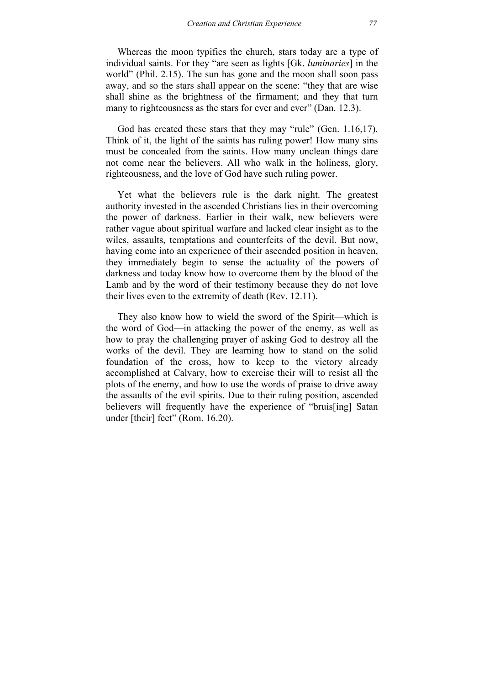Whereas the moon typifies the church, stars today are a type of individual saints. For they "are seen as lights [Gk. *luminaries*] in the world" (Phil. 2.15). The sun has gone and the moon shall soon pass away, and so the stars shall appear on the scene: "they that are wise shall shine as the brightness of the firmament; and they that turn many to righteousness as the stars for ever and ever" (Dan. 12.3).

God has created these stars that they may "rule" (Gen. 1.16,17). Think of it, the light of the saints has ruling power! How many sins must be concealed from the saints. How many unclean things dare not come near the believers. All who walk in the holiness, glory, righteousness, and the love of God have such ruling power.

Yet what the believers rule is the dark night. The greatest authority invested in the ascended Christians lies in their overcoming the power of darkness. Earlier in their walk, new believers were rather vague about spiritual warfare and lacked clear insight as to the wiles, assaults, temptations and counterfeits of the devil. But now, having come into an experience of their ascended position in heaven, they immediately begin to sense the actuality of the powers of darkness and today know how to overcome them by the blood of the Lamb and by the word of their testimony because they do not love their lives even to the extremity of death (Rev. 12.11).

They also know how to wield the sword of the Spirit—which is the word of God—in attacking the power of the enemy, as well as how to pray the challenging prayer of asking God to destroy all the works of the devil. They are learning how to stand on the solid foundation of the cross, how to keep to the victory already accomplished at Calvary, how to exercise their will to resist all the plots of the enemy, and how to use the words of praise to drive away the assaults of the evil spirits. Due to their ruling position, ascended believers will frequently have the experience of "bruis[ing] Satan under [their] feet" (Rom. 16.20).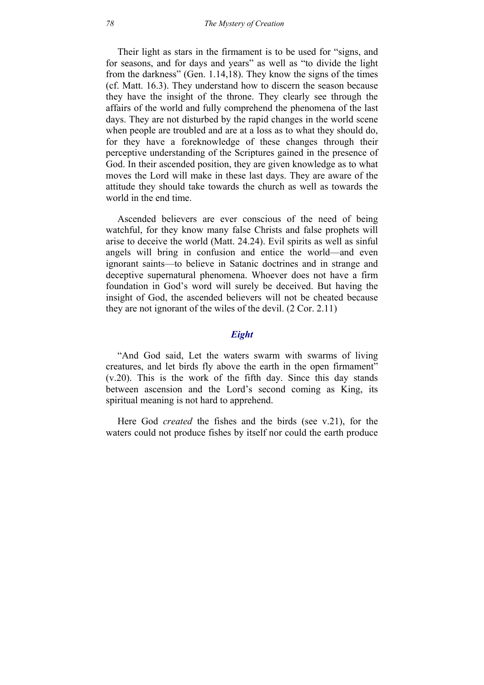Their light as stars in the firmament is to be used for "signs, and for seasons, and for days and years" as well as "to divide the light from the darkness" (Gen. 1.14,18). They know the signs of the times (cf. Matt. 16.3). They understand how to discern the season because they have the insight of the throne. They clearly see through the affairs of the world and fully comprehend the phenomena of the last days. They are not disturbed by the rapid changes in the world scene when people are troubled and are at a loss as to what they should do, for they have a foreknowledge of these changes through their perceptive understanding of the Scriptures gained in the presence of God. In their ascended position, they are given knowledge as to what moves the Lord will make in these last days. They are aware of the attitude they should take towards the church as well as towards the world in the end time.

Ascended believers are ever conscious of the need of being watchful, for they know many false Christs and false prophets will arise to deceive the world (Matt. 24.24). Evil spirits as well as sinful angels will bring in confusion and entice the world—and even ignorant saints—to believe in Satanic doctrines and in strange and deceptive supernatural phenomena. Whoever does not have a firm foundation in God's word will surely be deceived. But having the insight of God, the ascended believers will not be cheated because they are not ignorant of the wiles of the devil. (2 Cor. 2.11)

### *Eight*

"And God said, Let the waters swarm with swarms of living creatures, and let birds fly above the earth in the open firmament" (v.20). This is the work of the fifth day. Since this day stands between ascension and the Lord's second coming as King, its spiritual meaning is not hard to apprehend.

Here God *created* the fishes and the birds (see v.21), for the waters could not produce fishes by itself nor could the earth produce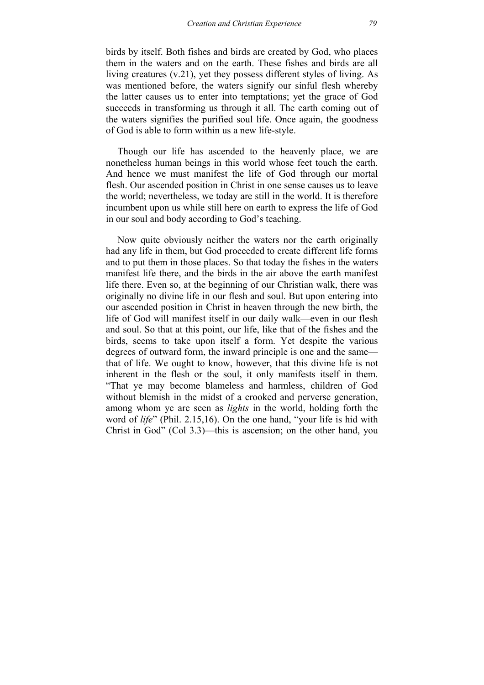birds by itself. Both fishes and birds are created by God, who places them in the waters and on the earth. These fishes and birds are all living creatures (v.21), yet they possess different styles of living. As was mentioned before, the waters signify our sinful flesh whereby the latter causes us to enter into temptations; yet the grace of God succeeds in transforming us through it all. The earth coming out of the waters signifies the purified soul life. Once again, the goodness of God is able to form within us a new life-style.

Though our life has ascended to the heavenly place, we are nonetheless human beings in this world whose feet touch the earth. And hence we must manifest the life of God through our mortal flesh. Our ascended position in Christ in one sense causes us to leave the world; nevertheless, we today are still in the world. It is therefore incumbent upon us while still here on earth to express the life of God in our soul and body according to God's teaching.

Now quite obviously neither the waters nor the earth originally had any life in them, but God proceeded to create different life forms and to put them in those places. So that today the fishes in the waters manifest life there, and the birds in the air above the earth manifest life there. Even so, at the beginning of our Christian walk, there was originally no divine life in our flesh and soul. But upon entering into our ascended position in Christ in heaven through the new birth, the life of God will manifest itself in our daily walk—even in our flesh and soul. So that at this point, our life, like that of the fishes and the birds, seems to take upon itself a form. Yet despite the various degrees of outward form, the inward principle is one and the same that of life. We ought to know, however, that this divine life is not inherent in the flesh or the soul, it only manifests itself in them. "That ye may become blameless and harmless, children of God without blemish in the midst of a crooked and perverse generation, among whom ye are seen as *lights* in the world, holding forth the word of *life*" (Phil. 2.15,16). On the one hand, "your life is hid with Christ in God" (Col 3.3)—this is ascension; on the other hand, you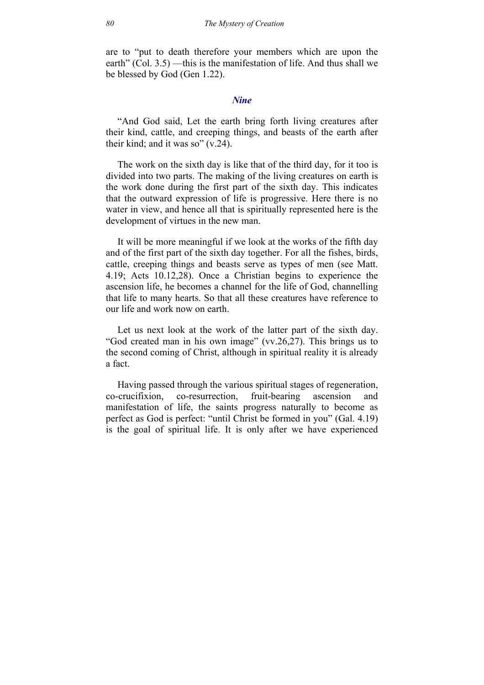are to "put to death therefore your members which are upon the earth" (Col. 3.5) —this is the manifestation of life. And thus shall we be blessed by God (Gen 1.22).

#### *Nine*

"And God said, Let the earth bring forth living creatures after their kind, cattle, and creeping things, and beasts of the earth after their kind; and it was so" (v.24).

The work on the sixth day is like that of the third day, for it too is divided into two parts. The making of the living creatures on earth is the work done during the first part of the sixth day. This indicates that the outward expression of life is progressive. Here there is no water in view, and hence all that is spiritually represented here is the development of virtues in the new man.

It will be more meaningful if we look at the works of the fifth day and of the first part of the sixth day together. For all the fishes, birds, cattle, creeping things and beasts serve as types of men (see Matt. 4.19; Acts 10.12,28). Once a Christian begins to experience the ascension life, he becomes a channel for the life of God, channelling that life to many hearts. So that all these creatures have reference to our life and work now on earth.

Let us next look at the work of the latter part of the sixth day. "God created man in his own image" (vv.26,27). This brings us to the second coming of Christ, although in spiritual reality it is already a fact.

Having passed through the various spiritual stages of regeneration, co-crucifixion, co-resurrection, fruit-bearing ascension and manifestation of life, the saints progress naturally to become as perfect as God is perfect: "until Christ be formed in you" (Gal. 4.19) is the goal of spiritual life. It is only after we have experienced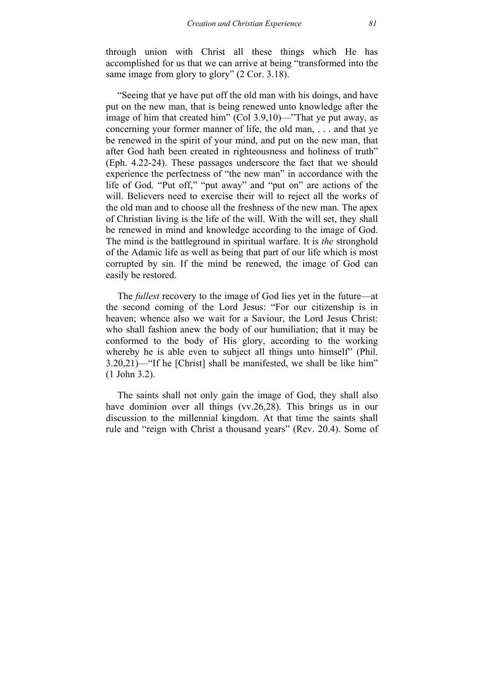through union with Christ all these things which He has accomplished for us that we can arrive at being "transformed into the same image from glory to glory" (2 Cor. 3.18).

"Seeing that ye have put off the old man with his doings, and have put on the new man, that is being renewed unto knowledge after the image of him that created him" (Col 3.9,10)—"That ye put away, as concerning your former manner of life, the old man, . . . and that ye be renewed in the spirit of your mind, and put on the new man, that after God hath been created in righteousness and holiness of truth" (Eph. 4.22-24). These passages underscore the fact that we should experience the perfectness of "the new man" in accordance with the life of God. "Put off," "put away" and "put on" are actions of the will. Believers need to exercise their will to reject all the works of the old man and to choose all the freshness of the new man. The apex of Christian living is the life of the will. With the will set, they shall be renewed in mind and knowledge according to the image of God. The mind is the battleground in spiritual warfare. It is *the* stronghold of the Adamic life as well as being that part of our life which is most corrupted by sin. If the mind be renewed, the image of God can easily be restored.

The *fullest* recovery to the image of God lies yet in the future—at the second coming of the Lord Jesus: "For our citizenship is in heaven; whence also we wait for a Saviour, the Lord Jesus Christ: who shall fashion anew the body of our humiliation; that it may be conformed to the body of His glory, according to the working whereby he is able even to subject all things unto himself" (Phil. 3.20,21)—"If he [Christ] shall be manifested, we shall be like him" (1 John 3.2).

The saints shall not only gain the image of God, they shall also have dominion over all things (vv.26,28). This brings us in our discussion to the millennial kingdom. At that time the saints shall rule and "reign with Christ a thousand years" (Rev. 20.4). Some of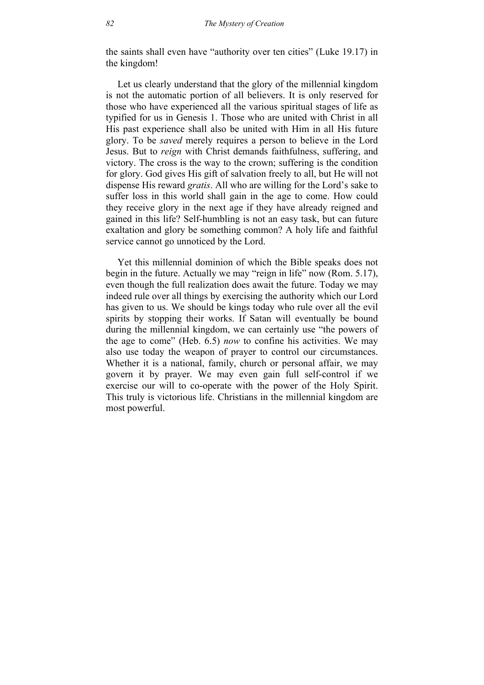the saints shall even have "authority over ten cities" (Luke 19.17) in the kingdom!

Let us clearly understand that the glory of the millennial kingdom is not the automatic portion of all believers. It is only reserved for those who have experienced all the various spiritual stages of life as typified for us in Genesis 1. Those who are united with Christ in all His past experience shall also be united with Him in all His future glory. To be *saved* merely requires a person to believe in the Lord Jesus. But to *reign* with Christ demands faithfulness, suffering, and victory. The cross is the way to the crown; suffering is the condition for glory. God gives His gift of salvation freely to all, but He will not dispense His reward *gratis*. All who are willing for the Lord's sake to suffer loss in this world shall gain in the age to come. How could they receive glory in the next age if they have already reigned and gained in this life? Self-humbling is not an easy task, but can future exaltation and glory be something common? A holy life and faithful service cannot go unnoticed by the Lord.

Yet this millennial dominion of which the Bible speaks does not begin in the future. Actually we may "reign in life" now (Rom. 5.17), even though the full realization does await the future. Today we may indeed rule over all things by exercising the authority which our Lord has given to us. We should be kings today who rule over all the evil spirits by stopping their works. If Satan will eventually be bound during the millennial kingdom, we can certainly use "the powers of the age to come" (Heb. 6.5) *now* to confine his activities. We may also use today the weapon of prayer to control our circumstances. Whether it is a national, family, church or personal affair, we may govern it by prayer. We may even gain full self-control if we exercise our will to co-operate with the power of the Holy Spirit. This truly is victorious life. Christians in the millennial kingdom are most powerful.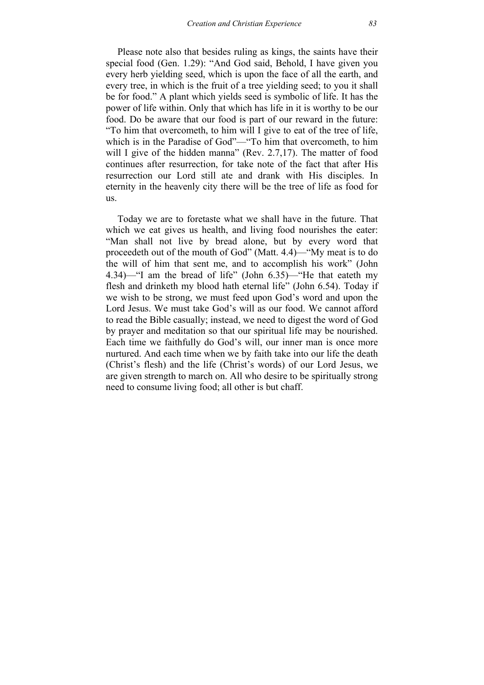Please note also that besides ruling as kings, the saints have their special food (Gen. 1.29): "And God said, Behold, I have given you every herb yielding seed, which is upon the face of all the earth, and every tree, in which is the fruit of a tree yielding seed; to you it shall be for food." A plant which yields seed is symbolic of life. It has the power of life within. Only that which has life in it is worthy to be our food. Do be aware that our food is part of our reward in the future: "To him that overcometh, to him will I give to eat of the tree of life, which is in the Paradise of God"—"To him that overcometh, to him will I give of the hidden manna" (Rev. 2.7,17). The matter of food continues after resurrection, for take note of the fact that after His resurrection our Lord still ate and drank with His disciples. In eternity in the heavenly city there will be the tree of life as food for us.

Today we are to foretaste what we shall have in the future. That which we eat gives us health, and living food nourishes the eater: "Man shall not live by bread alone, but by every word that proceedeth out of the mouth of God" (Matt. 4.4)—"My meat is to do the will of him that sent me, and to accomplish his work" (John 4.34)—"I am the bread of life" (John 6.35)—"He that eateth my flesh and drinketh my blood hath eternal life" (John 6.54). Today if we wish to be strong, we must feed upon God's word and upon the Lord Jesus. We must take God's will as our food. We cannot afford to read the Bible casually; instead, we need to digest the word of God by prayer and meditation so that our spiritual life may be nourished. Each time we faithfully do God's will, our inner man is once more nurtured. And each time when we by faith take into our life the death (Christ's flesh) and the life (Christ's words) of our Lord Jesus, we are given strength to march on. All who desire to be spiritually strong need to consume living food; all other is but chaff.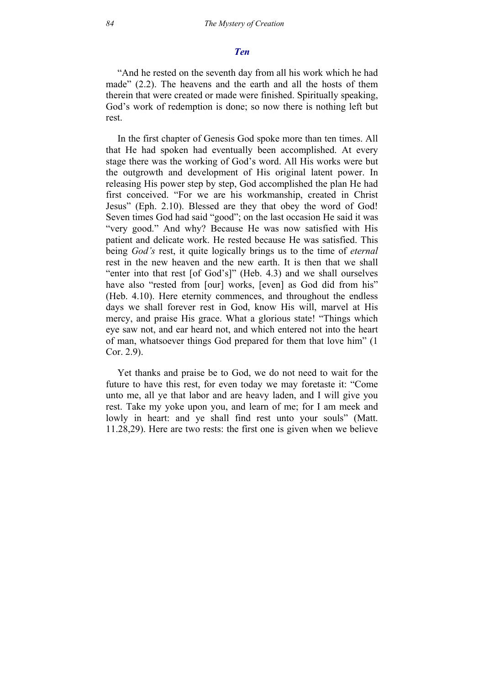#### *Ten*

"And he rested on the seventh day from all his work which he had made" (2.2). The heavens and the earth and all the hosts of them therein that were created or made were finished. Spiritually speaking, God's work of redemption is done; so now there is nothing left but rest.

In the first chapter of Genesis God spoke more than ten times. All that He had spoken had eventually been accomplished. At every stage there was the working of God's word. All His works were but the outgrowth and development of His original latent power. In releasing His power step by step, God accomplished the plan He had first conceived. "For we are his workmanship, created in Christ Jesus" (Eph. 2.10). Blessed are they that obey the word of God! Seven times God had said "good"; on the last occasion He said it was "very good." And why? Because He was now satisfied with His patient and delicate work. He rested because He was satisfied. This being *God's* rest, it quite logically brings us to the time of *eternal* rest in the new heaven and the new earth. It is then that we shall "enter into that rest [of God's]" (Heb. 4.3) and we shall ourselves have also "rested from [our] works, [even] as God did from his" (Heb. 4.10). Here eternity commences, and throughout the endless days we shall forever rest in God, know His will, marvel at His mercy, and praise His grace. What a glorious state! "Things which eye saw not, and ear heard not, and which entered not into the heart of man, whatsoever things God prepared for them that love him" (1 Cor. 2.9).

Yet thanks and praise be to God, we do not need to wait for the future to have this rest, for even today we may foretaste it: "Come unto me, all ye that labor and are heavy laden, and I will give you rest. Take my yoke upon you, and learn of me; for I am meek and lowly in heart: and ye shall find rest unto your souls" (Matt. 11.28,29). Here are two rests: the first one is given when we believe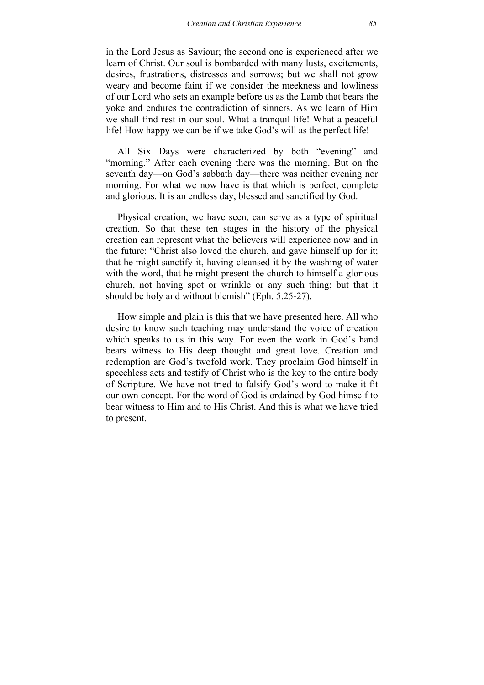in the Lord Jesus as Saviour; the second one is experienced after we learn of Christ. Our soul is bombarded with many lusts, excitements, desires, frustrations, distresses and sorrows; but we shall not grow weary and become faint if we consider the meekness and lowliness of our Lord who sets an example before us as the Lamb that bears the yoke and endures the contradiction of sinners. As we learn of Him we shall find rest in our soul. What a tranquil life! What a peaceful life! How happy we can be if we take God's will as the perfect life!

All Six Days were characterized by both "evening" and "morning." After each evening there was the morning. But on the seventh day—on God's sabbath day—there was neither evening nor morning. For what we now have is that which is perfect, complete and glorious. It is an endless day, blessed and sanctified by God.

Physical creation, we have seen, can serve as a type of spiritual creation. So that these ten stages in the history of the physical creation can represent what the believers will experience now and in the future: "Christ also loved the church, and gave himself up for it; that he might sanctify it, having cleansed it by the washing of water with the word, that he might present the church to himself a glorious church, not having spot or wrinkle or any such thing; but that it should be holy and without blemish" (Eph. 5.25-27).

How simple and plain is this that we have presented here. All who desire to know such teaching may understand the voice of creation which speaks to us in this way. For even the work in God's hand bears witness to His deep thought and great love. Creation and redemption are God's twofold work. They proclaim God himself in speechless acts and testify of Christ who is the key to the entire body of Scripture. We have not tried to falsify God's word to make it fit our own concept. For the word of God is ordained by God himself to bear witness to Him and to His Christ. And this is what we have tried to present.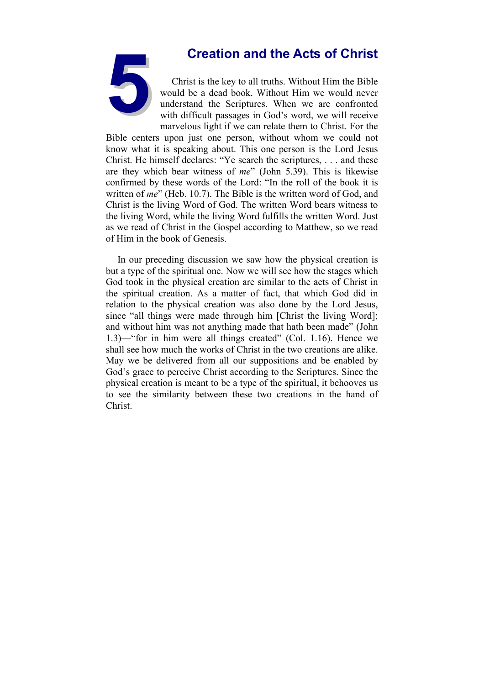

**5Creation and the Acts of Christ**<br>Christ is the key to all truths. Without Him the Bible<br>would be a dead book. Without Him we would never<br>understand the Scriptures. When we are confronted<br>with difficult passages in God's Christ is the key to all truths. Without Him the Bible would be a dead book. Without Him we would never understand the Scriptures. When we are confronted with difficult passages in God's word, we will receive marvelous light if we can relate them to Christ. For the

Bible centers upon just one person, without whom we could not know what it is speaking about. This one person is the Lord Jesus Christ. He himself declares: "Ye search the scriptures, . . . and these are they which bear witness of *me*" (John 5.39). This is likewise confirmed by these words of the Lord: "In the roll of the book it is written of *me*" (Heb. 10.7). The Bible is the written word of God, and Christ is the living Word of God. The written Word bears witness to the living Word, while the living Word fulfills the written Word. Just as we read of Christ in the Gospel according to Matthew, so we read of Him in the book of Genesis.

In our preceding discussion we saw how the physical creation is but a type of the spiritual one. Now we will see how the stages which God took in the physical creation are similar to the acts of Christ in the spiritual creation. As a matter of fact, that which God did in relation to the physical creation was also done by the Lord Jesus, since "all things were made through him [Christ the living Word]; and without him was not anything made that hath been made" (John 1.3)—"for in him were all things created" (Col. 1.16). Hence we shall see how much the works of Christ in the two creations are alike. May we be delivered from all our suppositions and be enabled by God's grace to perceive Christ according to the Scriptures. Since the physical creation is meant to be a type of the spiritual, it behooves us to see the similarity between these two creations in the hand of Christ.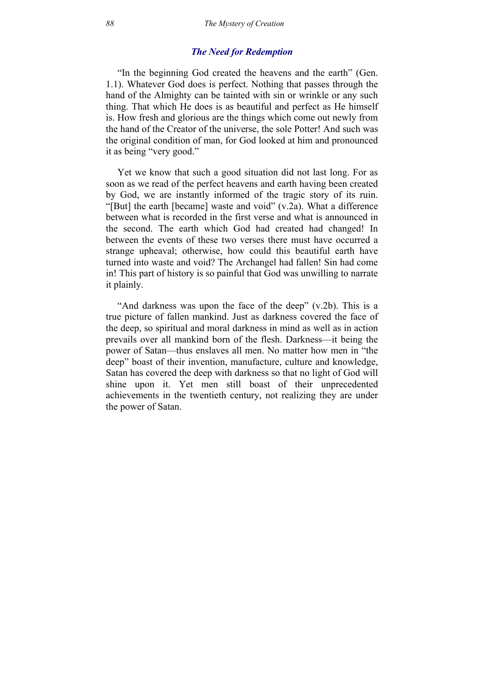## *The Need for Redemption*

"In the beginning God created the heavens and the earth" (Gen. 1.1). Whatever God does is perfect. Nothing that passes through the hand of the Almighty can be tainted with sin or wrinkle or any such thing. That which He does is as beautiful and perfect as He himself is. How fresh and glorious are the things which come out newly from the hand of the Creator of the universe, the sole Potter! And such was the original condition of man, for God looked at him and pronounced it as being "very good."

Yet we know that such a good situation did not last long. For as soon as we read of the perfect heavens and earth having been created by God, we are instantly informed of the tragic story of its ruin. "[But] the earth [became] waste and void" (v.2a). What a difference between what is recorded in the first verse and what is announced in the second. The earth which God had created had changed! In between the events of these two verses there must have occurred a strange upheaval; otherwise, how could this beautiful earth have turned into waste and void? The Archangel had fallen! Sin had come in! This part of history is so painful that God was unwilling to narrate it plainly.

"And darkness was upon the face of the deep" (v.2b). This is a true picture of fallen mankind. Just as darkness covered the face of the deep, so spiritual and moral darkness in mind as well as in action prevails over all mankind born of the flesh. Darkness—it being the power of Satan—thus enslaves all men. No matter how men in "the deep" boast of their invention, manufacture, culture and knowledge, Satan has covered the deep with darkness so that no light of God will shine upon it. Yet men still boast of their unprecedented achievements in the twentieth century, not realizing they are under the power of Satan.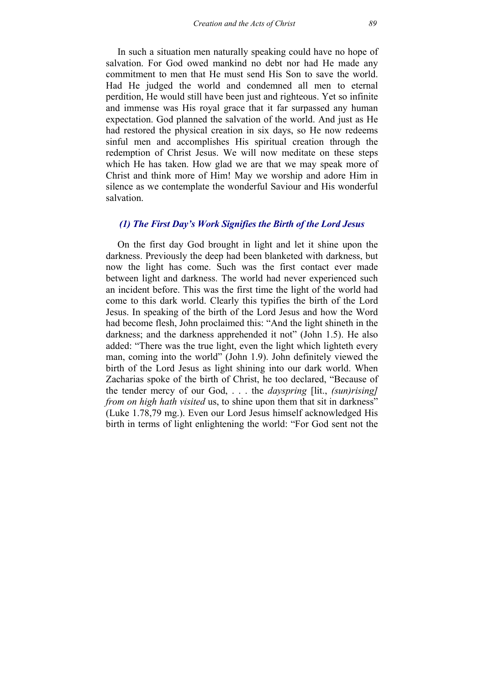In such a situation men naturally speaking could have no hope of salvation. For God owed mankind no debt nor had He made any commitment to men that He must send His Son to save the world. Had He judged the world and condemned all men to eternal perdition, He would still have been just and righteous. Yet so infinite and immense was His royal grace that it far surpassed any human expectation. God planned the salvation of the world. And just as He had restored the physical creation in six days, so He now redeems sinful men and accomplishes His spiritual creation through the redemption of Christ Jesus. We will now meditate on these steps which He has taken. How glad we are that we may speak more of Christ and think more of Him! May we worship and adore Him in silence as we contemplate the wonderful Saviour and His wonderful salvation.

# *(1) The First Day's Work Signifies the Birth of the Lord Jesus*

On the first day God brought in light and let it shine upon the darkness. Previously the deep had been blanketed with darkness, but now the light has come. Such was the first contact ever made between light and darkness. The world had never experienced such an incident before. This was the first time the light of the world had come to this dark world. Clearly this typifies the birth of the Lord Jesus. In speaking of the birth of the Lord Jesus and how the Word had become flesh, John proclaimed this: "And the light shineth in the darkness; and the darkness apprehended it not" (John 1.5). He also added: "There was the true light, even the light which lighteth every man, coming into the world" (John 1.9). John definitely viewed the birth of the Lord Jesus as light shining into our dark world. When Zacharias spoke of the birth of Christ, he too declared, "Because of the tender mercy of our God, . . . the *dayspring* [lit., *(sun)rising] from on high hath visited* us, to shine upon them that sit in darkness" (Luke 1.78,79 mg.). Even our Lord Jesus himself acknowledged His birth in terms of light enlightening the world: "For God sent not the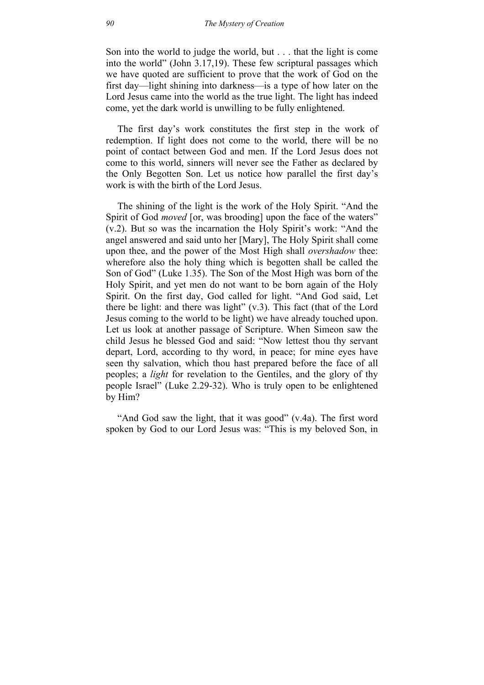Son into the world to judge the world, but . . . that the light is come into the world" (John 3.17,19). These few scriptural passages which we have quoted are sufficient to prove that the work of God on the first day—light shining into darkness—is a type of how later on the Lord Jesus came into the world as the true light. The light has indeed come, yet the dark world is unwilling to be fully enlightened.

The first day's work constitutes the first step in the work of redemption. If light does not come to the world, there will be no point of contact between God and men. If the Lord Jesus does not come to this world, sinners will never see the Father as declared by the Only Begotten Son. Let us notice how parallel the first day's work is with the birth of the Lord Jesus.

The shining of the light is the work of the Holy Spirit. "And the Spirit of God *moved* [or, was brooding] upon the face of the waters" (v.2). But so was the incarnation the Holy Spirit's work: "And the angel answered and said unto her [Mary], The Holy Spirit shall come upon thee, and the power of the Most High shall *overshadow* thee: wherefore also the holy thing which is begotten shall be called the Son of God" (Luke 1.35). The Son of the Most High was born of the Holy Spirit, and yet men do not want to be born again of the Holy Spirit. On the first day, God called for light. "And God said, Let there be light: and there was light"  $(v.3)$ . This fact (that of the Lord Jesus coming to the world to be light) we have already touched upon. Let us look at another passage of Scripture. When Simeon saw the child Jesus he blessed God and said: "Now lettest thou thy servant depart, Lord, according to thy word, in peace; for mine eyes have seen thy salvation, which thou hast prepared before the face of all peoples; a *light* for revelation to the Gentiles, and the glory of thy people Israel" (Luke 2.29-32). Who is truly open to be enlightened by Him?

"And God saw the light, that it was good" (v.4a). The first word spoken by God to our Lord Jesus was: "This is my beloved Son, in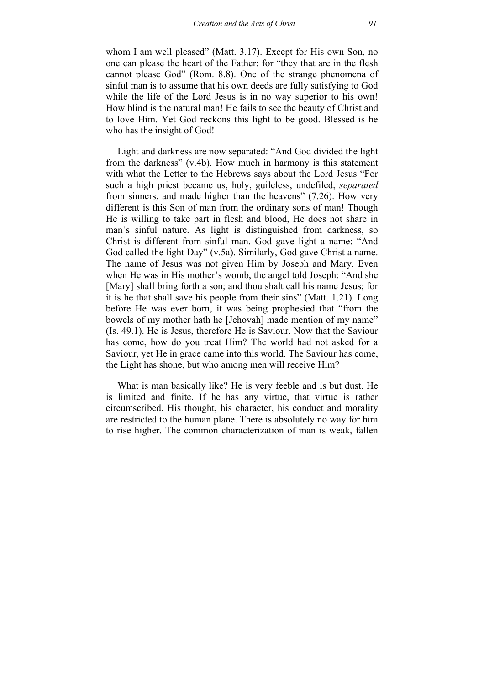whom I am well pleased" (Matt. 3.17). Except for His own Son, no one can please the heart of the Father: for "they that are in the flesh cannot please God" (Rom. 8.8). One of the strange phenomena of sinful man is to assume that his own deeds are fully satisfying to God while the life of the Lord Jesus is in no way superior to his own! How blind is the natural man! He fails to see the beauty of Christ and to love Him. Yet God reckons this light to be good. Blessed is he who has the insight of God!

Light and darkness are now separated: "And God divided the light from the darkness" (v.4b). How much in harmony is this statement with what the Letter to the Hebrews says about the Lord Jesus "For such a high priest became us, holy, guileless, undefiled, *separated* from sinners, and made higher than the heavens" (7.26). How very different is this Son of man from the ordinary sons of man! Though He is willing to take part in flesh and blood, He does not share in man's sinful nature. As light is distinguished from darkness, so Christ is different from sinful man. God gave light a name: "And God called the light Day" (v.5a). Similarly, God gave Christ a name. The name of Jesus was not given Him by Joseph and Mary. Even when He was in His mother's womb, the angel told Joseph: "And she [Mary] shall bring forth a son; and thou shalt call his name Jesus; for it is he that shall save his people from their sins" (Matt. 1.21). Long before He was ever born, it was being prophesied that "from the bowels of my mother hath he [Jehovah] made mention of my name" (Is. 49.1). He is Jesus, therefore He is Saviour. Now that the Saviour has come, how do you treat Him? The world had not asked for a Saviour, yet He in grace came into this world. The Saviour has come, the Light has shone, but who among men will receive Him?

What is man basically like? He is very feeble and is but dust. He is limited and finite. If he has any virtue, that virtue is rather circumscribed. His thought, his character, his conduct and morality are restricted to the human plane. There is absolutely no way for him to rise higher. The common characterization of man is weak, fallen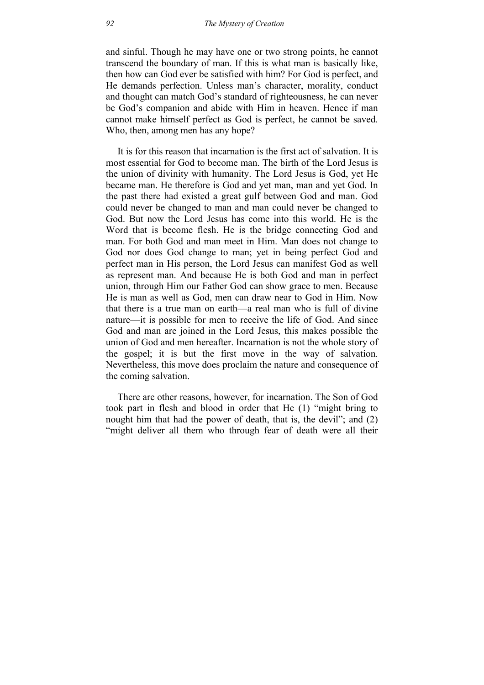and sinful. Though he may have one or two strong points, he cannot transcend the boundary of man. If this is what man is basically like, then how can God ever be satisfied with him? For God is perfect, and He demands perfection. Unless man's character, morality, conduct and thought can match God's standard of righteousness, he can never be God's companion and abide with Him in heaven. Hence if man cannot make himself perfect as God is perfect, he cannot be saved. Who, then, among men has any hope?

It is for this reason that incarnation is the first act of salvation. It is most essential for God to become man. The birth of the Lord Jesus is the union of divinity with humanity. The Lord Jesus is God, yet He became man. He therefore is God and yet man, man and yet God. In the past there had existed a great gulf between God and man. God could never be changed to man and man could never be changed to God. But now the Lord Jesus has come into this world. He is the Word that is become flesh. He is the bridge connecting God and man. For both God and man meet in Him. Man does not change to God nor does God change to man; yet in being perfect God and perfect man in His person, the Lord Jesus can manifest God as well as represent man. And because He is both God and man in perfect union, through Him our Father God can show grace to men. Because He is man as well as God, men can draw near to God in Him. Now that there is a true man on earth—a real man who is full of divine nature—it is possible for men to receive the life of God. And since God and man are joined in the Lord Jesus, this makes possible the union of God and men hereafter. Incarnation is not the whole story of the gospel; it is but the first move in the way of salvation. Nevertheless, this move does proclaim the nature and consequence of the coming salvation.

There are other reasons, however, for incarnation. The Son of God took part in flesh and blood in order that He (1) "might bring to nought him that had the power of death, that is, the devil"; and (2) "might deliver all them who through fear of death were all their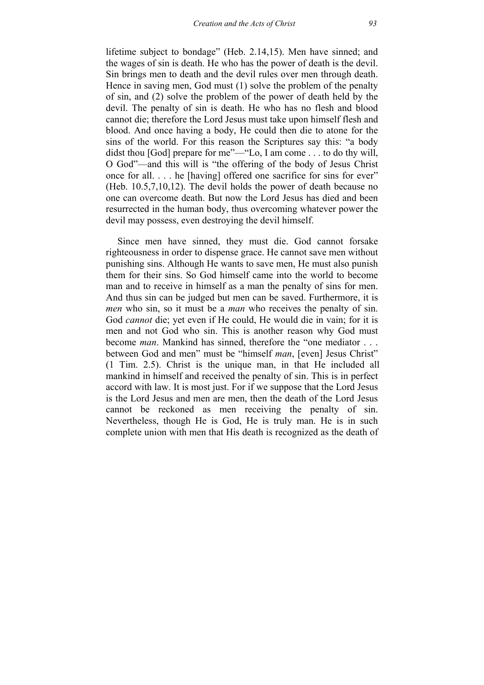lifetime subject to bondage" (Heb. 2.14,15). Men have sinned; and the wages of sin is death. He who has the power of death is the devil. Sin brings men to death and the devil rules over men through death. Hence in saving men, God must (1) solve the problem of the penalty of sin, and (2) solve the problem of the power of death held by the devil. The penalty of sin is death. He who has no flesh and blood cannot die; therefore the Lord Jesus must take upon himself flesh and blood. And once having a body, He could then die to atone for the sins of the world. For this reason the Scriptures say this: "a body didst thou [God] prepare for me"—"Lo, I am come . . . to do thy will, O God"—and this will is "the offering of the body of Jesus Christ once for all. . . . he [having] offered one sacrifice for sins for ever" (Heb. 10.5,7,10,12). The devil holds the power of death because no one can overcome death. But now the Lord Jesus has died and been resurrected in the human body, thus overcoming whatever power the devil may possess, even destroying the devil himself.

Since men have sinned, they must die. God cannot forsake righteousness in order to dispense grace. He cannot save men without punishing sins. Although He wants to save men, He must also punish them for their sins. So God himself came into the world to become man and to receive in himself as a man the penalty of sins for men. And thus sin can be judged but men can be saved. Furthermore, it is *men* who sin, so it must be a *man* who receives the penalty of sin. God *cannot* die; yet even if He could, He would die in vain; for it is men and not God who sin. This is another reason why God must become *man*. Mankind has sinned, therefore the "one mediator . . . between God and men" must be "himself *man*, [even] Jesus Christ" (1 Tim. 2.5). Christ is the unique man, in that He included all mankind in himself and received the penalty of sin. This is in perfect accord with law. It is most just. For if we suppose that the Lord Jesus is the Lord Jesus and men are men, then the death of the Lord Jesus cannot be reckoned as men receiving the penalty of sin. Nevertheless, though He is God, He is truly man. He is in such complete union with men that His death is recognized as the death of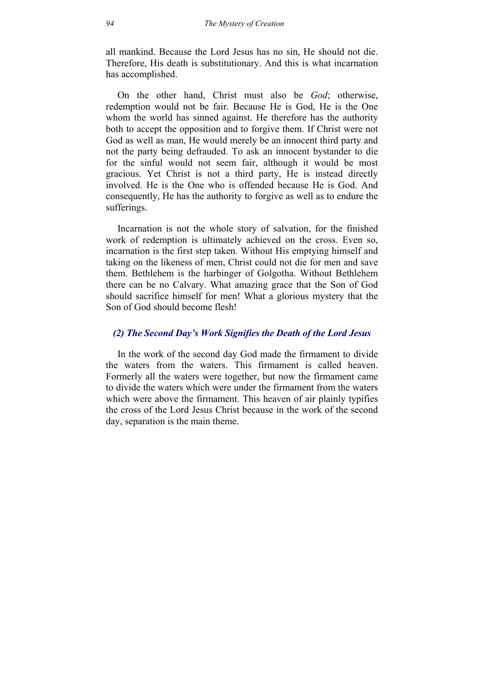all mankind. Because the Lord Jesus has no sin, He should not die. Therefore, His death is substitutionary. And this is what incarnation has accomplished.

On the other hand, Christ must also be *God*; otherwise, redemption would not be fair. Because He is God, He is the One whom the world has sinned against. He therefore has the authority both to accept the opposition and to forgive them. If Christ were not God as well as man, He would merely be an innocent third party and not the party being defrauded. To ask an innocent bystander to die for the sinful would not seem fair, although it would be most gracious. Yet Christ is not a third party, He is instead directly involved. He is the One who is offended because He is God. And consequently, He has the authority to forgive as well as to endure the sufferings.

Incarnation is not the whole story of salvation, for the finished work of redemption is ultimately achieved on the cross. Even so, incarnation is the first step taken. Without His emptying himself and taking on the likeness of men, Christ could not die for men and save them. Bethlehem is the harbinger of Golgotha. Without Bethlehem there can be no Calvary. What amazing grace that the Son of God should sacrifice himself for men! What a glorious mystery that the Son of God should become flesh!

## *(2) The Second Day's Work Signifies the Death of the Lord Jesus*

In the work of the second day God made the firmament to divide the waters from the waters. This firmament is called heaven. Formerly all the waters were together, but now the firmament came to divide the waters which were under the firmament from the waters which were above the firmament. This heaven of air plainly typifies the cross of the Lord Jesus Christ because in the work of the second day, separation is the main theme.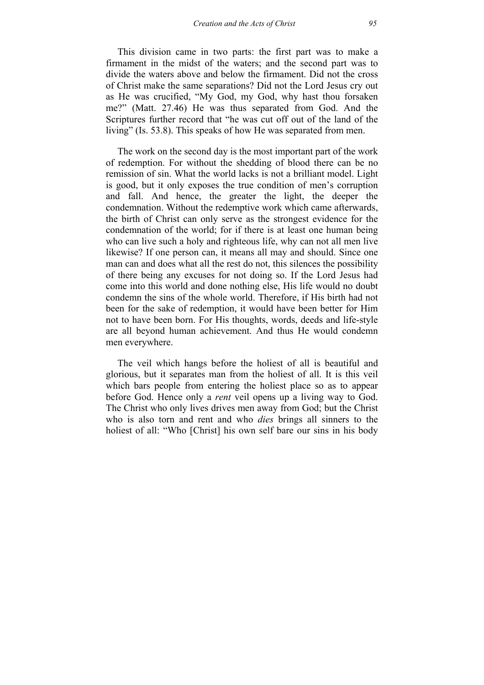This division came in two parts: the first part was to make a firmament in the midst of the waters; and the second part was to divide the waters above and below the firmament. Did not the cross of Christ make the same separations? Did not the Lord Jesus cry out as He was crucified, "My God, my God, why hast thou forsaken me?" (Matt. 27.46) He was thus separated from God. And the Scriptures further record that "he was cut off out of the land of the living" (Is. 53.8). This speaks of how He was separated from men.

The work on the second day is the most important part of the work of redemption. For without the shedding of blood there can be no remission of sin. What the world lacks is not a brilliant model. Light is good, but it only exposes the true condition of men's corruption and fall. And hence, the greater the light, the deeper the condemnation. Without the redemptive work which came afterwards, the birth of Christ can only serve as the strongest evidence for the condemnation of the world; for if there is at least one human being who can live such a holy and righteous life, why can not all men live likewise? If one person can, it means all may and should. Since one man can and does what all the rest do not, this silences the possibility of there being any excuses for not doing so. If the Lord Jesus had come into this world and done nothing else, His life would no doubt condemn the sins of the whole world. Therefore, if His birth had not been for the sake of redemption, it would have been better for Him not to have been born. For His thoughts, words, deeds and life-style are all beyond human achievement. And thus He would condemn men everywhere.

The veil which hangs before the holiest of all is beautiful and glorious, but it separates man from the holiest of all. It is this veil which bars people from entering the holiest place so as to appear before God. Hence only a *rent* veil opens up a living way to God. The Christ who only lives drives men away from God; but the Christ who is also torn and rent and who *dies* brings all sinners to the holiest of all: "Who [Christ] his own self bare our sins in his body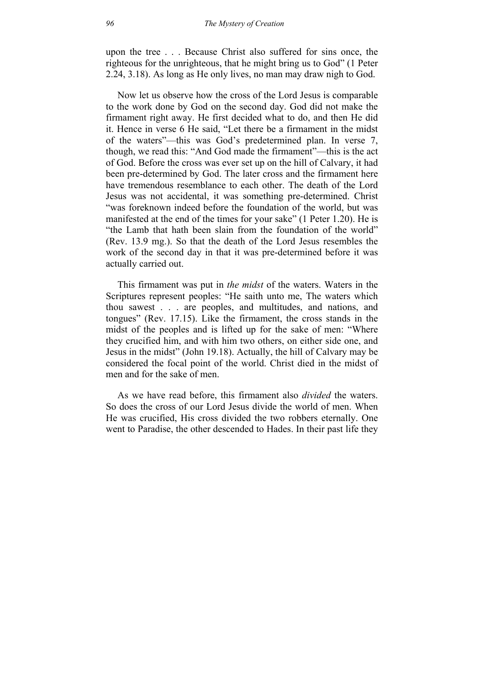upon the tree . . . Because Christ also suffered for sins once, the righteous for the unrighteous, that he might bring us to God" (1 Peter 2.24, 3.18). As long as He only lives, no man may draw nigh to God.

Now let us observe how the cross of the Lord Jesus is comparable to the work done by God on the second day. God did not make the firmament right away. He first decided what to do, and then He did it. Hence in verse 6 He said, "Let there be a firmament in the midst of the waters"—this was God's predetermined plan. In verse 7, though, we read this: "And God made the firmament"—this is the act of God. Before the cross was ever set up on the hill of Calvary, it had been pre-determined by God. The later cross and the firmament here have tremendous resemblance to each other. The death of the Lord Jesus was not accidental, it was something pre-determined. Christ "was foreknown indeed before the foundation of the world, but was manifested at the end of the times for your sake" (1 Peter 1.20). He is "the Lamb that hath been slain from the foundation of the world" (Rev. 13.9 mg.). So that the death of the Lord Jesus resembles the work of the second day in that it was pre-determined before it was actually carried out.

This firmament was put in *the midst* of the waters. Waters in the Scriptures represent peoples: "He saith unto me, The waters which thou sawest . . . are peoples, and multitudes, and nations, and tongues" (Rev. 17.15). Like the firmament, the cross stands in the midst of the peoples and is lifted up for the sake of men: "Where they crucified him, and with him two others, on either side one, and Jesus in the midst" (John 19.18). Actually, the hill of Calvary may be considered the focal point of the world. Christ died in the midst of men and for the sake of men.

As we have read before, this firmament also *divided* the waters. So does the cross of our Lord Jesus divide the world of men. When He was crucified, His cross divided the two robbers eternally. One went to Paradise, the other descended to Hades. In their past life they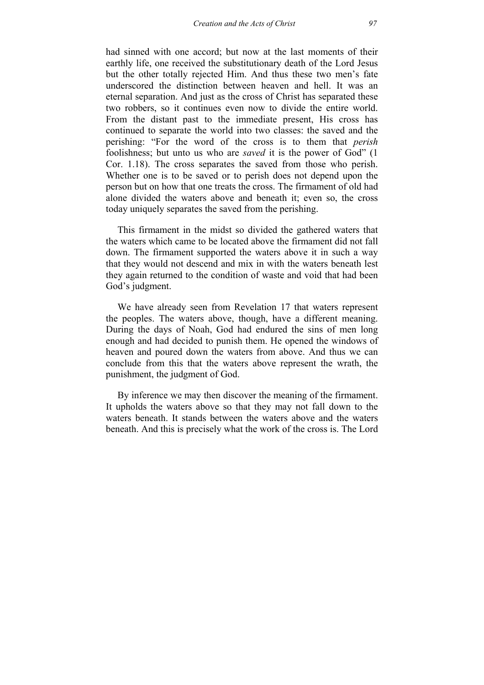had sinned with one accord; but now at the last moments of their earthly life, one received the substitutionary death of the Lord Jesus but the other totally rejected Him. And thus these two men's fate underscored the distinction between heaven and hell. It was an eternal separation. And just as the cross of Christ has separated these two robbers, so it continues even now to divide the entire world. From the distant past to the immediate present, His cross has continued to separate the world into two classes: the saved and the perishing: "For the word of the cross is to them that *perish* foolishness; but unto us who are *saved* it is the power of God" (1 Cor. 1.18). The cross separates the saved from those who perish. Whether one is to be saved or to perish does not depend upon the person but on how that one treats the cross. The firmament of old had alone divided the waters above and beneath it; even so, the cross today uniquely separates the saved from the perishing.

This firmament in the midst so divided the gathered waters that the waters which came to be located above the firmament did not fall down. The firmament supported the waters above it in such a way that they would not descend and mix in with the waters beneath lest they again returned to the condition of waste and void that had been God's judgment.

We have already seen from Revelation 17 that waters represent the peoples. The waters above, though, have a different meaning. During the days of Noah, God had endured the sins of men long enough and had decided to punish them. He opened the windows of heaven and poured down the waters from above. And thus we can conclude from this that the waters above represent the wrath, the punishment, the judgment of God.

By inference we may then discover the meaning of the firmament. It upholds the waters above so that they may not fall down to the waters beneath. It stands between the waters above and the waters beneath. And this is precisely what the work of the cross is. The Lord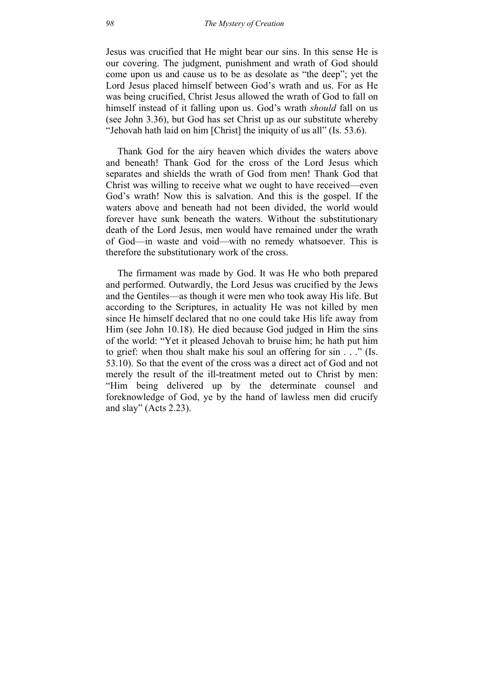Jesus was crucified that He might bear our sins. In this sense He is our covering. The judgment, punishment and wrath of God should come upon us and cause us to be as desolate as "the deep"; yet the Lord Jesus placed himself between God's wrath and us. For as He was being crucified, Christ Jesus allowed the wrath of God to fall on himself instead of it falling upon us. God's wrath *should* fall on us (see John 3.36), but God has set Christ up as our substitute whereby "Jehovah hath laid on him [Christ] the iniquity of us all" (Is. 53.6).

Thank God for the airy heaven which divides the waters above and beneath! Thank God for the cross of the Lord Jesus which separates and shields the wrath of God from men! Thank God that Christ was willing to receive what we ought to have received—even God's wrath! Now this is salvation. And this is the gospel. If the waters above and beneath had not been divided, the world would forever have sunk beneath the waters. Without the substitutionary death of the Lord Jesus, men would have remained under the wrath of God—in waste and void—with no remedy whatsoever. This is therefore the substitutionary work of the cross.

The firmament was made by God. It was He who both prepared and performed. Outwardly, the Lord Jesus was crucified by the Jews and the Gentiles—as though it were men who took away His life. But according to the Scriptures, in actuality He was not killed by men since He himself declared that no one could take His life away from Him (see John 10.18). He died because God judged in Him the sins of the world: "Yet it pleased Jehovah to bruise him; he hath put him to grief: when thou shalt make his soul an offering for sin . . ." (Is. 53.10). So that the event of the cross was a direct act of God and not merely the result of the ill-treatment meted out to Christ by men: "Him being delivered up by the determinate counsel and foreknowledge of God, ye by the hand of lawless men did crucify and slay" (Acts 2.23).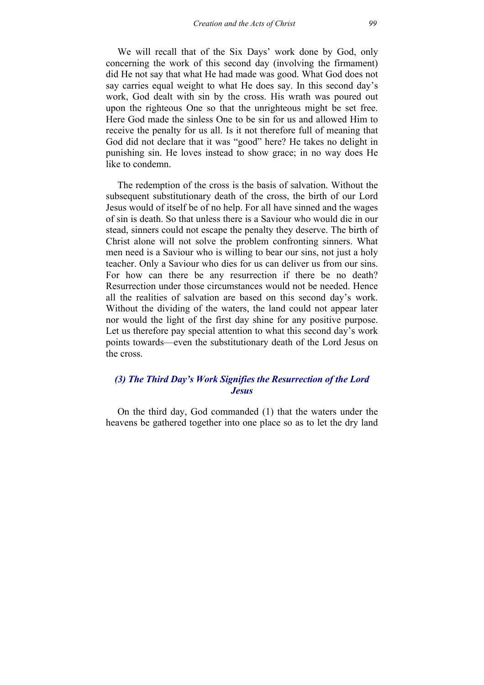We will recall that of the Six Days' work done by God, only concerning the work of this second day (involving the firmament) did He not say that what He had made was good. What God does not say carries equal weight to what He does say. In this second day's work, God dealt with sin by the cross. His wrath was poured out upon the righteous One so that the unrighteous might be set free. Here God made the sinless One to be sin for us and allowed Him to receive the penalty for us all. Is it not therefore full of meaning that God did not declare that it was "good" here? He takes no delight in punishing sin. He loves instead to show grace; in no way does He like to condemn.

The redemption of the cross is the basis of salvation. Without the subsequent substitutionary death of the cross, the birth of our Lord Jesus would of itself be of no help. For all have sinned and the wages of sin is death. So that unless there is a Saviour who would die in our stead, sinners could not escape the penalty they deserve. The birth of Christ alone will not solve the problem confronting sinners. What men need is a Saviour who is willing to bear our sins, not just a holy teacher. Only a Saviour who dies for us can deliver us from our sins. For how can there be any resurrection if there be no death? Resurrection under those circumstances would not be needed. Hence all the realities of salvation are based on this second day's work. Without the dividing of the waters, the land could not appear later nor would the light of the first day shine for any positive purpose. Let us therefore pay special attention to what this second day's work points towards—even the substitutionary death of the Lord Jesus on the cross.

## *(3) The Third Day's Work Signifies the Resurrection of the Lord Jesus*

On the third day, God commanded (1) that the waters under the heavens be gathered together into one place so as to let the dry land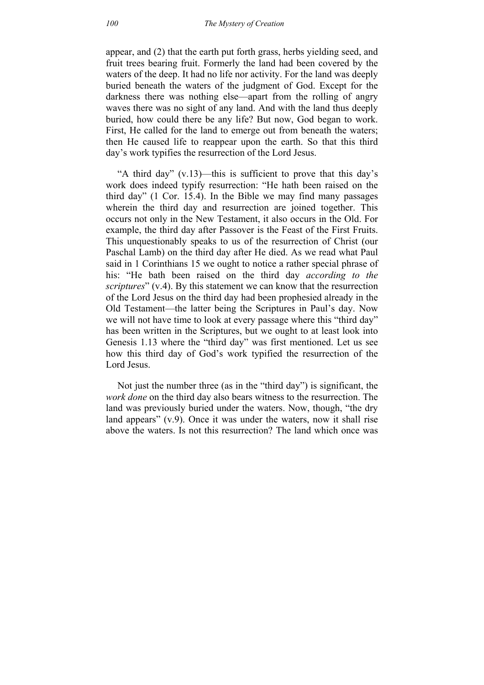appear, and (2) that the earth put forth grass, herbs yielding seed, and fruit trees bearing fruit. Formerly the land had been covered by the waters of the deep. It had no life nor activity. For the land was deeply buried beneath the waters of the judgment of God. Except for the darkness there was nothing else—apart from the rolling of angry waves there was no sight of any land. And with the land thus deeply buried, how could there be any life? But now, God began to work. First, He called for the land to emerge out from beneath the waters; then He caused life to reappear upon the earth. So that this third day's work typifies the resurrection of the Lord Jesus.

"A third day" (v.13)—this is sufficient to prove that this day's work does indeed typify resurrection: "He hath been raised on the third day" (1 Cor. 15.4). In the Bible we may find many passages wherein the third day and resurrection are joined together. This occurs not only in the New Testament, it also occurs in the Old. For example, the third day after Passover is the Feast of the First Fruits. This unquestionably speaks to us of the resurrection of Christ (our Paschal Lamb) on the third day after He died. As we read what Paul said in 1 Corinthians 15 we ought to notice a rather special phrase of his: "He bath been raised on the third day *according to the scriptures*" (v.4). By this statement we can know that the resurrection of the Lord Jesus on the third day had been prophesied already in the Old Testament—the latter being the Scriptures in Paul's day. Now we will not have time to look at every passage where this "third day" has been written in the Scriptures, but we ought to at least look into Genesis 1.13 where the "third day" was first mentioned. Let us see how this third day of God's work typified the resurrection of the Lord Jesus.

Not just the number three (as in the "third day") is significant, the *work done* on the third day also bears witness to the resurrection. The land was previously buried under the waters. Now, though, "the dry land appears" (v.9). Once it was under the waters, now it shall rise above the waters. Is not this resurrection? The land which once was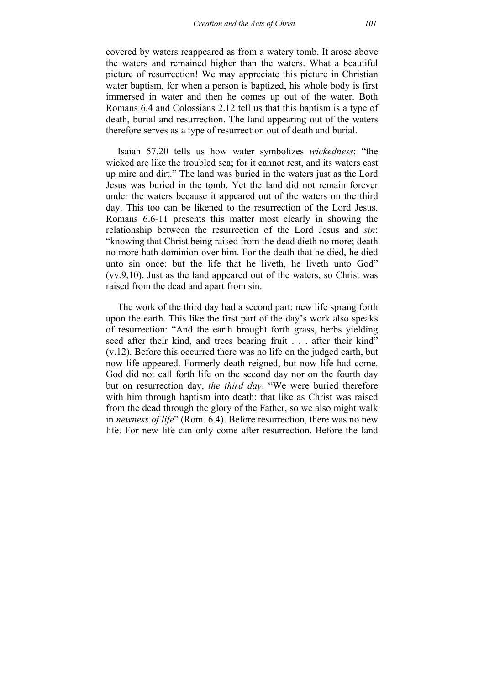covered by waters reappeared as from a watery tomb. It arose above the waters and remained higher than the waters. What a beautiful picture of resurrection! We may appreciate this picture in Christian water baptism, for when a person is baptized, his whole body is first immersed in water and then he comes up out of the water. Both Romans 6.4 and Colossians 2.12 tell us that this baptism is a type of death, burial and resurrection. The land appearing out of the waters therefore serves as a type of resurrection out of death and burial.

Isaiah 57.20 tells us how water symbolizes *wickedness*: "the wicked are like the troubled sea; for it cannot rest, and its waters cast up mire and dirt." The land was buried in the waters just as the Lord Jesus was buried in the tomb. Yet the land did not remain forever under the waters because it appeared out of the waters on the third day. This too can be likened to the resurrection of the Lord Jesus. Romans 6.6-11 presents this matter most clearly in showing the relationship between the resurrection of the Lord Jesus and *sin*: "knowing that Christ being raised from the dead dieth no more; death no more hath dominion over him. For the death that he died, he died unto sin once: but the life that he liveth, he liveth unto God" (vv.9,10). Just as the land appeared out of the waters, so Christ was raised from the dead and apart from sin.

The work of the third day had a second part: new life sprang forth upon the earth. This like the first part of the day's work also speaks of resurrection: "And the earth brought forth grass, herbs yielding seed after their kind, and trees bearing fruit . . . after their kind" (v.12). Before this occurred there was no life on the judged earth, but now life appeared. Formerly death reigned, but now life had come. God did not call forth life on the second day nor on the fourth day but on resurrection day, *the third day*. "We were buried therefore with him through baptism into death: that like as Christ was raised from the dead through the glory of the Father, so we also might walk in *newness of life*" (Rom. 6.4). Before resurrection, there was no new life. For new life can only come after resurrection. Before the land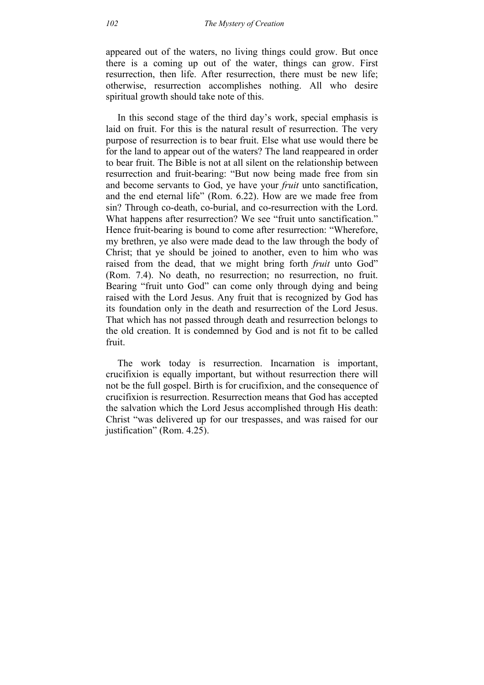appeared out of the waters, no living things could grow. But once there is a coming up out of the water, things can grow. First resurrection, then life. After resurrection, there must be new life; otherwise, resurrection accomplishes nothing. All who desire spiritual growth should take note of this.

In this second stage of the third day's work, special emphasis is laid on fruit. For this is the natural result of resurrection. The very purpose of resurrection is to bear fruit. Else what use would there be for the land to appear out of the waters? The land reappeared in order to bear fruit. The Bible is not at all silent on the relationship between resurrection and fruit-bearing: "But now being made free from sin and become servants to God, ye have your *fruit* unto sanctification, and the end eternal life" (Rom. 6.22). How are we made free from sin? Through co-death, co-burial, and co-resurrection with the Lord. What happens after resurrection? We see "fruit unto sanctification." Hence fruit-bearing is bound to come after resurrection: "Wherefore, my brethren, ye also were made dead to the law through the body of Christ; that ye should be joined to another, even to him who was raised from the dead, that we might bring forth *fruit* unto God" (Rom. 7.4). No death, no resurrection; no resurrection, no fruit. Bearing "fruit unto God" can come only through dying and being raised with the Lord Jesus. Any fruit that is recognized by God has its foundation only in the death and resurrection of the Lord Jesus. That which has not passed through death and resurrection belongs to the old creation. It is condemned by God and is not fit to be called fruit.

The work today is resurrection. Incarnation is important, crucifixion is equally important, but without resurrection there will not be the full gospel. Birth is for crucifixion, and the consequence of crucifixion is resurrection. Resurrection means that God has accepted the salvation which the Lord Jesus accomplished through His death: Christ "was delivered up for our trespasses, and was raised for our justification" (Rom. 4.25).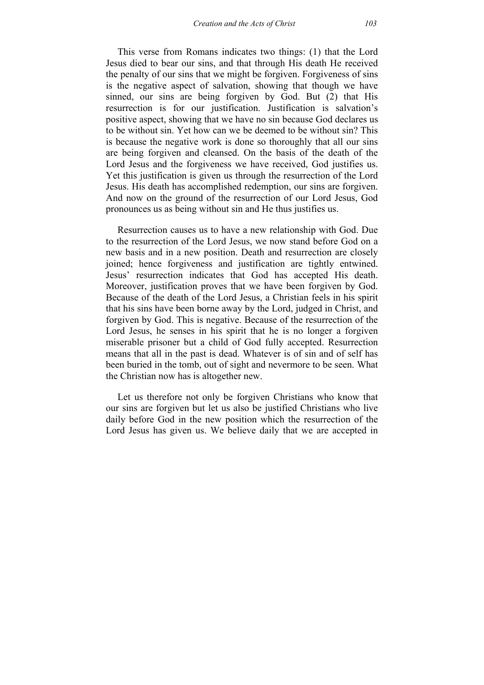This verse from Romans indicates two things: (1) that the Lord Jesus died to bear our sins, and that through His death He received the penalty of our sins that we might be forgiven. Forgiveness of sins is the negative aspect of salvation, showing that though we have sinned, our sins are being forgiven by God. But (2) that His resurrection is for our justification. Justification is salvation's positive aspect, showing that we have no sin because God declares us to be without sin. Yet how can we be deemed to be without sin? This is because the negative work is done so thoroughly that all our sins are being forgiven and cleansed. On the basis of the death of the Lord Jesus and the forgiveness we have received, God justifies us. Yet this justification is given us through the resurrection of the Lord Jesus. His death has accomplished redemption, our sins are forgiven. And now on the ground of the resurrection of our Lord Jesus, God pronounces us as being without sin and He thus justifies us.

Resurrection causes us to have a new relationship with God. Due to the resurrection of the Lord Jesus, we now stand before God on a new basis and in a new position. Death and resurrection are closely joined; hence forgiveness and justification are tightly entwined. Jesus' resurrection indicates that God has accepted His death. Moreover, justification proves that we have been forgiven by God. Because of the death of the Lord Jesus, a Christian feels in his spirit that his sins have been borne away by the Lord, judged in Christ, and forgiven by God. This is negative. Because of the resurrection of the Lord Jesus, he senses in his spirit that he is no longer a forgiven miserable prisoner but a child of God fully accepted. Resurrection means that all in the past is dead. Whatever is of sin and of self has been buried in the tomb, out of sight and nevermore to be seen. What the Christian now has is altogether new.

Let us therefore not only be forgiven Christians who know that our sins are forgiven but let us also be justified Christians who live daily before God in the new position which the resurrection of the Lord Jesus has given us. We believe daily that we are accepted in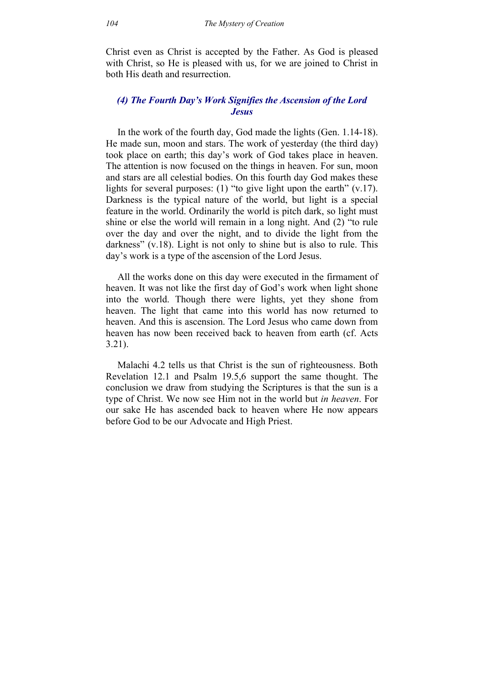Christ even as Christ is accepted by the Father. As God is pleased with Christ, so He is pleased with us, for we are joined to Christ in both His death and resurrection.

# *(4) The Fourth Day's Work Signifies the Ascension of the Lord Jesus*

In the work of the fourth day, God made the lights (Gen. 1.14-18). He made sun, moon and stars. The work of yesterday (the third day) took place on earth; this day's work of God takes place in heaven. The attention is now focused on the things in heaven. For sun, moon and stars are all celestial bodies. On this fourth day God makes these lights for several purposes: (1) "to give light upon the earth"  $(v.17)$ . Darkness is the typical nature of the world, but light is a special feature in the world. Ordinarily the world is pitch dark, so light must shine or else the world will remain in a long night. And (2) "to rule over the day and over the night, and to divide the light from the darkness" (v.18). Light is not only to shine but is also to rule. This day's work is a type of the ascension of the Lord Jesus.

All the works done on this day were executed in the firmament of heaven. It was not like the first day of God's work when light shone into the world. Though there were lights, yet they shone from heaven. The light that came into this world has now returned to heaven. And this is ascension. The Lord Jesus who came down from heaven has now been received back to heaven from earth (cf. Acts 3.21).

Malachi 4.2 tells us that Christ is the sun of righteousness. Both Revelation 12.1 and Psalm 19.5,6 support the same thought. The conclusion we draw from studying the Scriptures is that the sun is a type of Christ. We now see Him not in the world but *in heaven*. For our sake He has ascended back to heaven where He now appears before God to be our Advocate and High Priest.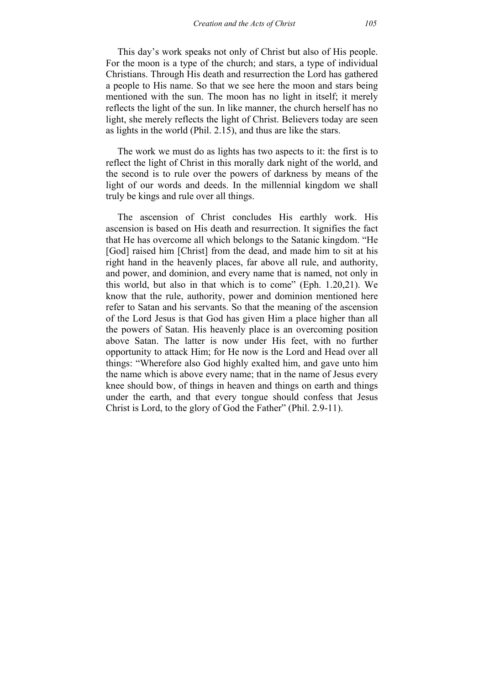This day's work speaks not only of Christ but also of His people. For the moon is a type of the church; and stars, a type of individual Christians. Through His death and resurrection the Lord has gathered a people to His name. So that we see here the moon and stars being mentioned with the sun. The moon has no light in itself; it merely reflects the light of the sun. In like manner, the church herself has no light, she merely reflects the light of Christ. Believers today are seen as lights in the world (Phil. 2.15), and thus are like the stars.

The work we must do as lights has two aspects to it: the first is to reflect the light of Christ in this morally dark night of the world, and the second is to rule over the powers of darkness by means of the light of our words and deeds. In the millennial kingdom we shall truly be kings and rule over all things.

The ascension of Christ concludes His earthly work. His ascension is based on His death and resurrection. It signifies the fact that He has overcome all which belongs to the Satanic kingdom. "He [God] raised him [Christ] from the dead, and made him to sit at his right hand in the heavenly places, far above all rule, and authority, and power, and dominion, and every name that is named, not only in this world, but also in that which is to come" (Eph. 1.20,21). We know that the rule, authority, power and dominion mentioned here refer to Satan and his servants. So that the meaning of the ascension of the Lord Jesus is that God has given Him a place higher than all the powers of Satan. His heavenly place is an overcoming position above Satan. The latter is now under His feet, with no further opportunity to attack Him; for He now is the Lord and Head over all things: "Wherefore also God highly exalted him, and gave unto him the name which is above every name; that in the name of Jesus every knee should bow, of things in heaven and things on earth and things under the earth, and that every tongue should confess that Jesus Christ is Lord, to the glory of God the Father" (Phil. 2.9-11).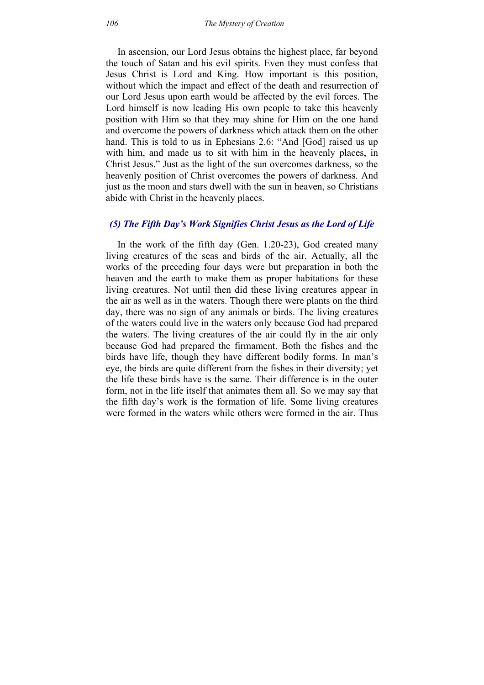In ascension, our Lord Jesus obtains the highest place, far beyond the touch of Satan and his evil spirits. Even they must confess that Jesus Christ is Lord and King. How important is this position, without which the impact and effect of the death and resurrection of our Lord Jesus upon earth would be affected by the evil forces. The Lord himself is now leading His own people to take this heavenly position with Him so that they may shine for Him on the one hand and overcome the powers of darkness which attack them on the other hand. This is told to us in Ephesians 2.6: "And [God] raised us up with him, and made us to sit with him in the heavenly places, in Christ Jesus." Just as the light of the sun overcomes darkness, so the heavenly position of Christ overcomes the powers of darkness. And just as the moon and stars dwell with the sun in heaven, so Christians abide with Christ in the heavenly places.

# *(5) The Fifth Day's Work Signifies Christ Jesus as the Lord of Life*

In the work of the fifth day (Gen. 1.20-23), God created many living creatures of the seas and birds of the air. Actually, all the works of the preceding four days were but preparation in both the heaven and the earth to make them as proper habitations for these living creatures. Not until then did these living creatures appear in the air as well as in the waters. Though there were plants on the third day, there was no sign of any animals or birds. The living creatures of the waters could live in the waters only because God had prepared the waters. The living creatures of the air could fly in the air only because God had prepared the firmament. Both the fishes and the birds have life, though they have different bodily forms. In man's eye, the birds are quite different from the fishes in their diversity; yet the life these birds have is the same. Their difference is in the outer form, not in the life itself that animates them all. So we may say that the fifth day's work is the formation of life. Some living creatures were formed in the waters while others were formed in the air. Thus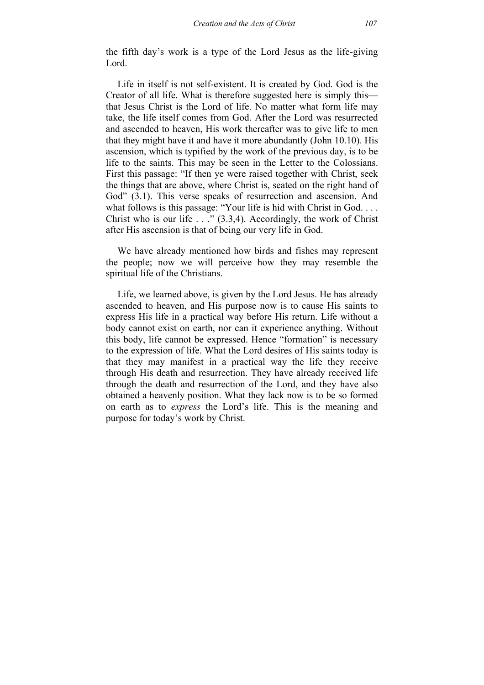the fifth day's work is a type of the Lord Jesus as the life-giving Lord.

Life in itself is not self-existent. It is created by God. God is the Creator of all life. What is therefore suggested here is simply this that Jesus Christ is the Lord of life. No matter what form life may take, the life itself comes from God. After the Lord was resurrected and ascended to heaven, His work thereafter was to give life to men that they might have it and have it more abundantly (John 10.10). His ascension, which is typified by the work of the previous day, is to be life to the saints. This may be seen in the Letter to the Colossians. First this passage: "If then ye were raised together with Christ, seek the things that are above, where Christ is, seated on the right hand of God" (3.1). This verse speaks of resurrection and ascension. And what follows is this passage: "Your life is hid with Christ in God. . . . Christ who is our life  $\ldots$  (3.3,4). Accordingly, the work of Christ after His ascension is that of being our very life in God.

We have already mentioned how birds and fishes may represent the people; now we will perceive how they may resemble the spiritual life of the Christians.

Life, we learned above, is given by the Lord Jesus. He has already ascended to heaven, and His purpose now is to cause His saints to express His life in a practical way before His return. Life without a body cannot exist on earth, nor can it experience anything. Without this body, life cannot be expressed. Hence "formation" is necessary to the expression of life. What the Lord desires of His saints today is that they may manifest in a practical way the life they receive through His death and resurrection. They have already received life through the death and resurrection of the Lord, and they have also obtained a heavenly position. What they lack now is to be so formed on earth as to *express* the Lord's life. This is the meaning and purpose for today's work by Christ.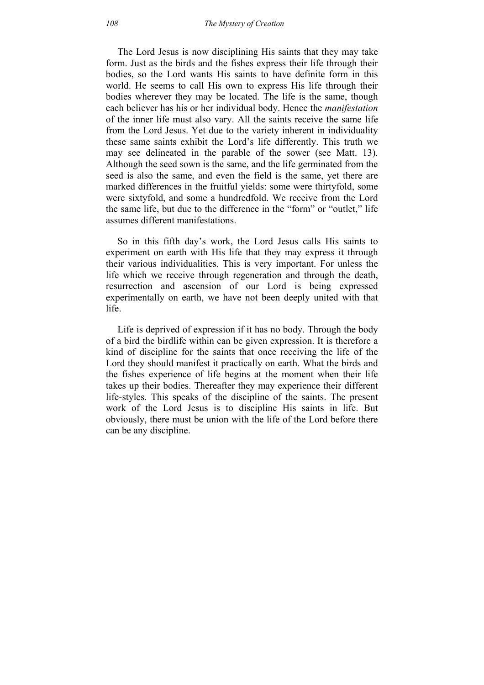The Lord Jesus is now disciplining His saints that they may take form. Just as the birds and the fishes express their life through their bodies, so the Lord wants His saints to have definite form in this world. He seems to call His own to express His life through their bodies wherever they may be located. The life is the same, though each believer has his or her individual body. Hence the *manifestation* of the inner life must also vary. All the saints receive the same life from the Lord Jesus. Yet due to the variety inherent in individuality these same saints exhibit the Lord's life differently. This truth we may see delineated in the parable of the sower (see Matt. 13). Although the seed sown is the same, and the life germinated from the seed is also the same, and even the field is the same, yet there are marked differences in the fruitful yields: some were thirtyfold, some were sixtyfold, and some a hundredfold. We receive from the Lord the same life, but due to the difference in the "form" or "outlet," life assumes different manifestations.

So in this fifth day's work, the Lord Jesus calls His saints to experiment on earth with His life that they may express it through their various individualities. This is very important. For unless the life which we receive through regeneration and through the death, resurrection and ascension of our Lord is being expressed experimentally on earth, we have not been deeply united with that life.

Life is deprived of expression if it has no body. Through the body of a bird the birdlife within can be given expression. It is therefore a kind of discipline for the saints that once receiving the life of the Lord they should manifest it practically on earth. What the birds and the fishes experience of life begins at the moment when their life takes up their bodies. Thereafter they may experience their different life-styles. This speaks of the discipline of the saints. The present work of the Lord Jesus is to discipline His saints in life. But obviously, there must be union with the life of the Lord before there can be any discipline.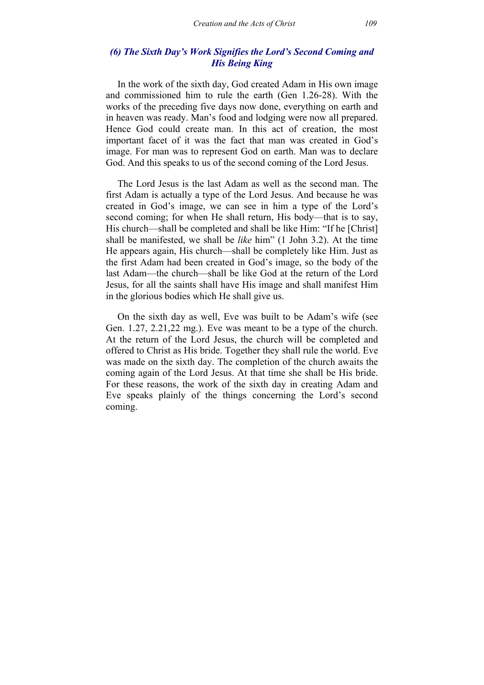## *(6) The Sixth Day's Work Signifies the Lord's Second Coming and His Being King*

In the work of the sixth day, God created Adam in His own image and commissioned him to rule the earth (Gen 1.26-28). With the works of the preceding five days now done, everything on earth and in heaven was ready. Man's food and lodging were now all prepared. Hence God could create man. In this act of creation, the most important facet of it was the fact that man was created in God's image. For man was to represent God on earth. Man was to declare God. And this speaks to us of the second coming of the Lord Jesus.

The Lord Jesus is the last Adam as well as the second man. The first Adam is actually a type of the Lord Jesus. And because he was created in God's image, we can see in him a type of the Lord's second coming; for when He shall return, His body—that is to say, His church—shall be completed and shall be like Him: "If he [Christ] shall be manifested, we shall be *like* him" (1 John 3.2). At the time He appears again, His church—shall be completely like Him. Just as the first Adam had been created in God's image, so the body of the last Adam—the church—shall be like God at the return of the Lord Jesus, for all the saints shall have His image and shall manifest Him in the glorious bodies which He shall give us.

On the sixth day as well, Eve was built to be Adam's wife (see Gen. 1.27, 2.21,22 mg.). Eve was meant to be a type of the church. At the return of the Lord Jesus, the church will be completed and offered to Christ as His bride. Together they shall rule the world. Eve was made on the sixth day. The completion of the church awaits the coming again of the Lord Jesus. At that time she shall be His bride. For these reasons, the work of the sixth day in creating Adam and Eve speaks plainly of the things concerning the Lord's second coming.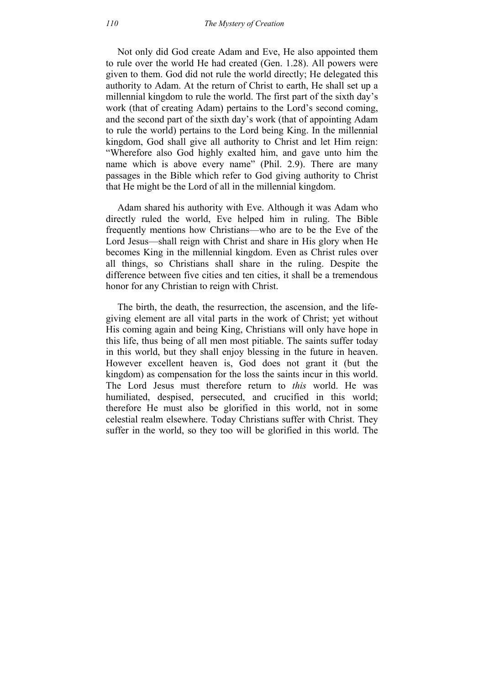Not only did God create Adam and Eve, He also appointed them to rule over the world He had created (Gen. 1.28). All powers were given to them. God did not rule the world directly; He delegated this authority to Adam. At the return of Christ to earth, He shall set up a millennial kingdom to rule the world. The first part of the sixth day's work (that of creating Adam) pertains to the Lord's second coming, and the second part of the sixth day's work (that of appointing Adam to rule the world) pertains to the Lord being King. In the millennial kingdom, God shall give all authority to Christ and let Him reign: "Wherefore also God highly exalted him, and gave unto him the name which is above every name" (Phil. 2.9). There are many passages in the Bible which refer to God giving authority to Christ that He might be the Lord of all in the millennial kingdom.

Adam shared his authority with Eve. Although it was Adam who directly ruled the world, Eve helped him in ruling. The Bible frequently mentions how Christians—who are to be the Eve of the Lord Jesus—shall reign with Christ and share in His glory when He becomes King in the millennial kingdom. Even as Christ rules over all things, so Christians shall share in the ruling. Despite the difference between five cities and ten cities, it shall be a tremendous honor for any Christian to reign with Christ.

The birth, the death, the resurrection, the ascension, and the lifegiving element are all vital parts in the work of Christ; yet without His coming again and being King, Christians will only have hope in this life, thus being of all men most pitiable. The saints suffer today in this world, but they shall enjoy blessing in the future in heaven. However excellent heaven is, God does not grant it (but the kingdom) as compensation for the loss the saints incur in this world. The Lord Jesus must therefore return to *this* world. He was humiliated, despised, persecuted, and crucified in this world; therefore He must also be glorified in this world, not in some celestial realm elsewhere. Today Christians suffer with Christ. They suffer in the world, so they too will be glorified in this world. The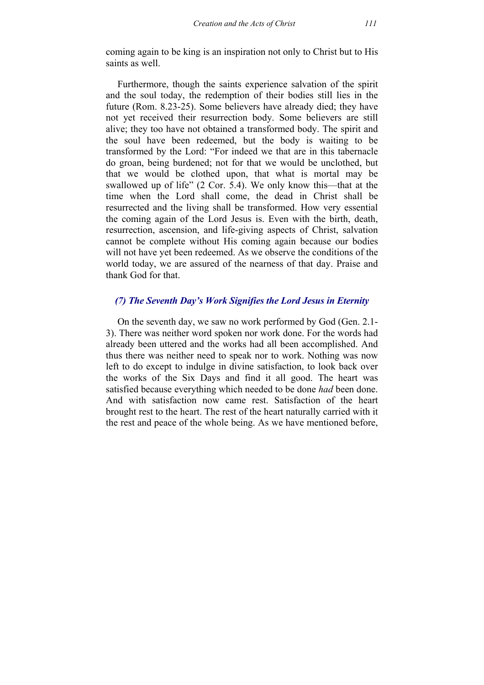coming again to be king is an inspiration not only to Christ but to His saints as well.

Furthermore, though the saints experience salvation of the spirit and the soul today, the redemption of their bodies still lies in the future (Rom. 8.23-25). Some believers have already died; they have not yet received their resurrection body. Some believers are still alive; they too have not obtained a transformed body. The spirit and the soul have been redeemed, but the body is waiting to be transformed by the Lord: "For indeed we that are in this tabernacle do groan, being burdened; not for that we would be unclothed, but that we would be clothed upon, that what is mortal may be swallowed up of life" (2 Cor. 5.4). We only know this—that at the time when the Lord shall come, the dead in Christ shall be resurrected and the living shall be transformed. How very essential the coming again of the Lord Jesus is. Even with the birth, death, resurrection, ascension, and life-giving aspects of Christ, salvation cannot be complete without His coming again because our bodies will not have yet been redeemed. As we observe the conditions of the world today, we are assured of the nearness of that day. Praise and thank God for that.

# *(7) The Seventh Day's Work Signifies the Lord Jesus in Eternity*

On the seventh day, we saw no work performed by God (Gen. 2.1- 3). There was neither word spoken nor work done. For the words had already been uttered and the works had all been accomplished. And thus there was neither need to speak nor to work. Nothing was now left to do except to indulge in divine satisfaction, to look back over the works of the Six Days and find it all good. The heart was satisfied because everything which needed to be done *had* been done. And with satisfaction now came rest. Satisfaction of the heart brought rest to the heart. The rest of the heart naturally carried with it the rest and peace of the whole being. As we have mentioned before,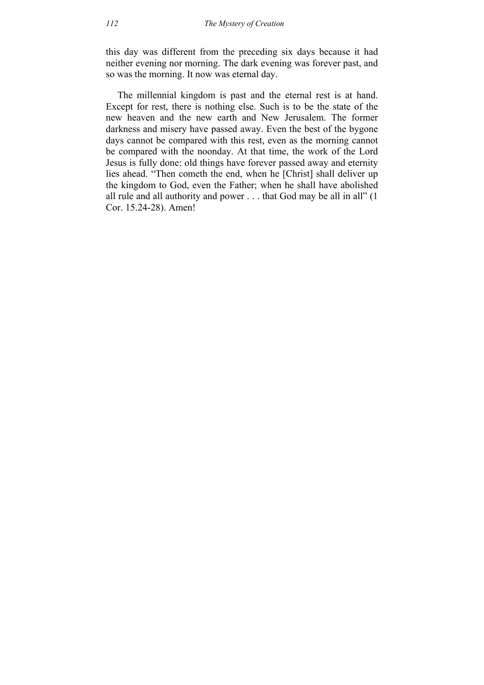this day was different from the preceding six days because it had neither evening nor morning. The dark evening was forever past, and so was the morning. It now was eternal day.

The millennial kingdom is past and the eternal rest is at hand. Except for rest, there is nothing else. Such is to be the state of the new heaven and the new earth and New Jerusalem. The former darkness and misery have passed away. Even the best of the bygone days cannot be compared with this rest, even as the morning cannot be compared with the noonday. At that time, the work of the Lord Jesus is fully done: old things have forever passed away and eternity lies ahead. "Then cometh the end, when he [Christ] shall deliver up the kingdom to God, even the Father; when he shall have abolished all rule and all authority and power . . . that God may be all in all" (1 Cor. 15.24-28). Amen!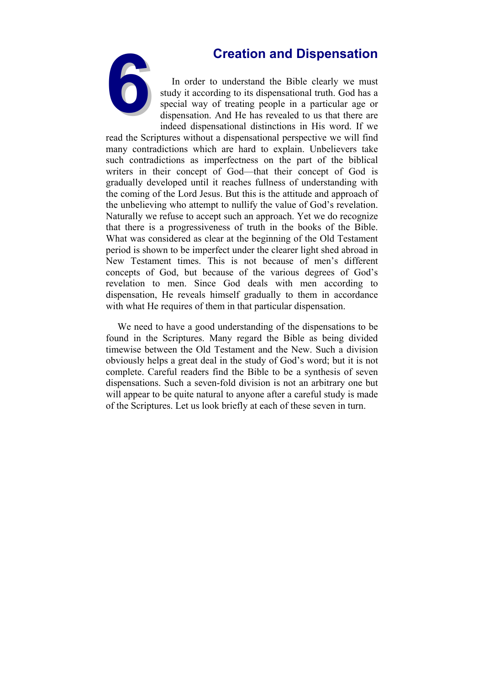

**6Creation and Dispensation**<br>In order to understand the Bible clearly we must<br>study it according to its dispensational truth. God has a<br>special way of treating people in a particular age or<br>dispensation. And He has reveale In order to understand the Bible clearly we must study it according to its dispensational truth. God has a special way of treating people in a particular age or dispensation. And He has revealed to us that there are indeed dispensational distinctions in His word. If we

read the Scriptures without a dispensational perspective we will find many contradictions which are hard to explain. Unbelievers take such contradictions as imperfectness on the part of the biblical writers in their concept of God—that their concept of God is gradually developed until it reaches fullness of understanding with the coming of the Lord Jesus. But this is the attitude and approach of the unbelieving who attempt to nullify the value of God's revelation. Naturally we refuse to accept such an approach. Yet we do recognize that there is a progressiveness of truth in the books of the Bible. What was considered as clear at the beginning of the Old Testament period is shown to be imperfect under the clearer light shed abroad in New Testament times. This is not because of men's different concepts of God, but because of the various degrees of God's revelation to men. Since God deals with men according to dispensation, He reveals himself gradually to them in accordance with what He requires of them in that particular dispensation.

We need to have a good understanding of the dispensations to be found in the Scriptures. Many regard the Bible as being divided timewise between the Old Testament and the New. Such a division obviously helps a great deal in the study of God's word; but it is not complete. Careful readers find the Bible to be a synthesis of seven dispensations. Such a seven-fold division is not an arbitrary one but will appear to be quite natural to anyone after a careful study is made of the Scriptures. Let us look briefly at each of these seven in turn.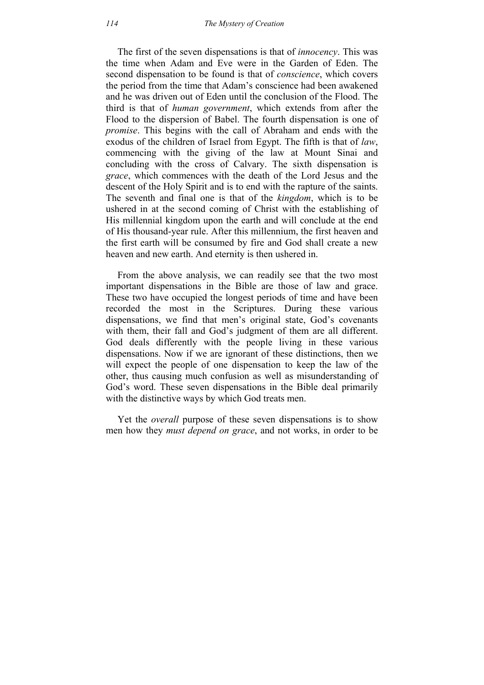The first of the seven dispensations is that of *innocency*. This was the time when Adam and Eve were in the Garden of Eden. The second dispensation to be found is that of *conscience*, which covers the period from the time that Adam's conscience had been awakened and he was driven out of Eden until the conclusion of the Flood. The third is that of *human government*, which extends from after the Flood to the dispersion of Babel. The fourth dispensation is one of *promise*. This begins with the call of Abraham and ends with the exodus of the children of Israel from Egypt. The fifth is that of *law*, commencing with the giving of the law at Mount Sinai and concluding with the cross of Calvary. The sixth dispensation is *grace*, which commences with the death of the Lord Jesus and the descent of the Holy Spirit and is to end with the rapture of the saints. The seventh and final one is that of the *kingdom*, which is to be ushered in at the second coming of Christ with the establishing of His millennial kingdom upon the earth and will conclude at the end of His thousand-year rule. After this millennium, the first heaven and the first earth will be consumed by fire and God shall create a new heaven and new earth. And eternity is then ushered in.

From the above analysis, we can readily see that the two most important dispensations in the Bible are those of law and grace. These two have occupied the longest periods of time and have been recorded the most in the Scriptures. During these various dispensations, we find that men's original state, God's covenants with them, their fall and God's judgment of them are all different. God deals differently with the people living in these various dispensations. Now if we are ignorant of these distinctions, then we will expect the people of one dispensation to keep the law of the other, thus causing much confusion as well as misunderstanding of God's word. These seven dispensations in the Bible deal primarily with the distinctive ways by which God treats men.

Yet the *overall* purpose of these seven dispensations is to show men how they *must depend on grace*, and not works, in order to be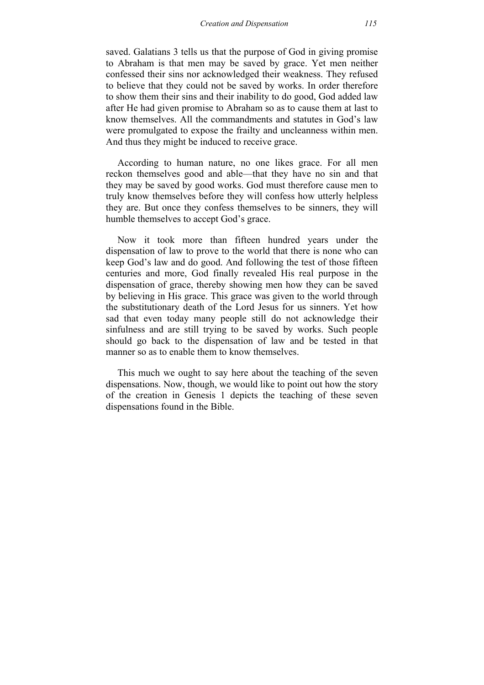saved. Galatians 3 tells us that the purpose of God in giving promise to Abraham is that men may be saved by grace. Yet men neither confessed their sins nor acknowledged their weakness. They refused to believe that they could not be saved by works. In order therefore to show them their sins and their inability to do good, God added law after He had given promise to Abraham so as to cause them at last to know themselves. All the commandments and statutes in God's law were promulgated to expose the frailty and uncleanness within men. And thus they might be induced to receive grace.

According to human nature, no one likes grace. For all men reckon themselves good and able—that they have no sin and that they may be saved by good works. God must therefore cause men to truly know themselves before they will confess how utterly helpless they are. But once they confess themselves to be sinners, they will humble themselves to accept God's grace.

Now it took more than fifteen hundred years under the dispensation of law to prove to the world that there is none who can keep God's law and do good. And following the test of those fifteen centuries and more, God finally revealed His real purpose in the dispensation of grace, thereby showing men how they can be saved by believing in His grace. This grace was given to the world through the substitutionary death of the Lord Jesus for us sinners. Yet how sad that even today many people still do not acknowledge their sinfulness and are still trying to be saved by works. Such people should go back to the dispensation of law and be tested in that manner so as to enable them to know themselves.

This much we ought to say here about the teaching of the seven dispensations. Now, though, we would like to point out how the story of the creation in Genesis 1 depicts the teaching of these seven dispensations found in the Bible.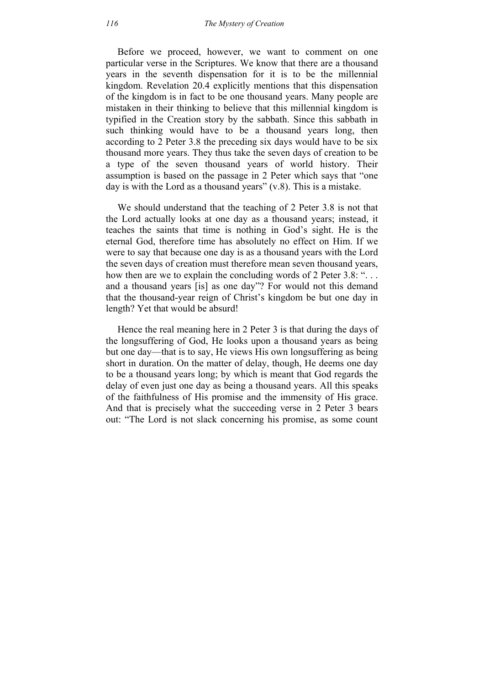Before we proceed, however, we want to comment on one particular verse in the Scriptures. We know that there are a thousand years in the seventh dispensation for it is to be the millennial kingdom. Revelation 20.4 explicitly mentions that this dispensation of the kingdom is in fact to be one thousand years. Many people are mistaken in their thinking to believe that this millennial kingdom is typified in the Creation story by the sabbath. Since this sabbath in such thinking would have to be a thousand years long, then according to 2 Peter 3.8 the preceding six days would have to be six thousand more years. They thus take the seven days of creation to be a type of the seven thousand years of world history. Their assumption is based on the passage in 2 Peter which says that "one day is with the Lord as a thousand years" (v.8). This is a mistake.

We should understand that the teaching of 2 Peter 3.8 is not that the Lord actually looks at one day as a thousand years; instead, it teaches the saints that time is nothing in God's sight. He is the eternal God, therefore time has absolutely no effect on Him. If we were to say that because one day is as a thousand years with the Lord the seven days of creation must therefore mean seven thousand years, how then are we to explain the concluding words of 2 Peter 3.8: "... and a thousand years [is] as one day"? For would not this demand that the thousand-year reign of Christ's kingdom be but one day in length? Yet that would be absurd!

Hence the real meaning here in 2 Peter 3 is that during the days of the longsuffering of God, He looks upon a thousand years as being but one day—that is to say, He views His own longsuffering as being short in duration. On the matter of delay, though, He deems one day to be a thousand years long; by which is meant that God regards the delay of even just one day as being a thousand years. All this speaks of the faithfulness of His promise and the immensity of His grace. And that is precisely what the succeeding verse in 2 Peter 3 bears out: "The Lord is not slack concerning his promise, as some count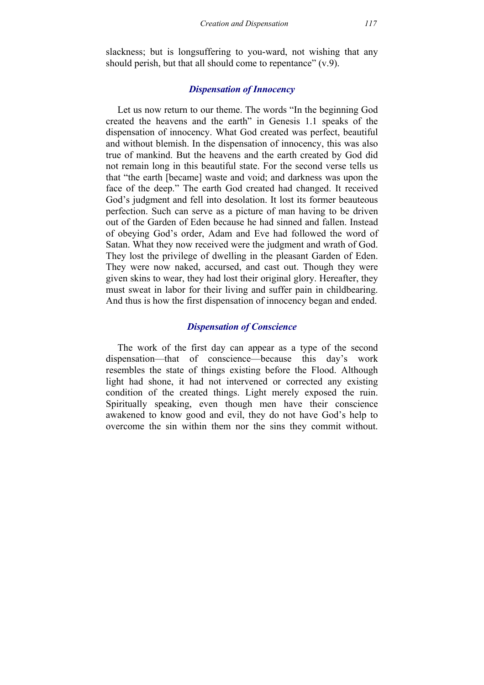slackness; but is longsuffering to you-ward, not wishing that any should perish, but that all should come to repentance"  $(v.9)$ .

## *Dispensation of Innocency*

Let us now return to our theme. The words "In the beginning God created the heavens and the earth" in Genesis 1.1 speaks of the dispensation of innocency. What God created was perfect, beautiful and without blemish. In the dispensation of innocency, this was also true of mankind. But the heavens and the earth created by God did not remain long in this beautiful state. For the second verse tells us that "the earth [became] waste and void; and darkness was upon the face of the deep." The earth God created had changed. It received God's judgment and fell into desolation. It lost its former beauteous perfection. Such can serve as a picture of man having to be driven out of the Garden of Eden because he had sinned and fallen. Instead of obeying God's order, Adam and Eve had followed the word of Satan. What they now received were the judgment and wrath of God. They lost the privilege of dwelling in the pleasant Garden of Eden. They were now naked, accursed, and cast out. Though they were given skins to wear, they had lost their original glory. Hereafter, they must sweat in labor for their living and suffer pain in childbearing. And thus is how the first dispensation of innocency began and ended.

# *Dispensation of Conscience*

The work of the first day can appear as a type of the second dispensation—that of conscience—because this day's work resembles the state of things existing before the Flood. Although light had shone, it had not intervened or corrected any existing condition of the created things. Light merely exposed the ruin. Spiritually speaking, even though men have their conscience awakened to know good and evil, they do not have God's help to overcome the sin within them nor the sins they commit without.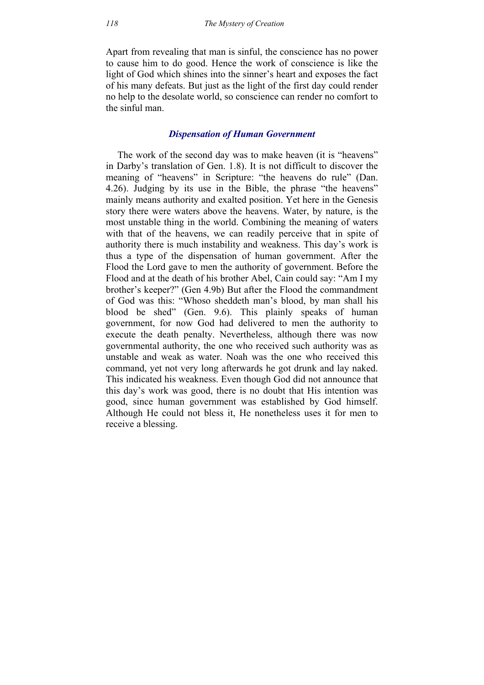Apart from revealing that man is sinful, the conscience has no power to cause him to do good. Hence the work of conscience is like the light of God which shines into the sinner's heart and exposes the fact of his many defeats. But just as the light of the first day could render no help to the desolate world, so conscience can render no comfort to the sinful man.

#### *Dispensation of Human Government*

The work of the second day was to make heaven (it is "heavens" in Darby's translation of Gen. 1.8). It is not difficult to discover the meaning of "heavens" in Scripture: "the heavens do rule" (Dan. 4.26). Judging by its use in the Bible, the phrase "the heavens" mainly means authority and exalted position. Yet here in the Genesis story there were waters above the heavens. Water, by nature, is the most unstable thing in the world. Combining the meaning of waters with that of the heavens, we can readily perceive that in spite of authority there is much instability and weakness. This day's work is thus a type of the dispensation of human government. After the Flood the Lord gave to men the authority of government. Before the Flood and at the death of his brother Abel, Cain could say: "Am I my brother's keeper?" (Gen 4.9b) But after the Flood the commandment of God was this: "Whoso sheddeth man's blood, by man shall his blood be shed" (Gen. 9.6). This plainly speaks of human government, for now God had delivered to men the authority to execute the death penalty. Nevertheless, although there was now governmental authority, the one who received such authority was as unstable and weak as water. Noah was the one who received this command, yet not very long afterwards he got drunk and lay naked. This indicated his weakness. Even though God did not announce that this day's work was good, there is no doubt that His intention was good, since human government was established by God himself. Although He could not bless it, He nonetheless uses it for men to receive a blessing.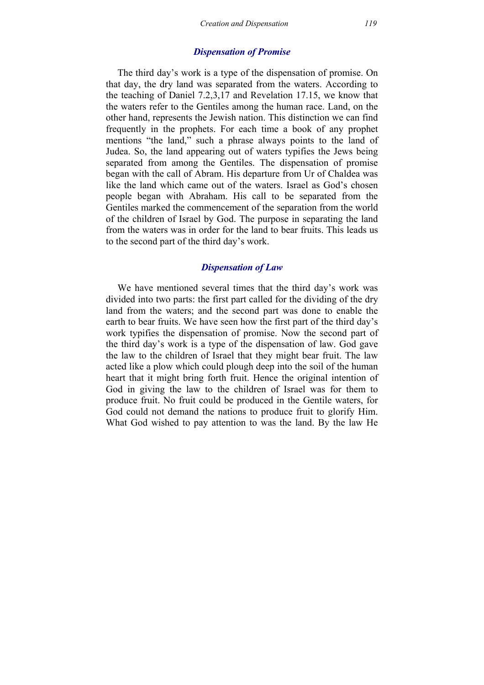#### *Dispensation of Promise*

The third day's work is a type of the dispensation of promise. On that day, the dry land was separated from the waters. According to the teaching of Daniel 7.2,3,17 and Revelation 17.15, we know that the waters refer to the Gentiles among the human race. Land, on the other hand, represents the Jewish nation. This distinction we can find frequently in the prophets. For each time a book of any prophet mentions "the land," such a phrase always points to the land of Judea. So, the land appearing out of waters typifies the Jews being separated from among the Gentiles. The dispensation of promise began with the call of Abram. His departure from Ur of Chaldea was like the land which came out of the waters. Israel as God's chosen people began with Abraham. His call to be separated from the Gentiles marked the commencement of the separation from the world of the children of Israel by God. The purpose in separating the land from the waters was in order for the land to bear fruits. This leads us to the second part of the third day's work.

#### *Dispensation of Law*

We have mentioned several times that the third day's work was divided into two parts: the first part called for the dividing of the dry land from the waters; and the second part was done to enable the earth to bear fruits. We have seen how the first part of the third day's work typifies the dispensation of promise. Now the second part of the third day's work is a type of the dispensation of law. God gave the law to the children of Israel that they might bear fruit. The law acted like a plow which could plough deep into the soil of the human heart that it might bring forth fruit. Hence the original intention of God in giving the law to the children of Israel was for them to produce fruit. No fruit could be produced in the Gentile waters, for God could not demand the nations to produce fruit to glorify Him. What God wished to pay attention to was the land. By the law He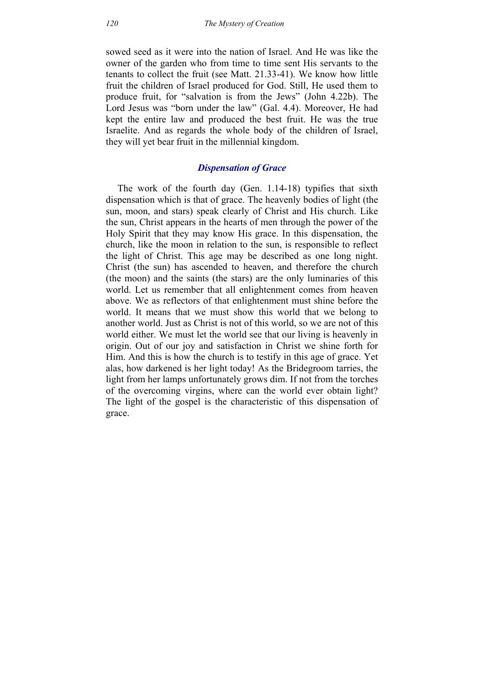sowed seed as it were into the nation of Israel. And He was like the owner of the garden who from time to time sent His servants to the tenants to collect the fruit (see Matt. 21.33-41). We know how little fruit the children of Israel produced for God. Still, He used them to produce fruit, for "salvation is from the Jews" (John 4.22b). The Lord Jesus was "born under the law" (Gal. 4.4). Moreover, He had kept the entire law and produced the best fruit. He was the true Israelite. And as regards the whole body of the children of Israel, they will yet bear fruit in the millennial kingdom.

## *Dispensation of Grace*

The work of the fourth day (Gen. 1.14-18) typifies that sixth dispensation which is that of grace. The heavenly bodies of light (the sun, moon, and stars) speak clearly of Christ and His church. Like the sun, Christ appears in the hearts of men through the power of the Holy Spirit that they may know His grace. In this dispensation, the church, like the moon in relation to the sun, is responsible to reflect the light of Christ. This age may be described as one long night. Christ (the sun) has ascended to heaven, and therefore the church (the moon) and the saints (the stars) are the only luminaries of this world. Let us remember that all enlightenment comes from heaven above. We as reflectors of that enlightenment must shine before the world. It means that we must show this world that we belong to another world. Just as Christ is not of this world, so we are not of this world either. We must let the world see that our living is heavenly in origin. Out of our joy and satisfaction in Christ we shine forth for Him. And this is how the church is to testify in this age of grace. Yet alas, how darkened is her light today! As the Bridegroom tarries, the light from her lamps unfortunately grows dim. If not from the torches of the overcoming virgins, where can the world ever obtain light? The light of the gospel is the characteristic of this dispensation of grace.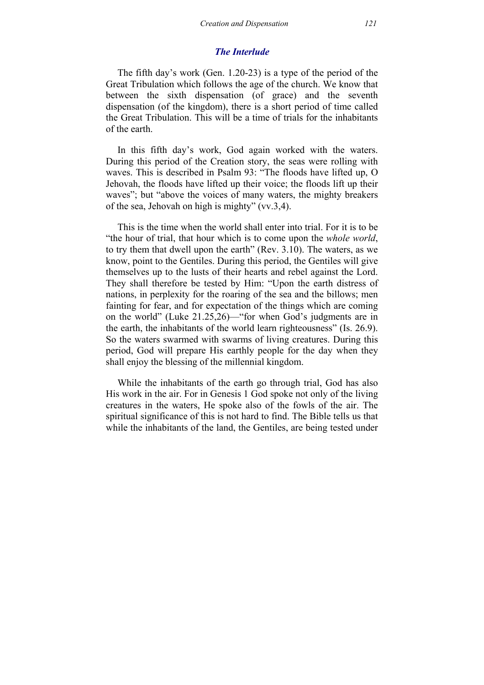#### *The Interlude*

The fifth day's work (Gen. 1.20-23) is a type of the period of the Great Tribulation which follows the age of the church. We know that between the sixth dispensation (of grace) and the seventh dispensation (of the kingdom), there is a short period of time called the Great Tribulation. This will be a time of trials for the inhabitants of the earth.

In this fifth day's work, God again worked with the waters. During this period of the Creation story, the seas were rolling with waves. This is described in Psalm 93: "The floods have lifted up, O Jehovah, the floods have lifted up their voice; the floods lift up their waves"; but "above the voices of many waters, the mighty breakers of the sea, Jehovah on high is mighty" (vv.3,4).

This is the time when the world shall enter into trial. For it is to be "the hour of trial, that hour which is to come upon the *whole world*, to try them that dwell upon the earth" (Rev. 3.10). The waters, as we know, point to the Gentiles. During this period, the Gentiles will give themselves up to the lusts of their hearts and rebel against the Lord. They shall therefore be tested by Him: "Upon the earth distress of nations, in perplexity for the roaring of the sea and the billows; men fainting for fear, and for expectation of the things which are coming on the world" (Luke 21.25,26)—"for when God's judgments are in the earth, the inhabitants of the world learn righteousness" (Is. 26.9). So the waters swarmed with swarms of living creatures. During this period, God will prepare His earthly people for the day when they shall enjoy the blessing of the millennial kingdom.

While the inhabitants of the earth go through trial, God has also His work in the air. For in Genesis 1 God spoke not only of the living creatures in the waters, He spoke also of the fowls of the air. The spiritual significance of this is not hard to find. The Bible tells us that while the inhabitants of the land, the Gentiles, are being tested under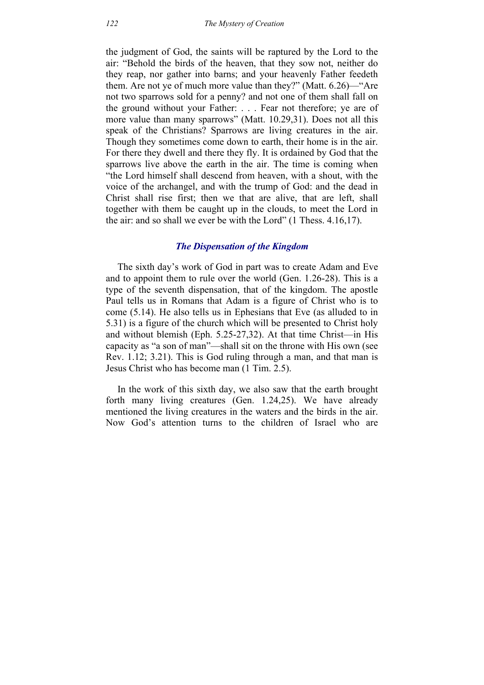the judgment of God, the saints will be raptured by the Lord to the air: "Behold the birds of the heaven, that they sow not, neither do they reap, nor gather into barns; and your heavenly Father feedeth them. Are not ye of much more value than they?" (Matt. 6.26)—"Are not two sparrows sold for a penny? and not one of them shall fall on the ground without your Father: . . . Fear not therefore; ye are of more value than many sparrows" (Matt. 10.29,31). Does not all this speak of the Christians? Sparrows are living creatures in the air. Though they sometimes come down to earth, their home is in the air. For there they dwell and there they fly. It is ordained by God that the sparrows live above the earth in the air. The time is coming when "the Lord himself shall descend from heaven, with a shout, with the voice of the archangel, and with the trump of God: and the dead in Christ shall rise first; then we that are alive, that are left, shall together with them be caught up in the clouds, to meet the Lord in the air: and so shall we ever be with the Lord" (1 Thess. 4.16,17).

## *The Dispensation of the Kingdom*

The sixth day's work of God in part was to create Adam and Eve and to appoint them to rule over the world (Gen. 1.26-28). This is a type of the seventh dispensation, that of the kingdom. The apostle Paul tells us in Romans that Adam is a figure of Christ who is to come (5.14). He also tells us in Ephesians that Eve (as alluded to in 5.31) is a figure of the church which will be presented to Christ holy and without blemish (Eph. 5.25-27,32). At that time Christ—in His capacity as "a son of man"—shall sit on the throne with His own (see Rev. 1.12; 3.21). This is God ruling through a man, and that man is Jesus Christ who has become man (1 Tim. 2.5).

In the work of this sixth day, we also saw that the earth brought forth many living creatures (Gen. 1.24,25). We have already mentioned the living creatures in the waters and the birds in the air. Now God's attention turns to the children of Israel who are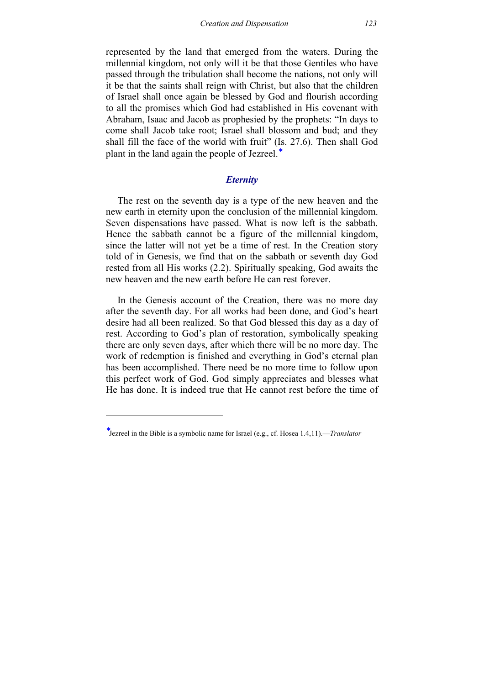represented by the land that emerged from the waters. During the millennial kingdom, not only will it be that those Gentiles who have passed through the tribulation shall become the nations, not only will it be that the saints shall reign with Christ, but also that the children of Israel shall once again be blessed by God and flourish according to all the promises which God had established in His covenant with Abraham, Isaac and Jacob as prophesied by the prophets: "In days to come shall Jacob take root; Israel shall blossom and bud; and they shall fill the face of the world with fruit" (Is. 27.6). Then shall God plant in the land again the people of Jezreel.<sup>∗</sup>

#### *Eternity*

The rest on the seventh day is a type of the new heaven and the new earth in eternity upon the conclusion of the millennial kingdom. Seven dispensations have passed. What is now left is the sabbath. Hence the sabbath cannot be a figure of the millennial kingdom, since the latter will not yet be a time of rest. In the Creation story told of in Genesis, we find that on the sabbath or seventh day God rested from all His works (2.2). Spiritually speaking, God awaits the new heaven and the new earth before He can rest forever.

In the Genesis account of the Creation, there was no more day after the seventh day. For all works had been done, and God's heart desire had all been realized. So that God blessed this day as a day of rest. According to God's plan of restoration, symbolically speaking there are only seven days, after which there will be no more day. The work of redemption is finished and everything in God's eternal plan has been accomplished. There need be no more time to follow upon this perfect work of God. God simply appreciates and blesses what He has done. It is indeed true that He cannot rest before the time of

-

<sup>∗</sup> Jezreel in the Bible is a symbolic name for Israel (e.g., cf. Hosea 1.4,11).—*Translator*